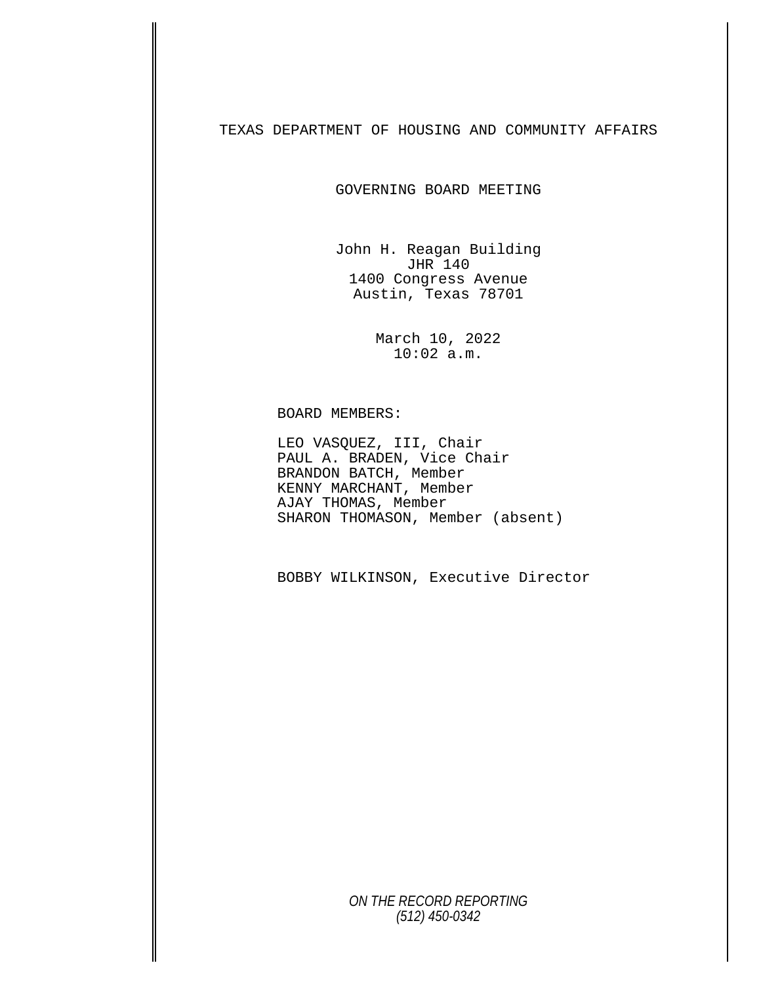TEXAS DEPARTMENT OF HOUSING AND COMMUNITY AFFAIRS

GOVERNING BOARD MEETING

John H. Reagan Building JHR 140 1400 Congress Avenue Austin, Texas 78701

> March 10, 2022 10:02 a.m.

BOARD MEMBERS: LEO VASQUEZ, III, Chair PAUL A. BRADEN, Vice Chair BRANDON BATCH, Member KENNY MARCHANT, Member AJAY THOMAS, Member SHARON THOMASON, Member (absent)

BOBBY WILKINSON, Executive Director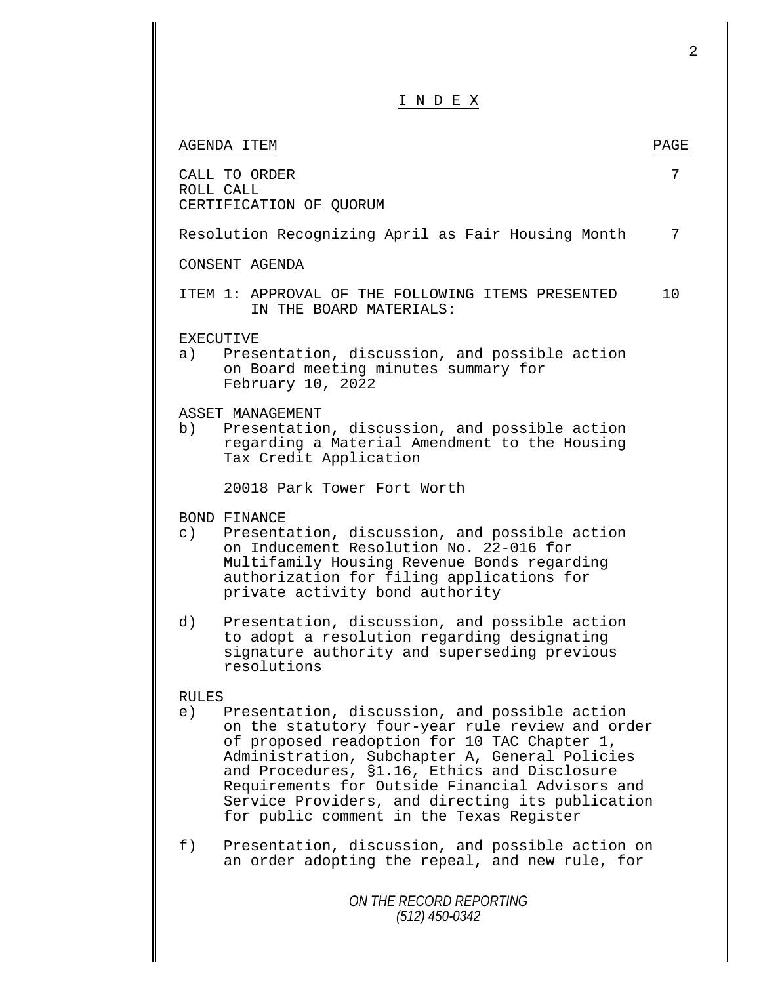| INDEX                                                                                                                                                                                                                                                                                                                                                                                                                        |      |
|------------------------------------------------------------------------------------------------------------------------------------------------------------------------------------------------------------------------------------------------------------------------------------------------------------------------------------------------------------------------------------------------------------------------------|------|
| AGENDA ITEM                                                                                                                                                                                                                                                                                                                                                                                                                  | PAGE |
| CALL TO ORDER<br>ROLL CALL<br>CERTIFICATION OF QUORUM                                                                                                                                                                                                                                                                                                                                                                        | 7    |
| Resolution Recognizing April as Fair Housing Month                                                                                                                                                                                                                                                                                                                                                                           | 7    |
| CONSENT AGENDA                                                                                                                                                                                                                                                                                                                                                                                                               |      |
| ITEM 1: APPROVAL OF THE FOLLOWING ITEMS PRESENTED<br>IN THE BOARD MATERIALS:                                                                                                                                                                                                                                                                                                                                                 | 10   |
| EXECUTIVE<br>Presentation, discussion, and possible action<br>a)<br>on Board meeting minutes summary for<br>February 10, 2022                                                                                                                                                                                                                                                                                                |      |
| ASSET MANAGEMENT<br>b)<br>Presentation, discussion, and possible action<br>regarding a Material Amendment to the Housing<br>Tax Credit Application                                                                                                                                                                                                                                                                           |      |
| 20018 Park Tower Fort Worth                                                                                                                                                                                                                                                                                                                                                                                                  |      |
| BOND FINANCE<br>$\circ$ )<br>Presentation, discussion, and possible action<br>on Inducement Resolution No. 22-016 for<br>Multifamily Housing Revenue Bonds regarding<br>authorization for filing applications for<br>private activity bond authority                                                                                                                                                                         |      |
| d)<br>Presentation, discussion, and possible action<br>to adopt a resolution regarding designating<br>signature authority and superseding previous<br>resolutions                                                                                                                                                                                                                                                            |      |
| <b>RULES</b><br>Presentation, discussion, and possible action<br>e)<br>on the statutory four-year rule review and order<br>of proposed readoption for 10 TAC Chapter 1,<br>Administration, Subchapter A, General Policies<br>and Procedures, §1.16, Ethics and Disclosure<br>Requirements for Outside Financial Advisors and<br>Service Providers, and directing its publication<br>for public comment in the Texas Register |      |
| Presentation, discussion, and possible action on<br>f)<br>an order adopting the repeal, and new rule, for                                                                                                                                                                                                                                                                                                                    |      |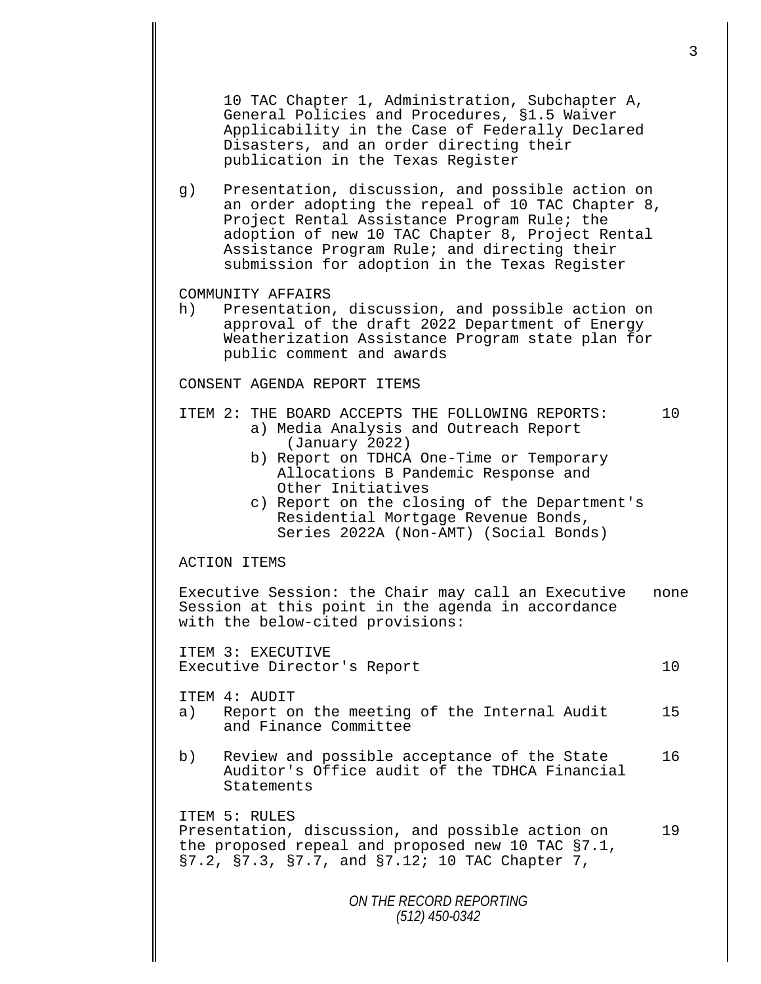10 TAC Chapter 1, Administration, Subchapter A, General Policies and Procedures, §1.5 Waiver Applicability in the Case of Federally Declared Disasters, and an order directing their publication in the Texas Register

g) Presentation, discussion, and possible action on an order adopting the repeal of 10 TAC Chapter 8, Project Rental Assistance Program Rule; the adoption of new 10 TAC Chapter 8, Project Rental Assistance Program Rule; and directing their submission for adoption in the Texas Register

## COMMUNITY AFFAIRS<br>h) Presentation

Presentation, discussion, and possible action on approval of the draft 2022 Department of Energy Weatherization Assistance Program state plan for public comment and awards

CONSENT AGENDA REPORT ITEMS

## ITEM 2: THE BOARD ACCEPTS THE FOLLOWING REPORTS: <br>a) Media Analysis and Outreach Report<br>(January 2022)<br>b) Report on TDHCA One-Time or Temporary

- 
- Allocations B Pandemic Response and<br>Other Initiatives
- c) Report on the closing of the Department's Residential Mortgage Revenue Bonds, Series 2022A (Non-AMT) (Social Bonds)

## ACTION ITEMS

Executive Session: the Chair may call an Executive none Session at this point in the agenda in accordance with the below-cited provisions:

ITEM 3: EXECUTIVE Executive Director's Report 10

ITEM 4: AUDIT<br>a) Report o

- Report on the meeting of the Internal Audit 15 and Finance Committee
- b) Review and possible acceptance of the State 16 Auditor's Office audit of the TDHCA Financial Statements

ITEM 5: RULES Presentation, discussion, and possible action on 19 the proposed repeal and proposed new 10 TAC §7.1, §7.2, §7.3, §7.7, and §7.12; 10 TAC Chapter 7,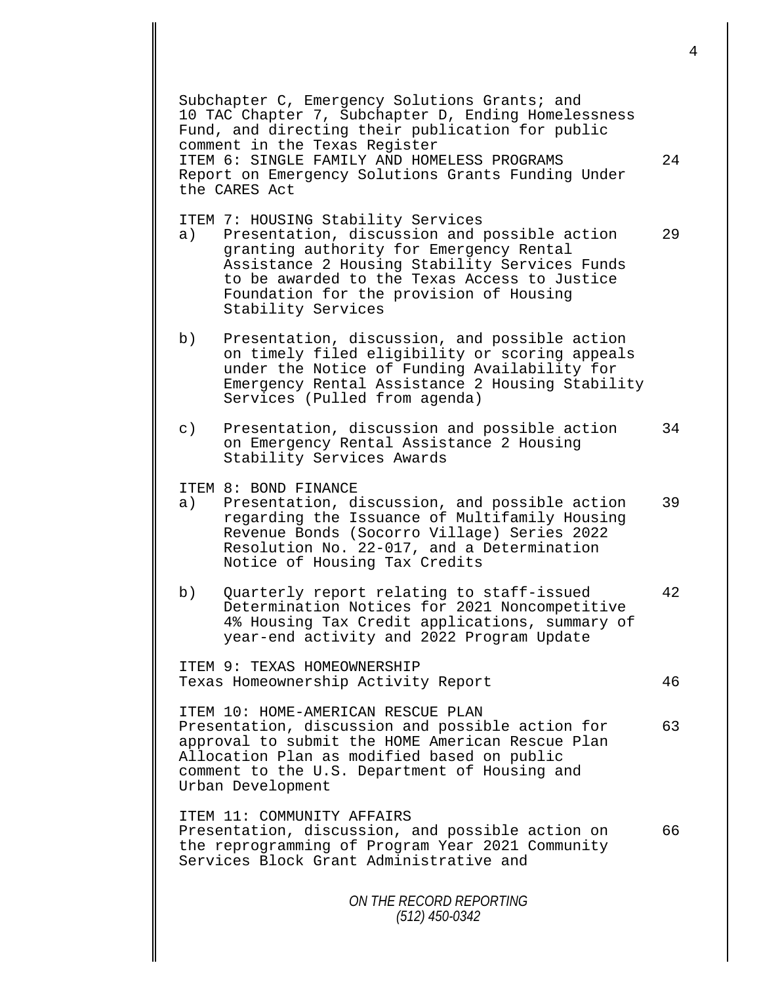|           | Subchapter C, Emergency Solutions Grants; and<br>10 TAC Chapter 7, Subchapter D, Ending Homelessness<br>Fund, and directing their publication for public<br>comment in the Texas Register<br>ITEM 6: SINGLE FAMILY AND HOMELESS PROGRAMS<br>Report on Emergency Solutions Grants Funding Under<br>the CARES Act | 24 |
|-----------|-----------------------------------------------------------------------------------------------------------------------------------------------------------------------------------------------------------------------------------------------------------------------------------------------------------------|----|
| a)        | ITEM 7: HOUSING Stability Services<br>Presentation, discussion and possible action<br>granting authority for Emergency Rental<br>Assistance 2 Housing Stability Services Funds<br>to be awarded to the Texas Access to Justice<br>Foundation for the provision of Housing<br>Stability Services                 | 29 |
| b)        | Presentation, discussion, and possible action<br>on timely filed eligibility or scoring appeals<br>under the Notice of Funding Availability for<br>Emergency Rental Assistance 2 Housing Stability<br>Services (Pulled from agenda)                                                                             |    |
| $\circ$ ) | Presentation, discussion and possible action<br>on Emergency Rental Assistance 2 Housing<br>Stability Services Awards                                                                                                                                                                                           | 34 |
| a)        | ITEM 8: BOND FINANCE<br>Presentation, discussion, and possible action<br>regarding the Issuance of Multifamily Housing<br>Revenue Bonds (Socorro Village) Series 2022<br>Resolution No. 22-017, and a Determination<br>Notice of Housing Tax Credits                                                            | 39 |
| b)        | Quarterly report relating to staff-issued<br>Determination Notices for 2021 Noncompetitive<br>4% Housing Tax Credit applications, summary of<br>year-end activity and 2022 Program Update                                                                                                                       | 42 |
|           | ITEM 9: TEXAS HOMEOWNERSHIP<br>Texas Homeownership Activity Report                                                                                                                                                                                                                                              | 46 |
|           | ITEM 10: HOME-AMERICAN RESCUE PLAN<br>Presentation, discussion and possible action for<br>approval to submit the HOME American Rescue Plan<br>Allocation Plan as modified based on public<br>comment to the U.S. Department of Housing and<br>Urban Development                                                 | 63 |
|           | ITEM 11: COMMUNITY AFFAIRS<br>Presentation, discussion, and possible action on<br>the reprogramming of Program Year 2021 Community<br>Services Block Grant Administrative and                                                                                                                                   | 66 |
|           | ON THE RECORD REPORTING<br>$(512)$ 450-0342                                                                                                                                                                                                                                                                     |    |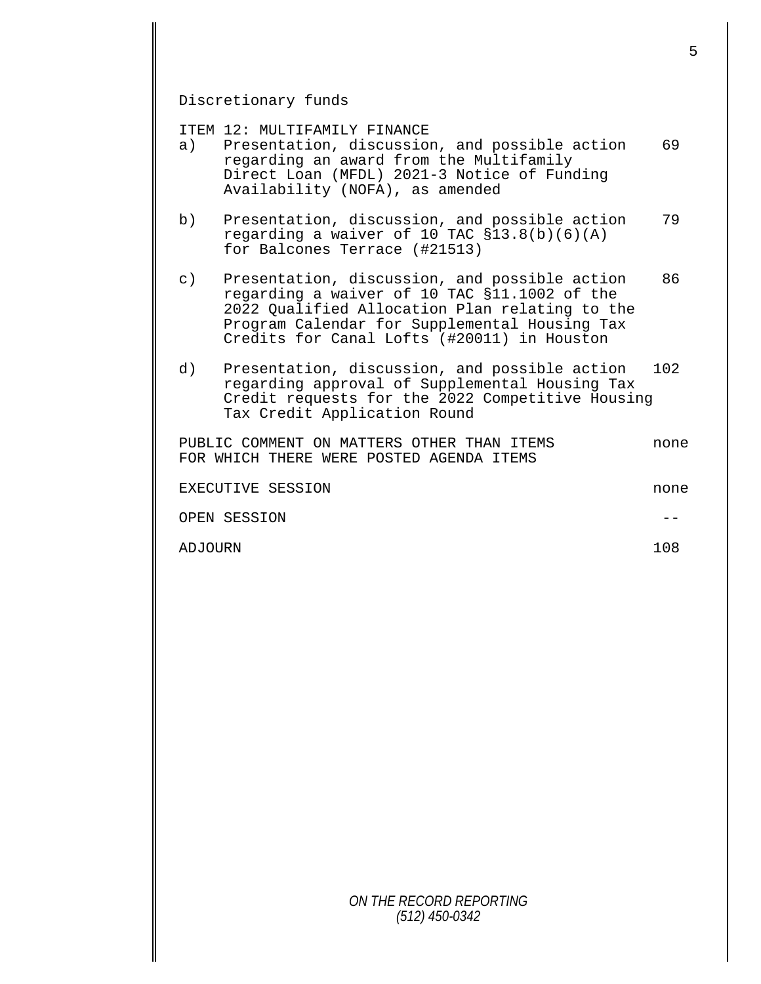Discretionary funds

ITEM 12: MULTIFAMILY FINANCE<br>a) Presentation, discussio

- Presentation, discussion, and possible action 69 regarding an award from the Multifamily Direct Loan (MFDL) 2021-3 Notice of Funding Availability (NOFA), as amended
- b) Presentation, discussion, and possible action 79 regarding a waiver of 10 TAC  $$13.8(b)(6)(A)$ for Balcones Terrace (#21513)
- c) Presentation, discussion, and possible action 86 regarding a waiver of 10 TAC §11.1002 of the 2022 Qualified Allocation Plan relating to the Program Calendar for Supplemental Housing Tax Credits for Canal Lofts (#20011) in Houston
- d) Presentation, discussion, and possible action 102 regarding approval of Supplemental Housing Tax Credit requests for the 2022 Competitive Housing Tax Credit Application Round

PUBLIC COMMENT ON MATTERS OTHER THAN ITEMS none FOR WHICH THERE WERE POSTED AGENDA ITEMS

| EXECUTIVE SESSION | none |
|-------------------|------|
| OPEN SESSION      |      |
| ADJOURN           | 108  |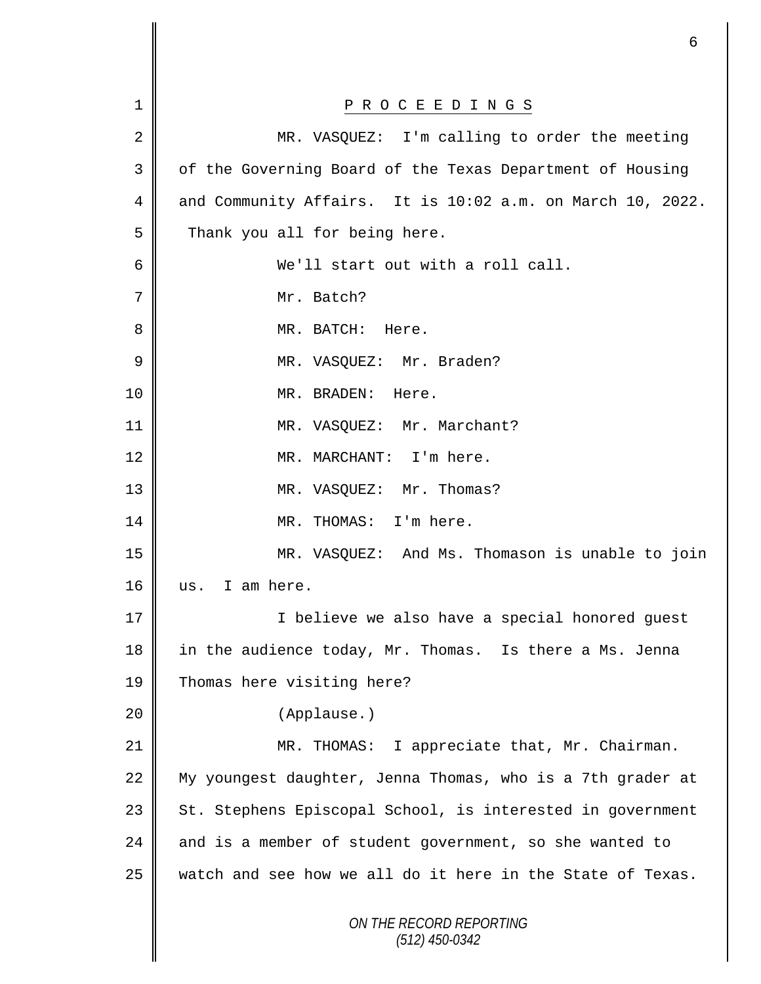|             | 6                                                          |
|-------------|------------------------------------------------------------|
|             |                                                            |
| $\mathbf 1$ | P R O C E E D I N G S                                      |
| 2           | MR. VASQUEZ: I'm calling to order the meeting              |
| 3           | of the Governing Board of the Texas Department of Housing  |
| 4           | and Community Affairs. It is 10:02 a.m. on March 10, 2022. |
| 5           | Thank you all for being here.                              |
| 6           | We'll start out with a roll call.                          |
| 7           | Mr. Batch?                                                 |
| 8           | MR. BATCH:<br>Here.                                        |
| 9           | MR. VASQUEZ: Mr. Braden?                                   |
| 10          | MR. BRADEN:<br>Here.                                       |
| 11          | MR. VASQUEZ: Mr. Marchant?                                 |
| 12          | MR. MARCHANT: I'm here.                                    |
| 13          | MR. VASQUEZ: Mr. Thomas?                                   |
| 14          | MR. THOMAS: I'm here.                                      |
| 15          | MR. VASQUEZ: And Ms. Thomason is unable to join            |
| 16          | I am here.<br>us.                                          |
| 17          | I believe we also have a special honored guest             |
| 18          | in the audience today, Mr. Thomas. Is there a Ms. Jenna    |
| 19          | Thomas here visiting here?                                 |
| 20          | (Applause.)                                                |
| 21          | MR. THOMAS: I appreciate that, Mr. Chairman.               |
| 22          | My youngest daughter, Jenna Thomas, who is a 7th grader at |
| 23          | St. Stephens Episcopal School, is interested in government |
| 24          | and is a member of student government, so she wanted to    |
| 25          | watch and see how we all do it here in the State of Texas. |
|             | ON THE RECORD REPORTING<br>$(512)$ 450-0342                |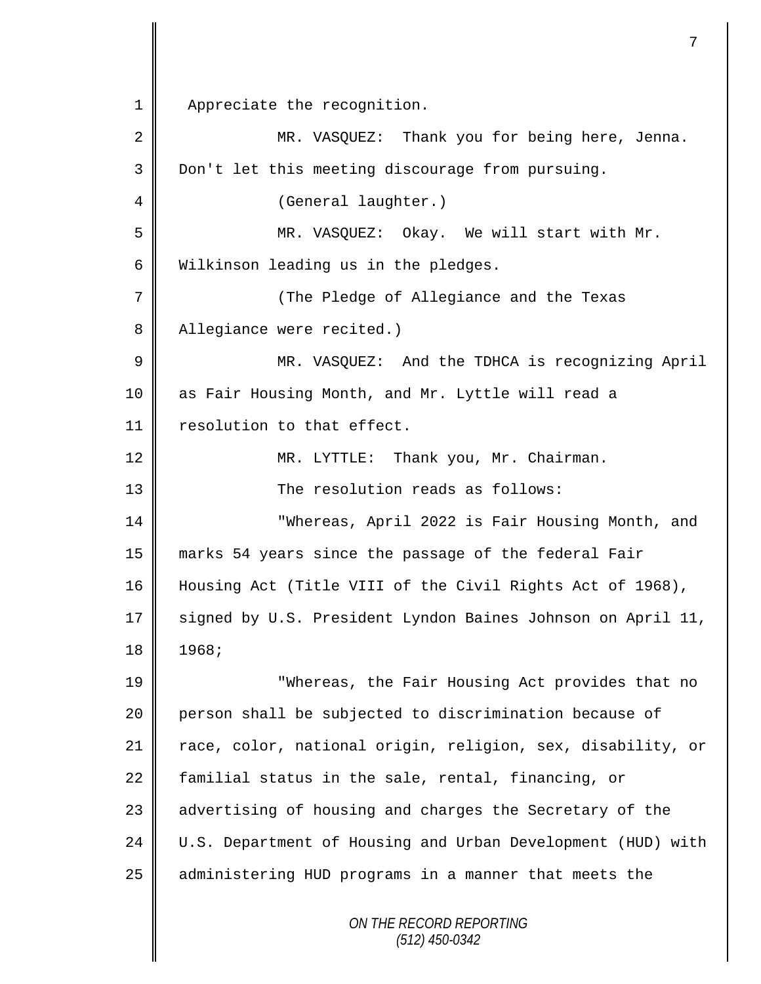1 || Appreciate the recognition.

*ON THE RECORD REPORTING (512) 450-0342* 2 || MR. VASQUEZ: Thank you for being here, Jenna. 3 Don't let this meeting discourage from pursuing. 4 || (General laughter.) 5 MR. VASQUEZ: Okay. We will start with Mr. 6 Wilkinson leading us in the pledges. 7 (The Pledge of Allegiance and the Texas 8 | Allegiance were recited.) 9 || MR. VASQUEZ: And the TDHCA is recognizing April 10 as Fair Housing Month, and Mr. Lyttle will read a 11 | resolution to that effect. 12 | MR. LYTTLE: Thank you, Mr. Chairman. 13 **The resolution reads as follows:** 14 "Whereas, April 2022 is Fair Housing Month, and 15 marks 54 years since the passage of the federal Fair 16 Housing Act (Title VIII of the Civil Rights Act of 1968), 17 | signed by U.S. President Lyndon Baines Johnson on April 11, 18 1968; 19 "Whereas, the Fair Housing Act provides that no 20 person shall be subjected to discrimination because of 21 || race, color, national origin, religion, sex, disability, or 22 familial status in the sale, rental, financing, or 23 | advertising of housing and charges the Secretary of the 24 U.S. Department of Housing and Urban Development (HUD) with 25 administering HUD programs in a manner that meets the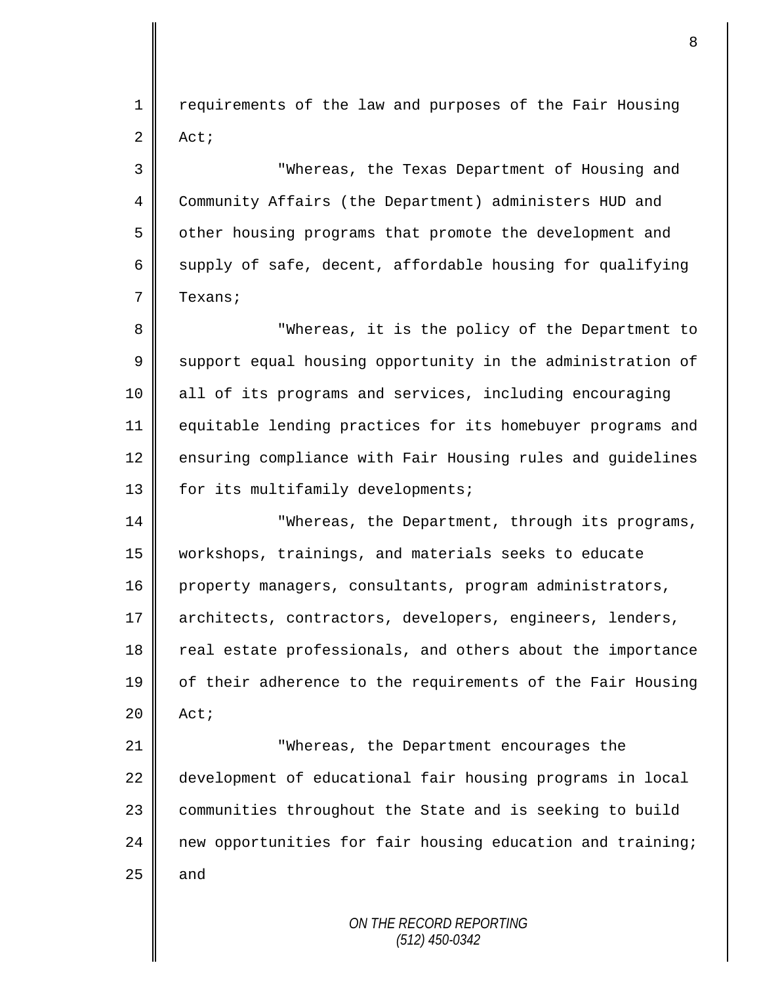1 || requirements of the law and purposes of the Fair Housing  $2 \parallel$  Act;

3 "Whereas, the Texas Department of Housing and 4 Community Affairs (the Department) administers HUD and 5 | other housing programs that promote the development and 6 supply of safe, decent, affordable housing for qualifying 7 **T**exans;

8 || "Whereas, it is the policy of the Department to  $9 \parallel$  support equal housing opportunity in the administration of 10 all of its programs and services, including encouraging 11 equitable lending practices for its homebuyer programs and 12 ensuring compliance with Fair Housing rules and guidelines 13 | for its multifamily developments;

14 **||** Whereas, the Department, through its programs, 15 workshops, trainings, and materials seeks to educate 16 property managers, consultants, program administrators, 17 architects, contractors, developers, engineers, lenders, 18 real estate professionals, and others about the importance 19 of their adherence to the requirements of the Fair Housing  $20$  Act;

21 **||** "Whereas, the Department encourages the 22 development of educational fair housing programs in local 23 | communities throughout the State and is seeking to build 24 new opportunities for fair housing education and training;  $25$  and

> *ON THE RECORD REPORTING (512) 450-0342*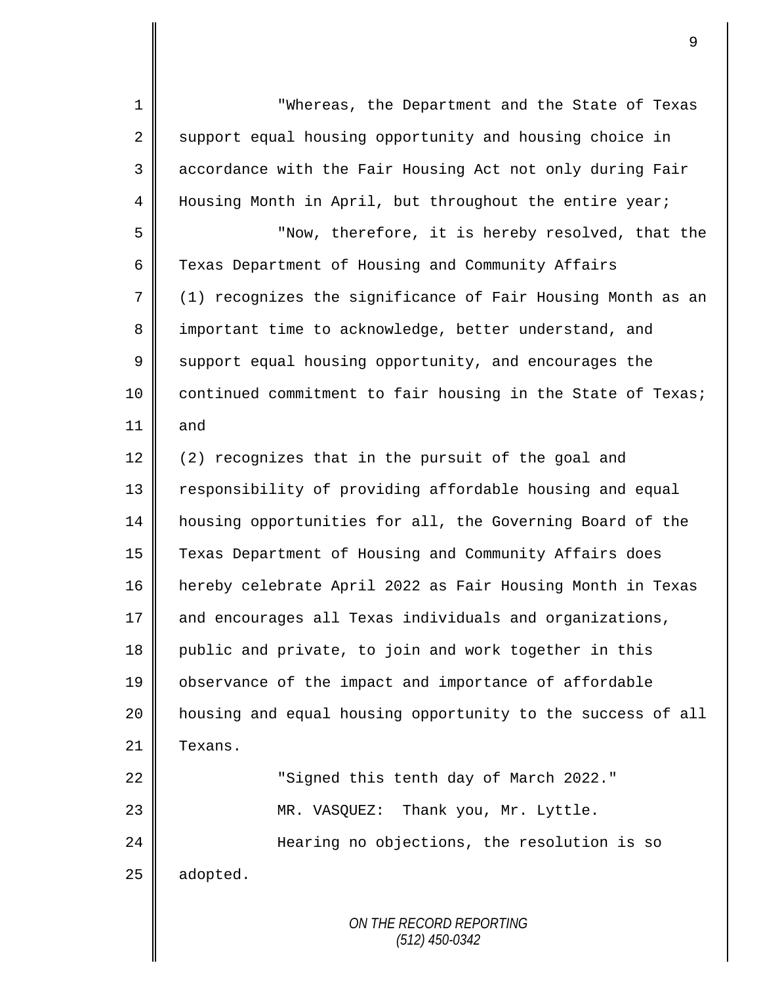*ON THE RECORD REPORTING (512) 450-0342* 1 "Whereas, the Department and the State of Texas  $2 \parallel$  support equal housing opportunity and housing choice in 3 | accordance with the Fair Housing Act not only during Fair 4 Housing Month in April, but throughout the entire year; 5 || "Now, therefore, it is hereby resolved, that the 6 Texas Department of Housing and Community Affairs  $7 \parallel$  (1) recognizes the significance of Fair Housing Month as an 8 important time to acknowledge, better understand, and 9 Support equal housing opportunity, and encourages the 10 | continued commitment to fair housing in the State of Texas; 11 || and 12  $\parallel$  (2) recognizes that in the pursuit of the goal and 13 | responsibility of providing affordable housing and equal 14 | housing opportunities for all, the Governing Board of the 15 Texas Department of Housing and Community Affairs does 16 hereby celebrate April 2022 as Fair Housing Month in Texas  $17$  and encourages all Texas individuals and organizations, 18 public and private, to join and work together in this 19 | observance of the impact and importance of affordable 20 housing and equal housing opportunity to the success of all 21 | Texans. 22 || Signed this tenth day of March 2022." 23 MR. VASQUEZ: Thank you, Mr. Lyttle. 24 | **Hearing no objections, the resolution is so**  $25$  | adopted.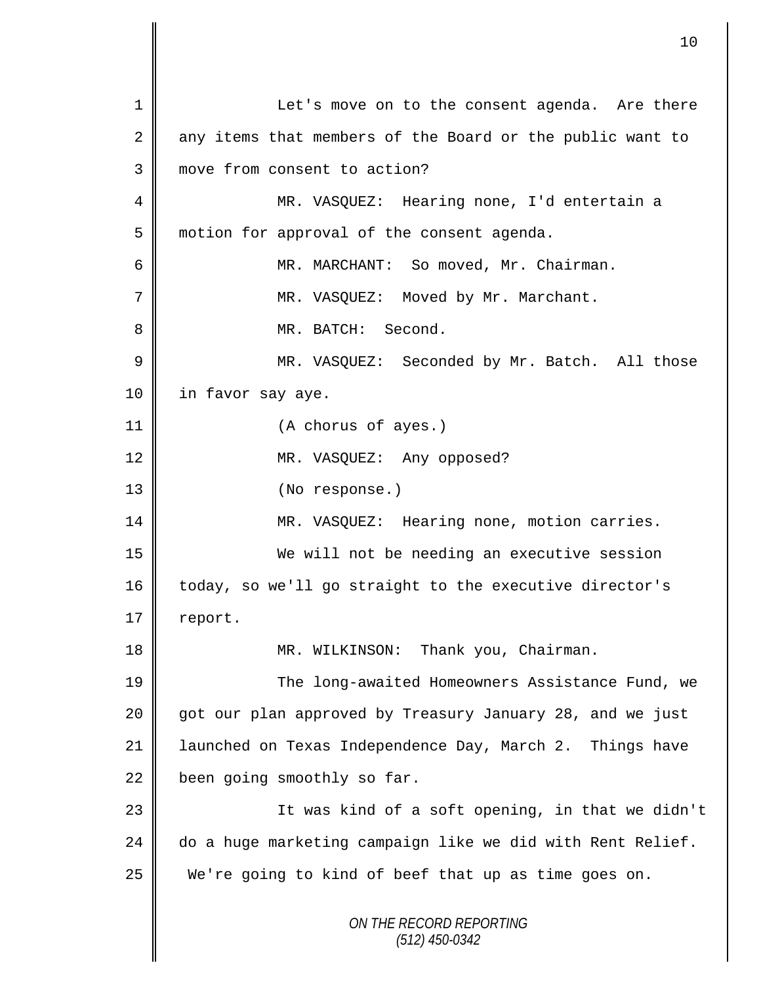*ON THE RECORD REPORTING (512) 450-0342* 1 Let's move on to the consent agenda. Are there  $2 \parallel$  any items that members of the Board or the public want to 3 **I** move from consent to action? 4 MR. VASQUEZ: Hearing none, I'd entertain a 5 | motion for approval of the consent agenda. 6 MR. MARCHANT: So moved, Mr. Chairman. 7 || MR. VASQUEZ: Moved by Mr. Marchant. 8 MR. BATCH: Second. 9 || MR. VASQUEZ: Seconded by Mr. Batch. All those 10 in favor say aye. 11 (A chorus of ayes.) 12 || MR. VASQUEZ: Any opposed? 13 || (No response.) 14 | MR. VASQUEZ: Hearing none, motion carries. 15 We will not be needing an executive session 16 today, so we'll go straight to the executive director's  $17 \parallel$  report. 18 || MR. WILKINSON: Thank you, Chairman. 19 The long-awaited Homeowners Assistance Fund, we 20 got our plan approved by Treasury January 28, and we just 21 | launched on Texas Independence Day, March 2. Things have  $22$  been going smoothly so far. 23 || It was kind of a soft opening, in that we didn't  $24$   $\parallel$  do a huge marketing campaign like we did with Rent Relief. 25 We're going to kind of beef that up as time goes on.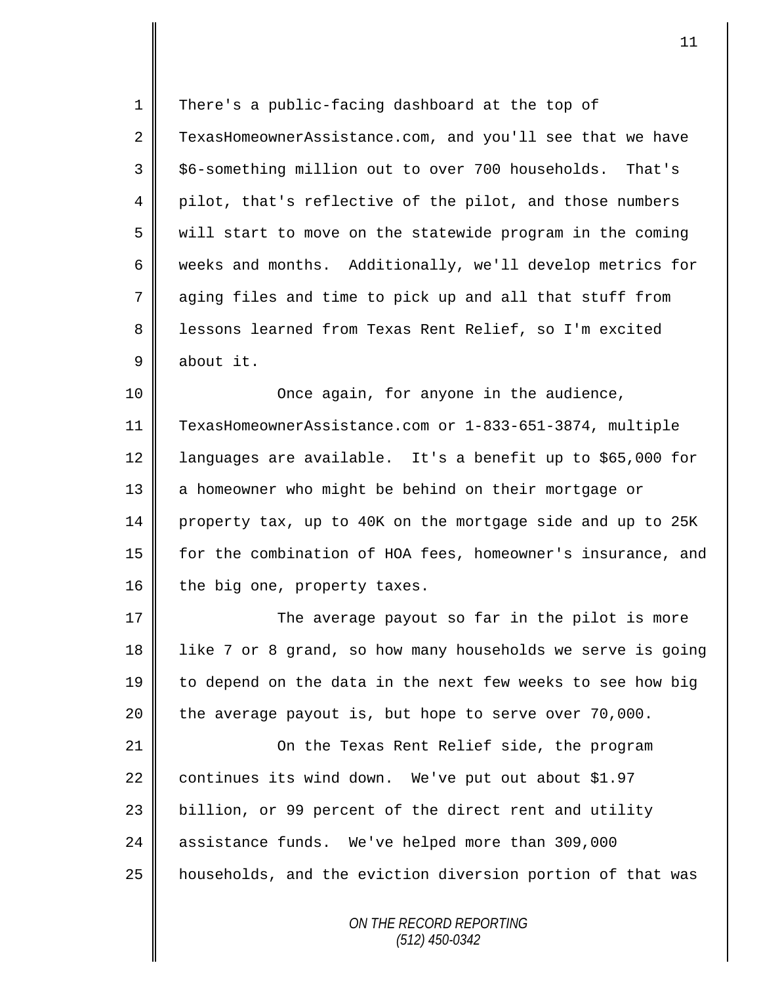1 There's a public-facing dashboard at the top of 2 TexasHomeownerAssistance.com, and you'll see that we have 3 || \$6-something million out to over 700 households. That's 4 pilot, that's reflective of the pilot, and those numbers  $5 \parallel$  will start to move on the statewide program in the coming 6 weeks and months. Additionally, we'll develop metrics for 7 aging files and time to pick up and all that stuff from 8 | lessons learned from Texas Rent Relief, so I'm excited 9 about it.

 Once again, for anyone in the audience, TexasHomeownerAssistance.com or 1-833-651-3874, multiple languages are available. It's a benefit up to \$65,000 for 13 || a homeowner who might be behind on their mortgage or property tax, up to 40K on the mortgage side and up to 25K for the combination of HOA fees, homeowner's insurance, and 16 the big one, property taxes.

17 The average payout so far in the pilot is more 18 | like 7 or 8 grand, so how many households we serve is going 19 to depend on the data in the next few weeks to see how big 20  $\parallel$  the average payout is, but hope to serve over 70,000.

21 On the Texas Rent Relief side, the program 22 continues its wind down. We've put out about \$1.97 23 || billion, or 99 percent of the direct rent and utility 24 assistance funds. We've helped more than 309,000 25 | households, and the eviction diversion portion of that was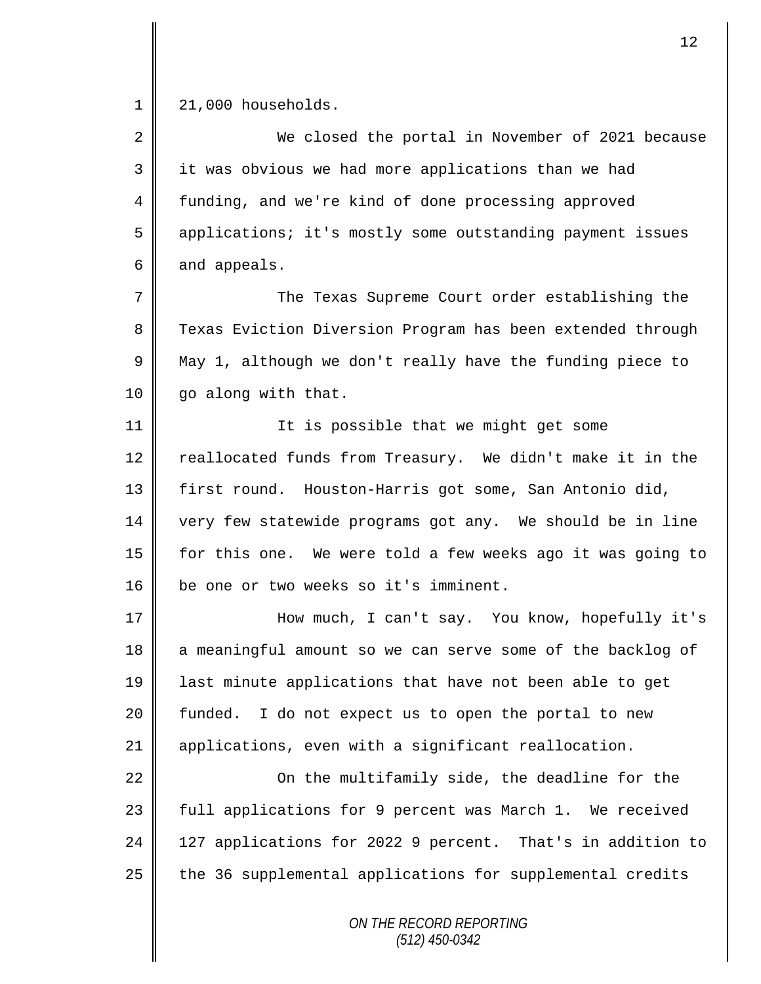1 | 21,000 households.

2 We closed the portal in November of 2021 because 3 || it was obvious we had more applications than we had 4 funding, and we're kind of done processing approved 5 applications; it's mostly some outstanding payment issues  $6 \parallel$  and appeals. 7 The Texas Supreme Court order establishing the

8 Texas Eviction Diversion Program has been extended through  $9 \parallel$  May 1, although we don't really have the funding piece to 10 | go along with that.

11 || It is possible that we might get some 12 reallocated funds from Treasury. We didn't make it in the 13 | first round. Houston-Harris got some, San Antonio did, 14 very few statewide programs got any. We should be in line 15 for this one. We were told a few weeks ago it was going to 16 || be one or two weeks so it's imminent.

17 How much, I can't say. You know, hopefully it's 18 a meaningful amount so we can serve some of the backlog of 19 last minute applications that have not been able to get 20 || funded. I do not expect us to open the portal to new 21 applications, even with a significant reallocation.

22 || Con the multifamily side, the deadline for the 23 || full applications for 9 percent was March 1. We received 24 | 127 applications for 2022 9 percent. That's in addition to  $25$  the 36 supplemental applications for supplemental credits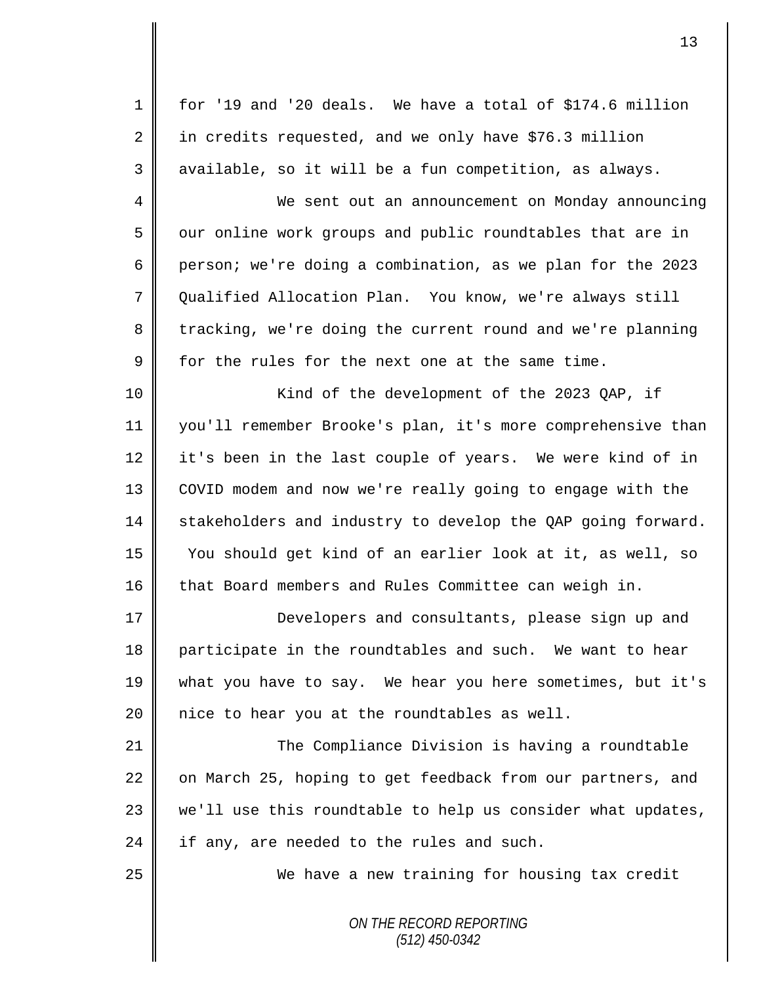*ON THE RECORD REPORTING* 1 for '19 and '20 deals. We have a total of \$174.6 million  $2 \parallel$  in credits requested, and we only have \$76.3 million 3 || available, so it will be a fun competition, as always. 4 We sent out an announcement on Monday announcing 5 | our online work groups and public roundtables that are in 6 person; we're doing a combination, as we plan for the 2023 7 | Oualified Allocation Plan. You know, we're always still 8 tracking, we're doing the current round and we're planning  $9 \parallel$  for the rules for the next one at the same time. 10 || Kind of the development of the 2023 QAP, if 11 you'll remember Brooke's plan, it's more comprehensive than 12 it's been in the last couple of years. We were kind of in 13 COVID modem and now we're really going to engage with the 14 stakeholders and industry to develop the QAP going forward. 15 You should get kind of an earlier look at it, as well, so 16 that Board members and Rules Committee can weigh in. 17 || Developers and consultants, please sign up and 18 participate in the roundtables and such. We want to hear 19 what you have to say. We hear you here sometimes, but it's  $20$  | nice to hear you at the roundtables as well. 21 **The Compliance Division is having a roundtable** 22 on March 25, hoping to get feedback from our partners, and  $23$  we'll use this roundtable to help us consider what updates,  $24$  | if any, are needed to the rules and such. 25 We have a new training for housing tax credit

*(512) 450-0342*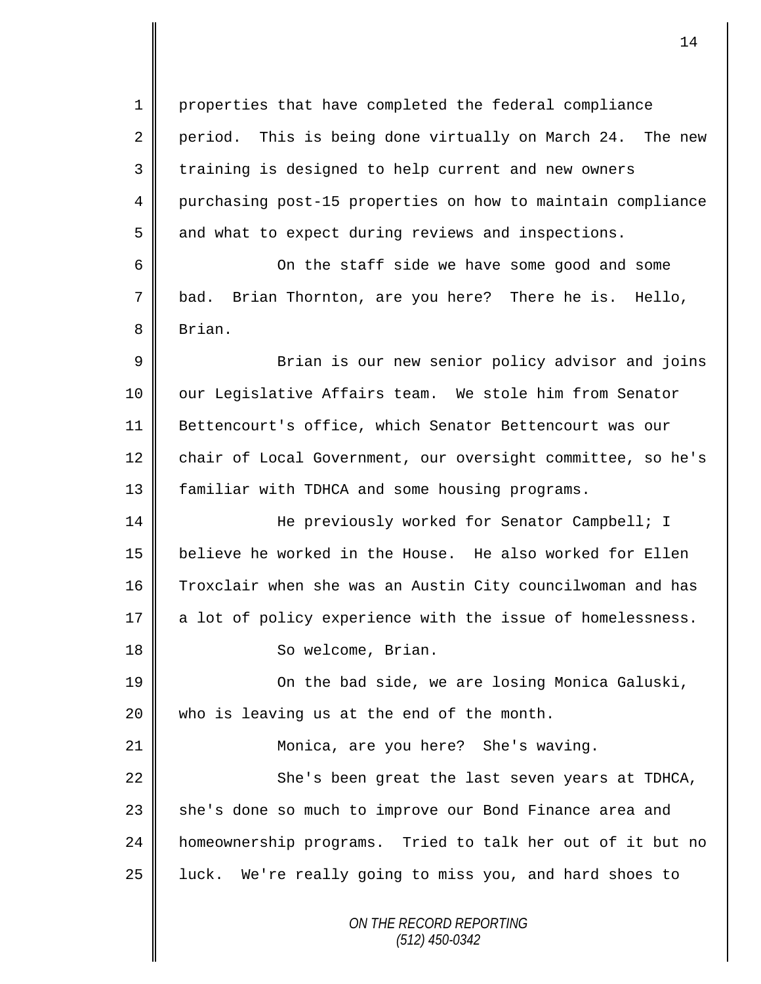*ON THE RECORD REPORTING (512) 450-0342* 1 properties that have completed the federal compliance  $2 \parallel$  period. This is being done virtually on March 24. The new 3 || training is designed to help current and new owners 4 purchasing post-15 properties on how to maintain compliance  $5 \parallel$  and what to expect during reviews and inspections. 6 On the staff side we have some good and some 7 bad. Brian Thornton, are you here? There he is. Hello, 8 Brian. 9 || Brian is our new senior policy advisor and joins 10 || our Legislative Affairs team. We stole him from Senator 11 Bettencourt's office, which Senator Bettencourt was our 12 chair of Local Government, our oversight committee, so he's 13 | familiar with TDHCA and some housing programs. 14 He previously worked for Senator Campbell; I 15 believe he worked in the House. He also worked for Ellen 16 Troxclair when she was an Austin City councilwoman and has 17 a lot of policy experience with the issue of homelessness. 18 | So welcome, Brian. 19 **On the bad side, we are losing Monica Galuski**,  $20$  | who is leaving us at the end of the month. 21 Monica, are you here? She's waving. 22 || She's been great the last seven years at TDHCA, 23 | she's done so much to improve our Bond Finance area and 24 homeownership programs. Tried to talk her out of it but no 25 || luck. We're really going to miss you, and hard shoes to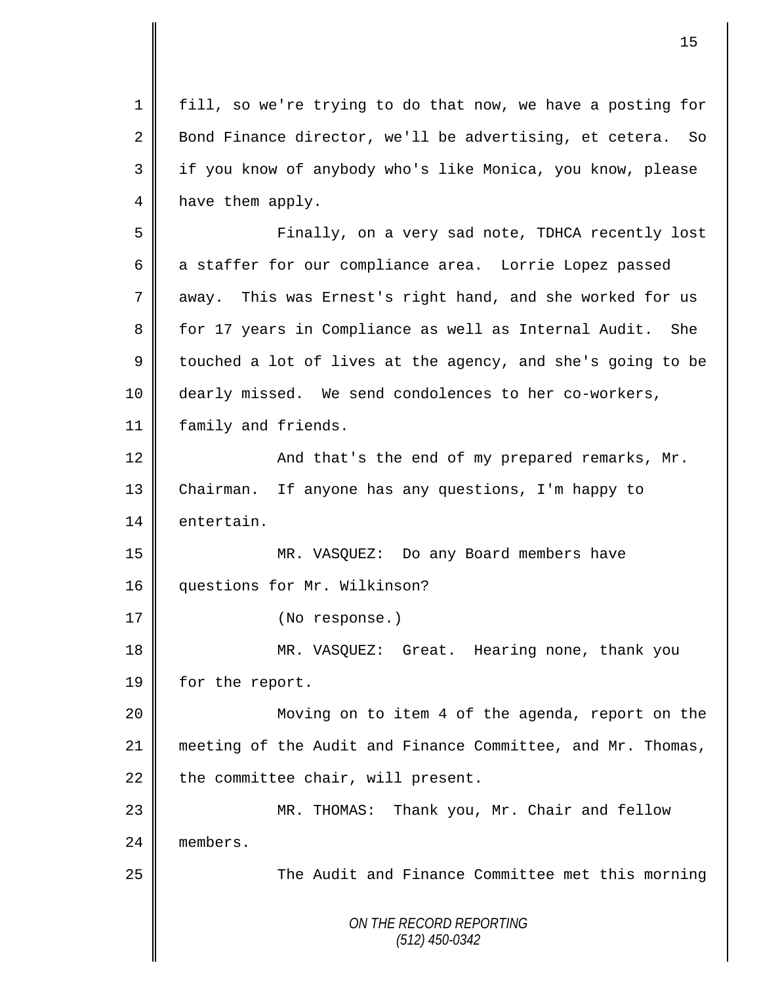*ON THE RECORD REPORTING (512) 450-0342* 1 fill, so we're trying to do that now, we have a posting for 2 Bond Finance director, we'll be advertising, et cetera. So 3 if you know of anybody who's like Monica, you know, please 4 have them apply. 5 Finally, on a very sad note, TDHCA recently lost 6 a staffer for our compliance area. Lorrie Lopez passed 7 away. This was Ernest's right hand, and she worked for us 8 for 17 years in Compliance as well as Internal Audit. She 9 touched a lot of lives at the agency, and she's going to be 10 dearly missed. We send condolences to her co-workers, 11 | family and friends. 12 | And that's the end of my prepared remarks, Mr. 13 Chairman. If anyone has any questions, I'm happy to 14 entertain. 15 MR. VASQUEZ: Do any Board members have 16 | questions for Mr. Wilkinson? 17 | (No response.) 18 MR. VASQUEZ: Great. Hearing none, thank you 19 | for the report. 20 Moving on to item 4 of the agenda, report on the 21 meeting of the Audit and Finance Committee, and Mr. Thomas, 22  $\parallel$  the committee chair, will present. 23 MR. THOMAS: Thank you, Mr. Chair and fellow 24 **m**embers. 25 || The Audit and Finance Committee met this morning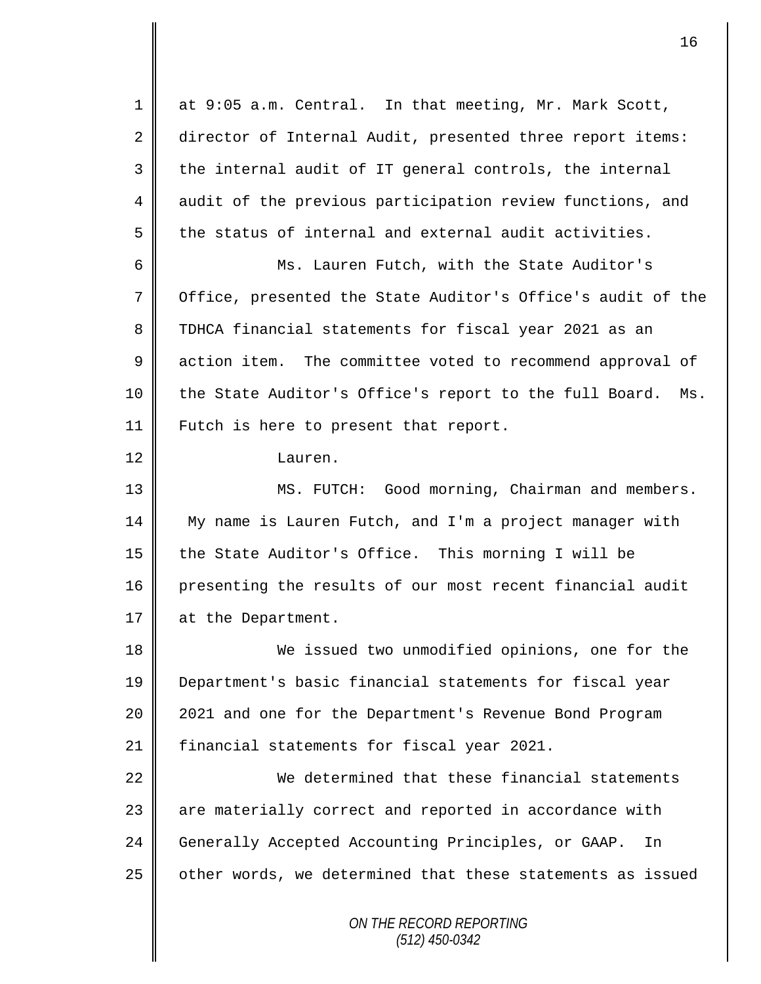*ON THE RECORD REPORTING (512) 450-0342* 1 at 9:05 a.m. Central. In that meeting, Mr. Mark Scott, 2 director of Internal Audit, presented three report items:  $3 \parallel$  the internal audit of IT general controls, the internal 4 audit of the previous participation review functions, and  $5 \parallel$  the status of internal and external audit activities. 6 Ms. Lauren Futch, with the State Auditor's 7 | Office, presented the State Auditor's Office's audit of the 8 TDHCA financial statements for fiscal year 2021 as an 9 action item. The committee voted to recommend approval of 10 || the State Auditor's Office's report to the full Board. Ms. 11 | Futch is here to present that report. 12 Lauren. 13 || MS. FUTCH: Good morning, Chairman and members. 14 My name is Lauren Futch, and I'm a project manager with 15 the State Auditor's Office. This morning I will be 16 presenting the results of our most recent financial audit 17 at the Department. 18 We issued two unmodified opinions, one for the 19 Department's basic financial statements for fiscal year 20 | 2021 and one for the Department's Revenue Bond Program 21 financial statements for fiscal year 2021. 22 We determined that these financial statements 23 | are materially correct and reported in accordance with 24 Generally Accepted Accounting Principles, or GAAP. In  $25$  | other words, we determined that these statements as issued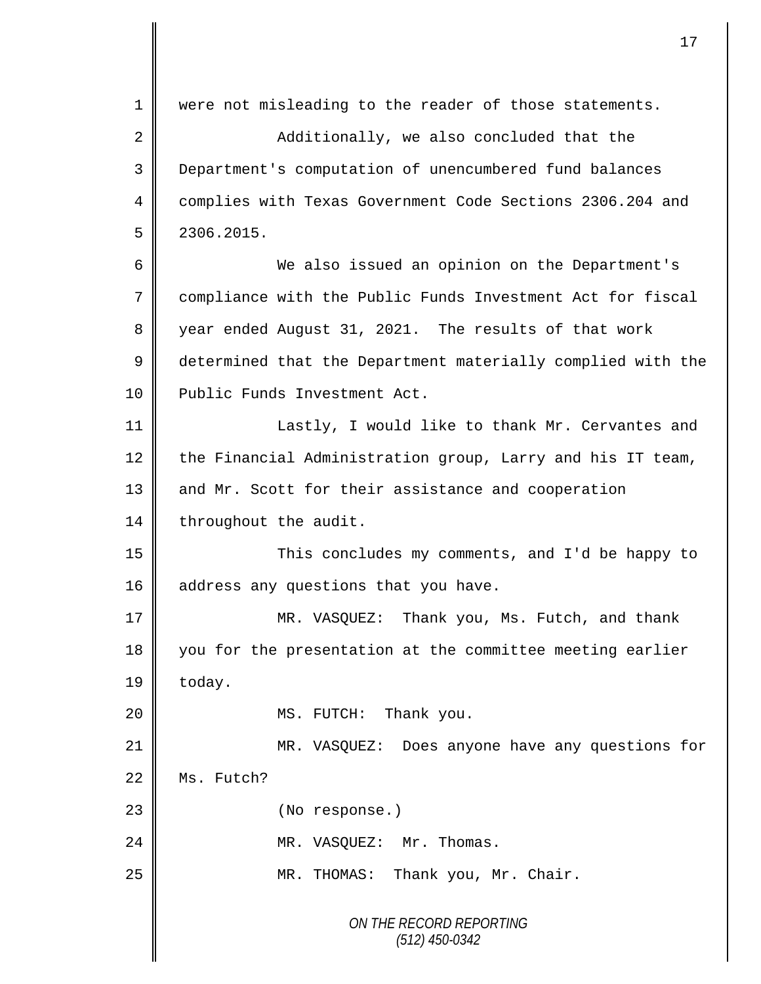*ON THE RECORD REPORTING (512) 450-0342* 1 were not misleading to the reader of those statements. 2 Additionally, we also concluded that the 3 Department's computation of unencumbered fund balances 4 complies with Texas Government Code Sections 2306.204 and  $5 \parallel 2306.2015.$ 6 We also issued an opinion on the Department's 7 compliance with the Public Funds Investment Act for fiscal 8 year ended August 31, 2021. The results of that work 9 determined that the Department materially complied with the 10 | Public Funds Investment Act. 11 **EXECUTE:** Lastly, I would like to thank Mr. Cervantes and 12 the Financial Administration group, Larry and his IT team, 13 and Mr. Scott for their assistance and cooperation 14 | throughout the audit. 15 This concludes my comments, and I'd be happy to 16  $\parallel$  address any questions that you have. 17 WR. VASQUEZ: Thank you, Ms. Futch, and thank 18 you for the presentation at the committee meeting earlier  $19 \parallel$  today. 20 **||** MS. FUTCH: Thank you. 21 MR. VASQUEZ: Does anyone have any questions for 22 Ms. Futch? 23 || (No response.) 24 || MR. VASQUEZ: Mr. Thomas. 25 || MR. THOMAS: Thank you, Mr. Chair.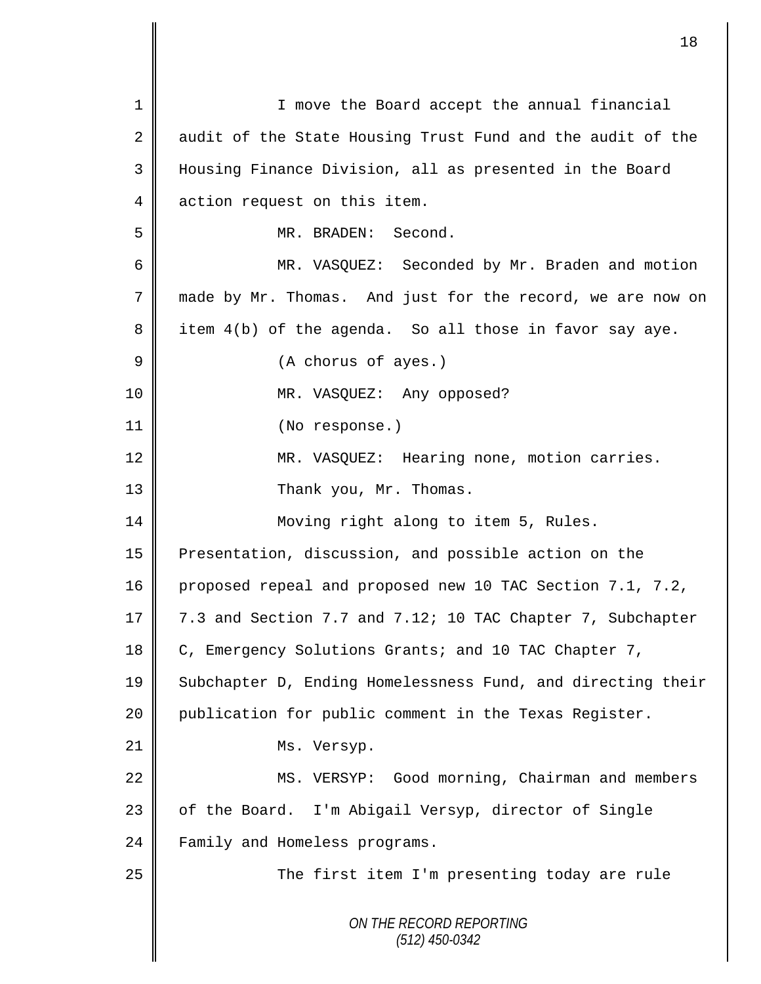| $\mathbf 1$    | I move the Board accept the annual financial                |
|----------------|-------------------------------------------------------------|
| $\overline{2}$ | audit of the State Housing Trust Fund and the audit of the  |
| 3              | Housing Finance Division, all as presented in the Board     |
| 4              | action request on this item.                                |
| 5              | MR. BRADEN: Second.                                         |
| 6              | MR. VASQUEZ: Seconded by Mr. Braden and motion              |
| 7              | made by Mr. Thomas. And just for the record, we are now on  |
| 8              | item 4(b) of the agenda. So all those in favor say aye.     |
| $\mathsf 9$    | (A chorus of ayes.)                                         |
| 10             | MR. VASQUEZ: Any opposed?                                   |
| 11             | (No response.)                                              |
| 12             | MR. VASQUEZ: Hearing none, motion carries.                  |
| 13             | Thank you, Mr. Thomas.                                      |
| 14             | Moving right along to item 5, Rules.                        |
| 15             | Presentation, discussion, and possible action on the        |
| 16             | proposed repeal and proposed new 10 TAC Section 7.1, 7.2,   |
| 17             | 7.3 and Section 7.7 and 7.12; 10 TAC Chapter 7, Subchapter  |
| 18             | C, Emergency Solutions Grants; and 10 TAC Chapter 7,        |
| 19             | Subchapter D, Ending Homelessness Fund, and directing their |
| 20             | publication for public comment in the Texas Register.       |
| 21             | Ms. Versyp.                                                 |
| 22             | MS. VERSYP: Good morning, Chairman and members              |
| 23             | of the Board. I'm Abigail Versyp, director of Single        |
| 24             | Family and Homeless programs.                               |
| 25             | The first item I'm presenting today are rule                |
|                | ON THE RECORD REPORTING<br>$(512)$ 450-0342                 |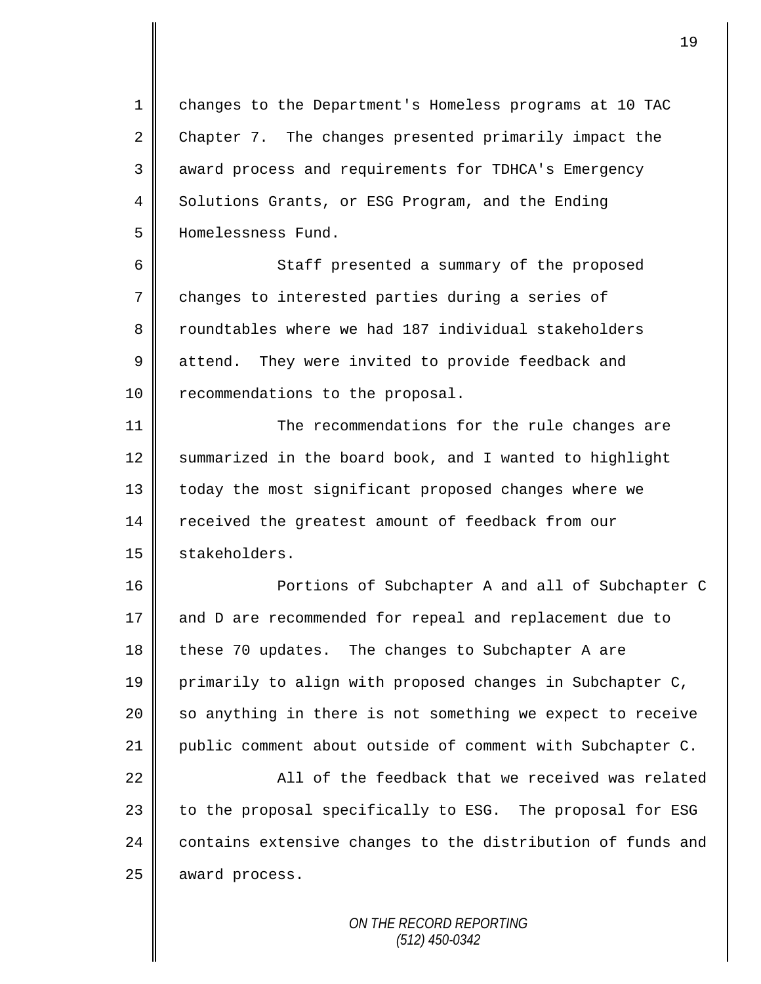1 changes to the Department's Homeless programs at 10 TAC 2 Chapter 7. The changes presented primarily impact the 3 || award process and requirements for TDHCA's Emergency 4 Solutions Grants, or ESG Program, and the Ending 5 Homelessness Fund.

6 Staff presented a summary of the proposed  $7 \parallel$  changes to interested parties during a series of 8 T roundtables where we had 187 individual stakeholders 9 attend. They were invited to provide feedback and 10 | recommendations to the proposal.

11 **The recommendations for the rule changes are** 12 Summarized in the board book, and I wanted to highlight 13 | today the most significant proposed changes where we 14 received the greatest amount of feedback from our 15 | stakeholders.

16 || Portions of Subchapter A and all of Subchapter C 17 and D are recommended for repeal and replacement due to 18 these 70 updates. The changes to Subchapter A are 19 primarily to align with proposed changes in Subchapter C,  $20$  so anything in there is not something we expect to receive 21 public comment about outside of comment with Subchapter C.

 $22$   $\parallel$   $\parallel$   $\parallel$   $\parallel$   $\parallel$   $\parallel$  of the feedback that we received was related 23 | to the proposal specifically to ESG. The proposal for ESG 24 contains extensive changes to the distribution of funds and 25 award process.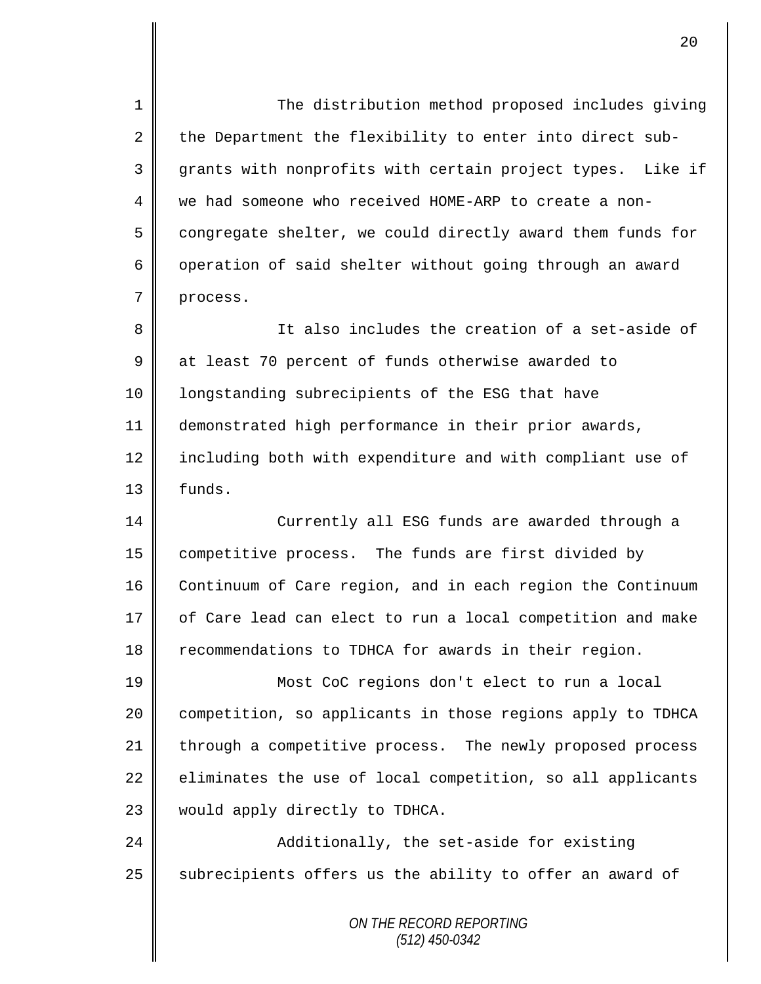1 The distribution method proposed includes giving 2 the Department the flexibility to enter into direct sub-3 grants with nonprofits with certain project types. Like if 4 we had someone who received HOME-ARP to create a non- $5 \parallel$  congregate shelter, we could directly award them funds for 6 | operation of said shelter without going through an award 7 process. 8 || It also includes the creation of a set-aside of 9 at least 70 percent of funds otherwise awarded to 10 | longstanding subrecipients of the ESG that have 11 demonstrated high performance in their prior awards, 12 | including both with expenditure and with compliant use of 13 | funds. 14 Currently all ESG funds are awarded through a 15 | competitive process. The funds are first divided by 16 Continuum of Care region, and in each region the Continuum

17 of Care lead can elect to run a local competition and make 18 Tecommendations to TDHCA for awards in their region.

19 Most CoC regions don't elect to run a local 20 | competition, so applicants in those regions apply to TDHCA 21 through a competitive process. The newly proposed process  $22$  eliminates the use of local competition, so all applicants 23 would apply directly to TDHCA.

24 **Additionally, the set-aside for existing**  $25$  subrecipients offers us the ability to offer an award of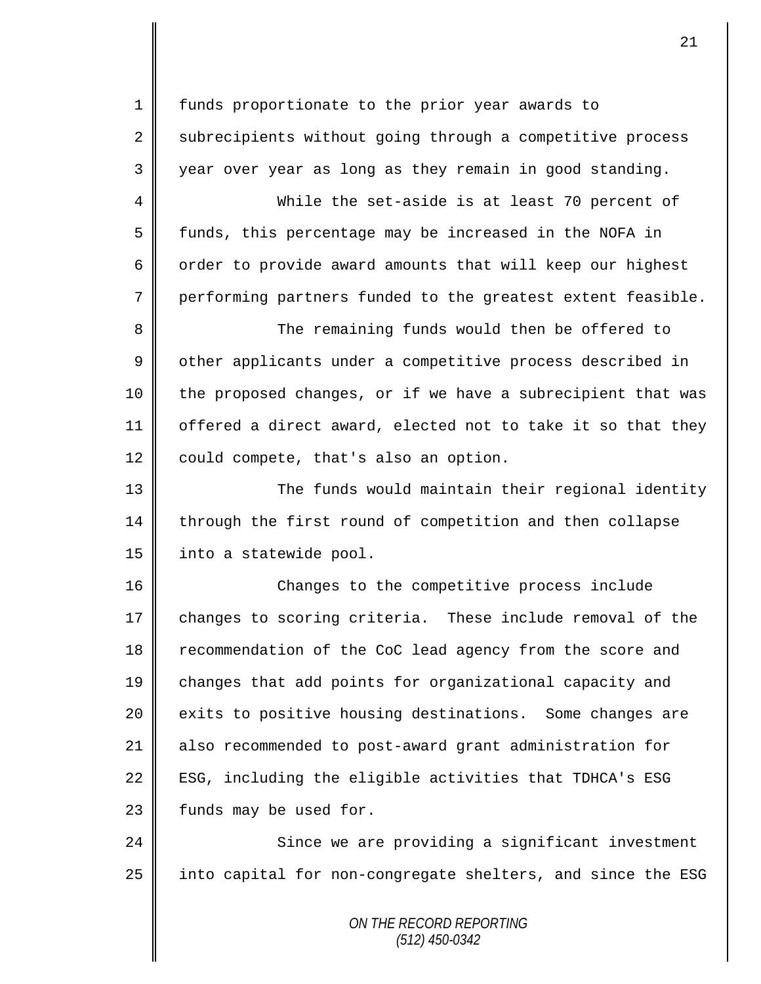1 funds proportionate to the prior year awards to  $2 \parallel$  subrecipients without going through a competitive process  $3 \parallel$  year over year as long as they remain in good standing.

 While the set-aside is at least 70 percent of 5 funds, this percentage may be increased in the NOFA in  $\parallel$  order to provide award amounts that will keep our highest performing partners funded to the greatest extent feasible.

8 The remaining funds would then be offered to 9 | other applicants under a competitive process described in 10 || the proposed changes, or if we have a subrecipient that was 11  $\parallel$  offered a direct award, elected not to take it so that they  $12 \parallel$  could compete, that's also an option.

13 || The funds would maintain their regional identity 14 through the first round of competition and then collapse 15 | into a statewide pool.

16 || Changes to the competitive process include 17 changes to scoring criteria. These include removal of the 18 recommendation of the CoC lead agency from the score and 19 changes that add points for organizational capacity and 20 exits to positive housing destinations. Some changes are 21 also recommended to post-award grant administration for 22  $\parallel$  ESG, including the eligible activities that TDHCA's ESG  $23$  | funds may be used for.

24 Since we are providing a significant investment  $25$  into capital for non-congregate shelters, and since the ESG

> *ON THE RECORD REPORTING (512) 450-0342*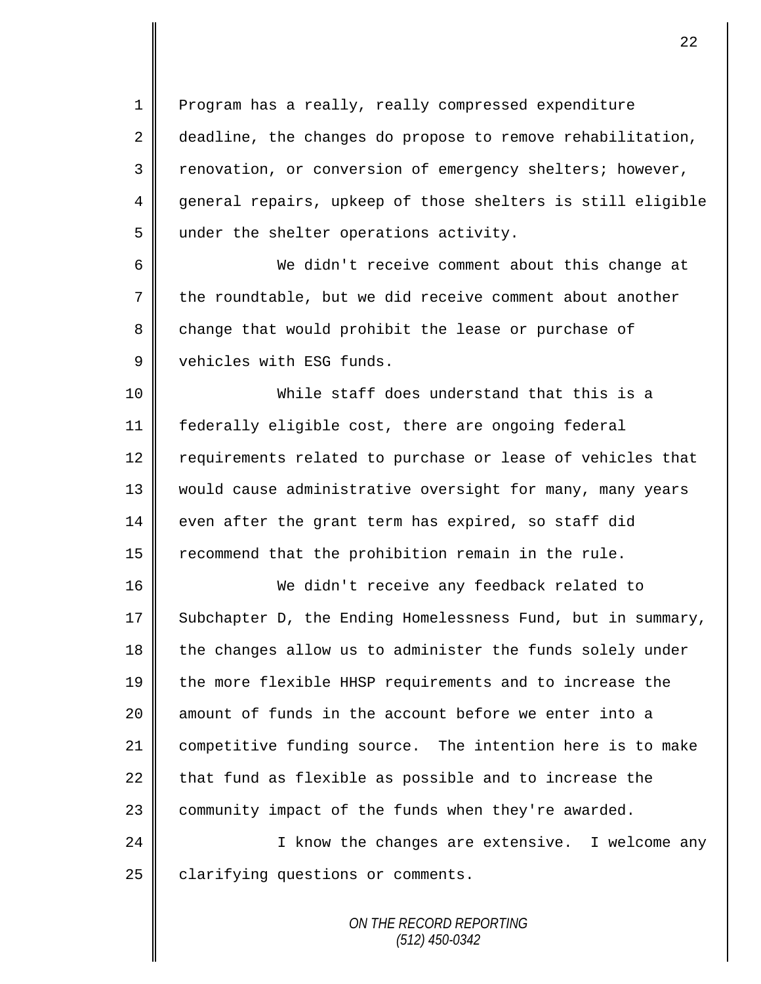1 Program has a really, really compressed expenditure 2 deadline, the changes do propose to remove rehabilitation, 3 Tenovation, or conversion of emergency shelters; however, 4 general repairs, upkeep of those shelters is still eligible 5 under the shelter operations activity.

6 We didn't receive comment about this change at  $7 \parallel$  the roundtable, but we did receive comment about another 8 change that would prohibit the lease or purchase of 9 Vehicles with ESG funds.

 While staff does understand that this is a federally eligible cost, there are ongoing federal 12 | requirements related to purchase or lease of vehicles that 13 || would cause administrative oversight for many, many years even after the grant term has expired, so staff did  $\parallel$  recommend that the prohibition remain in the rule.

16 We didn't receive any feedback related to 17 Subchapter D, the Ending Homelessness Fund, but in summary, 18 the changes allow us to administer the funds solely under 19 the more flexible HHSP requirements and to increase the 20  $\parallel$  amount of funds in the account before we enter into a 21 competitive funding source. The intention here is to make 22  $\parallel$  that fund as flexible as possible and to increase the 23 | community impact of the funds when they're awarded.

24 || I know the changes are extensive. I welcome any 25 | clarifying questions or comments.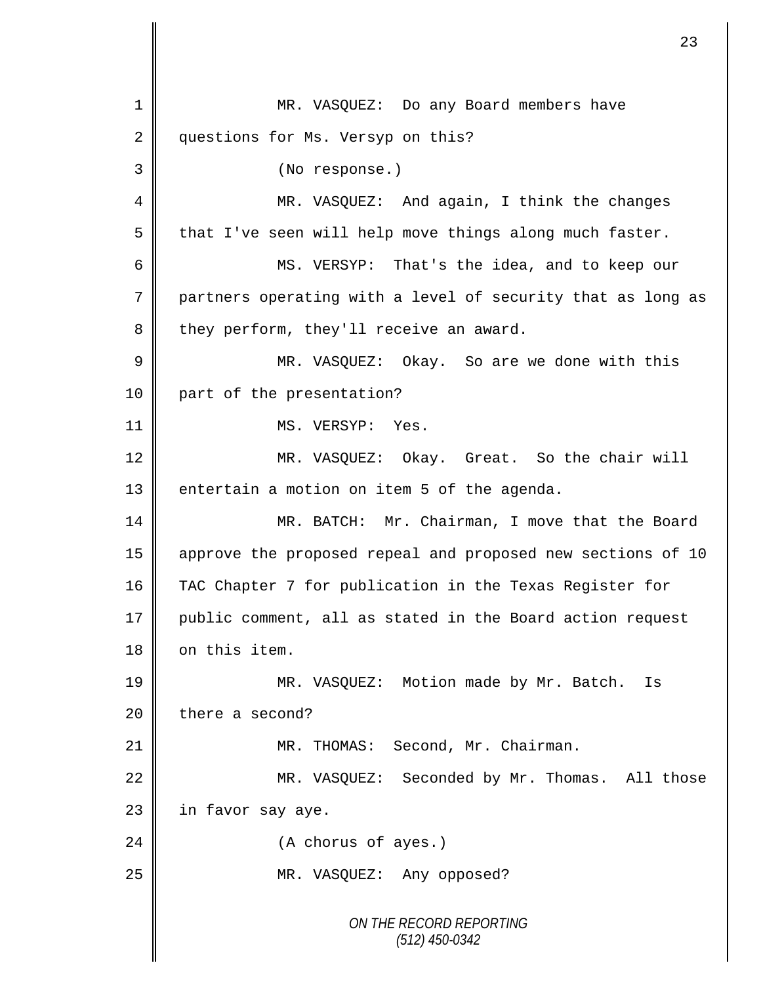*ON THE RECORD REPORTING (512) 450-0342* 1 MR. VASQUEZ: Do any Board members have 2 questions for Ms. Versyp on this? 3 (No response.) 4 || MR. VASQUEZ: And again, I think the changes  $5 \parallel$  that I've seen will help move things along much faster. 6 MS. VERSYP: That's the idea, and to keep our 7 partners operating with a level of security that as long as  $8$  they perform, they'll receive an award. 9 || MR. VASQUEZ: Okay. So are we done with this 10 || part of the presentation? 11 || MS. VERSYP: Yes. 12 MR. VASQUEZ: Okay. Great. So the chair will 13 | entertain a motion on item 5 of the agenda. 14 MR. BATCH: Mr. Chairman, I move that the Board 15 approve the proposed repeal and proposed new sections of 10 16 TAC Chapter 7 for publication in the Texas Register for 17 public comment, all as stated in the Board action request 18 | on this item. 19 || MR. VASQUEZ: Motion made by Mr. Batch. Is 20 there a second? 21 | MR. THOMAS: Second, Mr. Chairman. 22 MR. VASQUEZ: Seconded by Mr. Thomas. All those  $23$  | in favor say aye. 24 | (A chorus of ayes.) 25 || MR. VASQUEZ: Any opposed?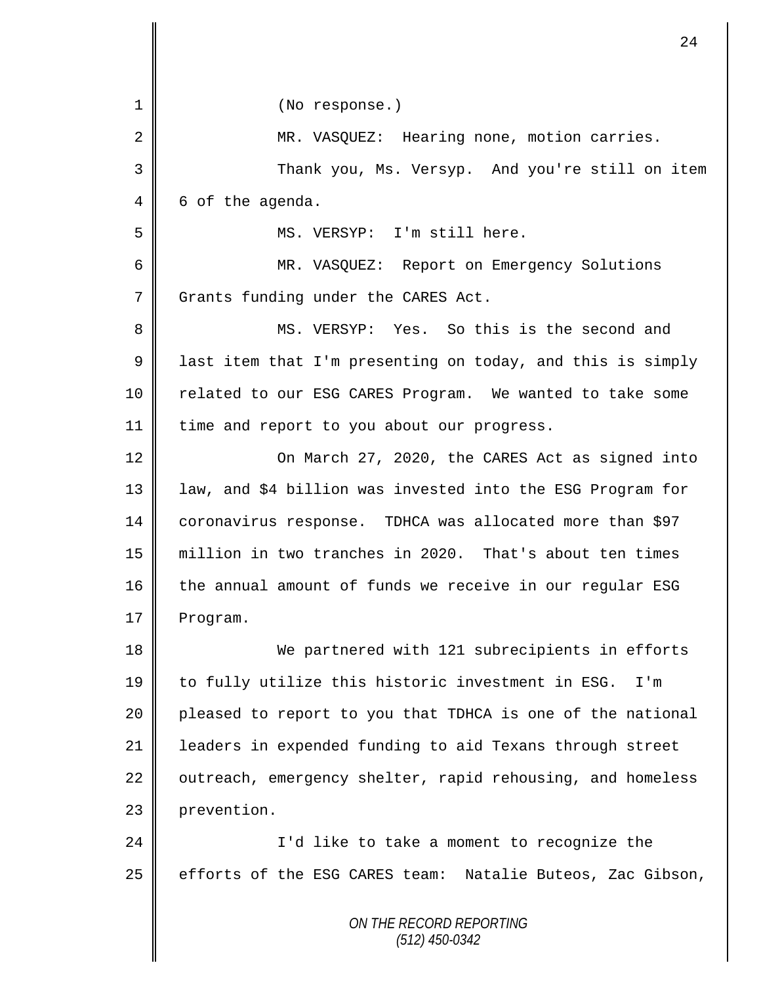| $\mathbf 1$    | (No response.)                                             |
|----------------|------------------------------------------------------------|
| $\overline{2}$ | MR. VASQUEZ: Hearing none, motion carries.                 |
| 3              | Thank you, Ms. Versyp. And you're still on item            |
| 4              | 6 of the agenda.                                           |
| 5              | MS. VERSYP: I'm still here.                                |
| 6              | MR. VASQUEZ: Report on Emergency Solutions                 |
| 7              | Grants funding under the CARES Act.                        |
| 8              | MS. VERSYP: Yes. So this is the second and                 |
| 9              | last item that I'm presenting on today, and this is simply |
| 10             | related to our ESG CARES Program. We wanted to take some   |
| 11             | time and report to you about our progress.                 |
| 12             | On March 27, 2020, the CARES Act as signed into            |
| 13             | law, and \$4 billion was invested into the ESG Program for |
| 14             | coronavirus response. TDHCA was allocated more than \$97   |
| 15             | million in two tranches in 2020. That's about ten times    |
| 16             | the annual amount of funds we receive in our regular ESG   |
| 17             | Program.                                                   |
| 18             | We partnered with 121 subrecipients in efforts             |
| 19             | to fully utilize this historic investment in ESG.<br>I'm   |
| 20             | pleased to report to you that TDHCA is one of the national |
| 21             | leaders in expended funding to aid Texans through street   |
| 22             | outreach, emergency shelter, rapid rehousing, and homeless |
| 23             | prevention.                                                |
| 24             | I'd like to take a moment to recognize the                 |
| 25             | efforts of the ESG CARES team: Natalie Buteos, Zac Gibson, |
|                | ON THE RECORD REPORTING                                    |

 $\begin{matrix} \phantom{-} \end{matrix}$ 

Ш II *(512) 450-0342*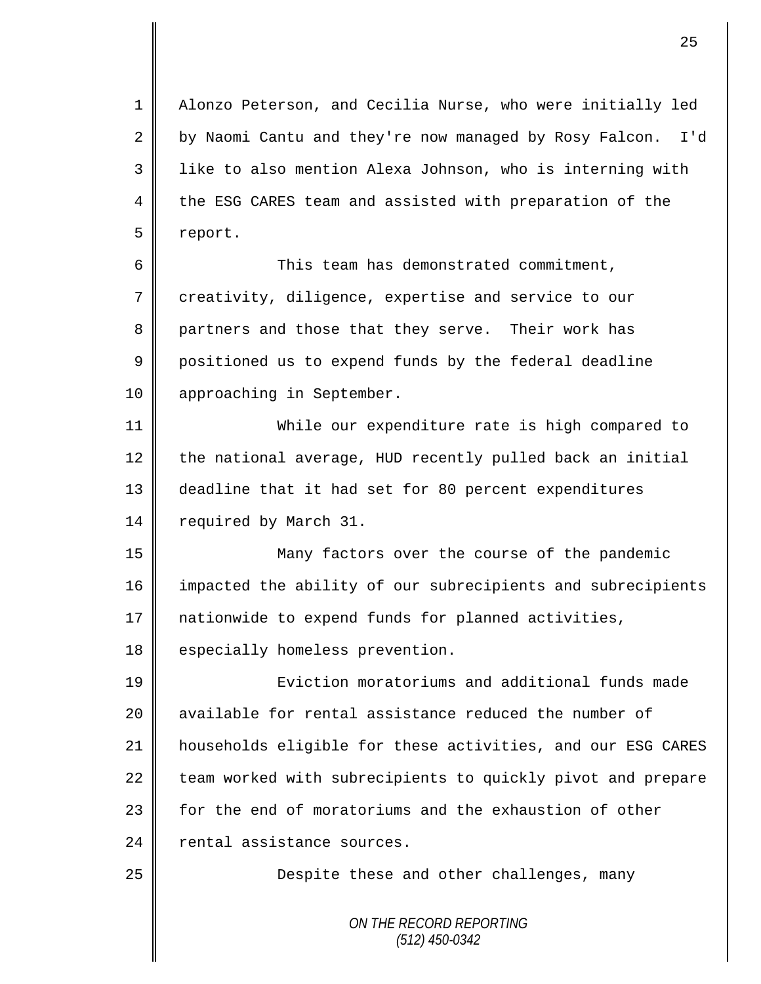1 Alonzo Peterson, and Cecilia Nurse, who were initially led 2 by Naomi Cantu and they're now managed by Rosy Falcon. I'd 3 | like to also mention Alexa Johnson, who is interning with 4 the ESG CARES team and assisted with preparation of the 5 report.

6 This team has demonstrated commitment, 7 creativity, diligence, expertise and service to our 8 partners and those that they serve. Their work has 9 positioned us to expend funds by the federal deadline 10 | approaching in September.

11 While our expenditure rate is high compared to 12 the national average, HUD recently pulled back an initial 13 deadline that it had set for 80 percent expenditures 14 | required by March 31.

15 Many factors over the course of the pandemic 16 impacted the ability of our subrecipients and subrecipients 17 | nationwide to expend funds for planned activities, 18 especially homeless prevention.

 Eviction moratoriums and additional funds made **a** available for rental assistance reduced the number of households eligible for these activities, and our ESG CARES team worked with subrecipients to quickly pivot and prepare 23 | for the end of moratoriums and the exhaustion of other 24 rental assistance sources.

25 | Despite these and other challenges, many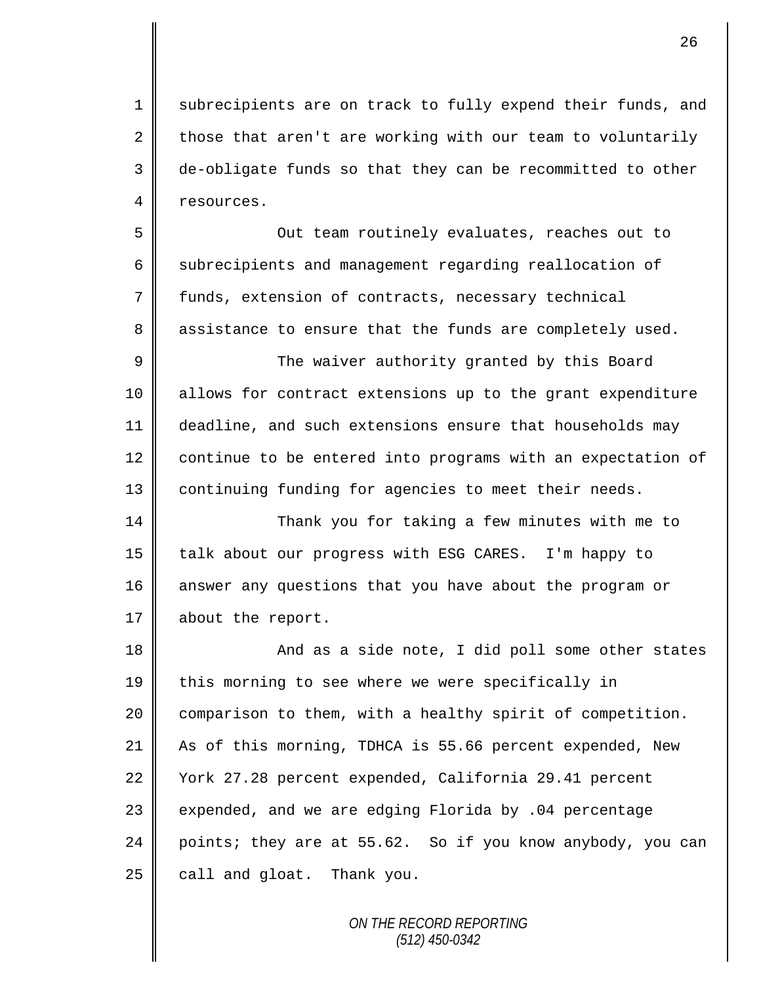1 subrecipients are on track to fully expend their funds, and 2 those that aren't are working with our team to voluntarily 3 de-obligate funds so that they can be recommitted to other 4 resources.

5 Out team routinely evaluates, reaches out to 6 subrecipients and management regarding reallocation of 7 funds, extension of contracts, necessary technical 8 assistance to ensure that the funds are completely used.

9 The waiver authority granted by this Board 10 allows for contract extensions up to the grant expenditure 11 deadline, and such extensions ensure that households may 12 continue to be entered into programs with an expectation of 13 | continuing funding for agencies to meet their needs.

14 || Thank you for taking a few minutes with me to 15 || talk about our progress with ESG CARES. I'm happy to 16 answer any questions that you have about the program or 17 about the report.

18 || And as a side note, I did poll some other states 19 this morning to see where we were specifically in 20 | comparison to them, with a healthy spirit of competition. 21 As of this morning, TDHCA is 55.66 percent expended, New 22 Vork 27.28 percent expended, California 29.41 percent  $23$  expended, and we are edging Florida by .04 percentage 24 points; they are at 55.62. So if you know anybody, you can  $25$  call and gloat. Thank you.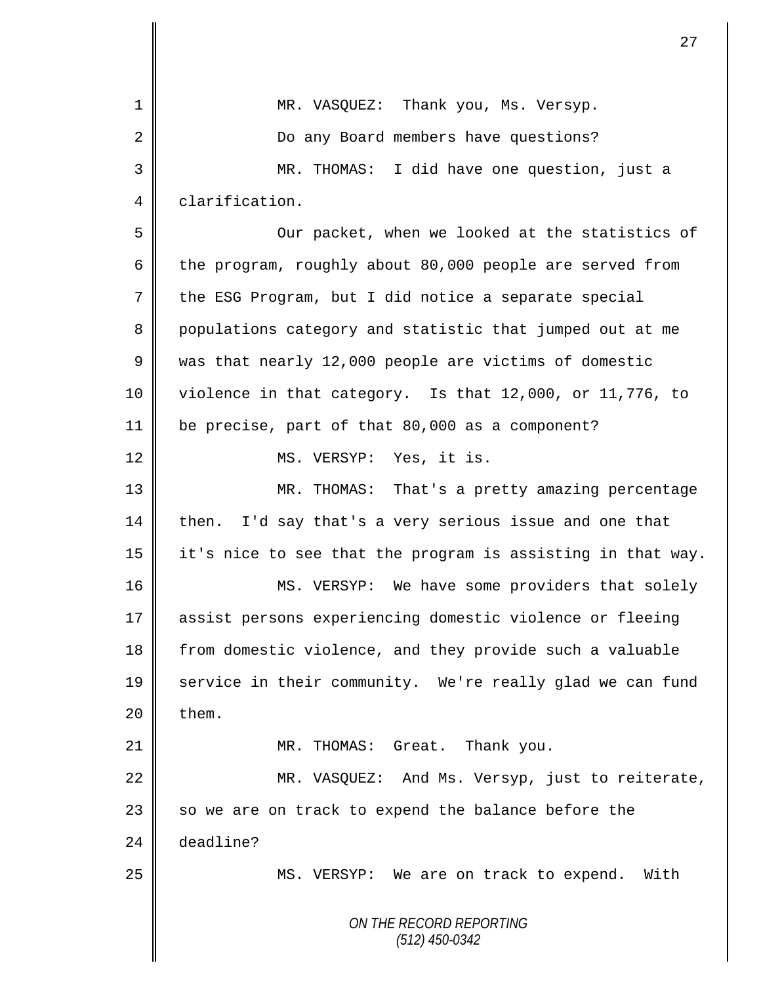|    | 27                                                          |
|----|-------------------------------------------------------------|
|    |                                                             |
| 1  | MR. VASQUEZ: Thank you, Ms. Versyp.                         |
| 2  | Do any Board members have questions?                        |
| 3  | I did have one question, just a<br>MR. THOMAS:              |
| 4  | clarification.                                              |
| 5  | Our packet, when we looked at the statistics of             |
| 6  | the program, roughly about 80,000 people are served from    |
| 7  | the ESG Program, but I did notice a separate special        |
| 8  | populations category and statistic that jumped out at me    |
| 9  | was that nearly 12,000 people are victims of domestic       |
| 10 | violence in that category. Is that 12,000, or 11,776, to    |
| 11 | be precise, part of that 80,000 as a component?             |
| 12 | MS. VERSYP: Yes, it is.                                     |
| 13 | MR. THOMAS:<br>That's a pretty amazing percentage           |
| 14 | I'd say that's a very serious issue and one that<br>then.   |
| 15 | it's nice to see that the program is assisting in that way. |
| 16 | MS. VERSYP: We have some providers that solely              |
| 17 | assist persons experiencing domestic violence or fleeing    |
| 18 | from domestic violence, and they provide such a valuable    |
| 19 | service in their community. We're really glad we can fund   |
| 20 | them.                                                       |
| 21 | MR. THOMAS: Great. Thank you.                               |
| 22 | MR. VASQUEZ: And Ms. Versyp, just to reiterate,             |
| 23 | so we are on track to expend the balance before the         |
| 24 | deadline?                                                   |
| 25 | MS. VERSYP: We are on track to expend. With                 |
|    | ON THE RECORD REPORTING<br>$(512)$ 450-0342                 |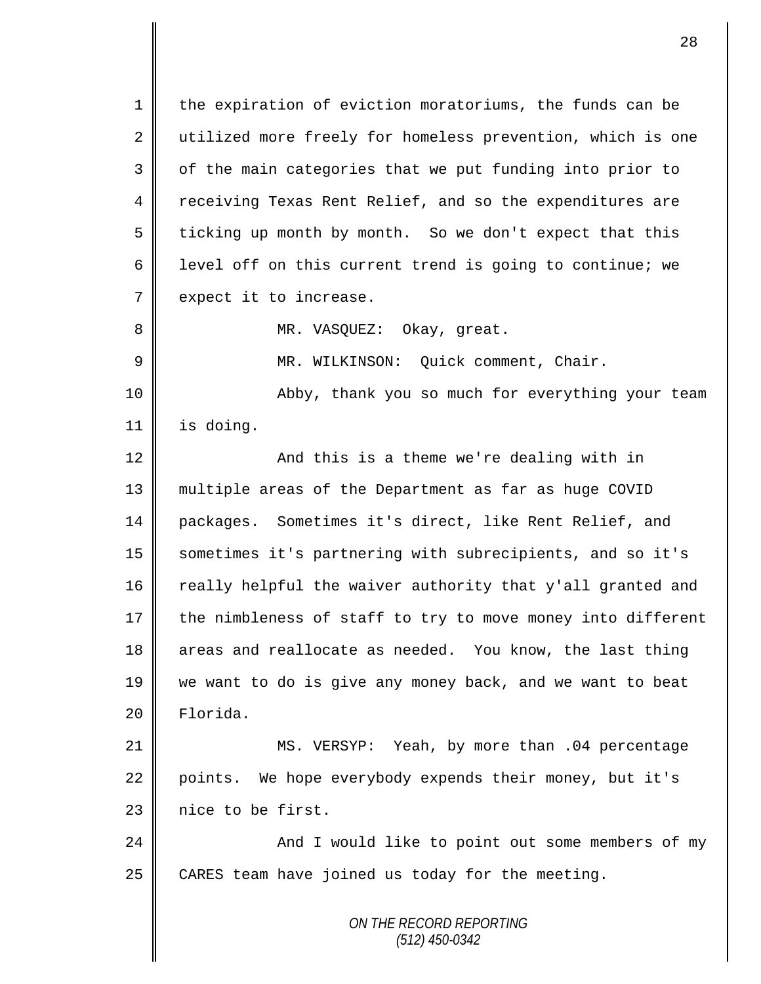1 | the expiration of eviction moratoriums, the funds can be 2 || utilized more freely for homeless prevention, which is one 3 | of the main categories that we put funding into prior to 4 Teceiving Texas Rent Relief, and so the expenditures are 5 ticking up month by month. So we don't expect that this 6 | level off on this current trend is going to continue; we 7 expect it to increase. 8 || MR. VASQUEZ: Okay, great. 9 || MR. WILKINSON: Quick comment, Chair. 10 || Abby, thank you so much for everything your team 11 is doing. 12 And this is a theme we're dealing with in 13 multiple areas of the Department as far as huge COVID 14 packages. Sometimes it's direct, like Rent Relief, and 15 sometimes it's partnering with subrecipients, and so it's 16 really helpful the waiver authority that y'all granted and  $17$  the nimbleness of staff to try to move money into different 18 areas and reallocate as needed. You know, the last thing 19 we want to do is give any money back, and we want to beat 20 Florida. 21 MS. VERSYP: Yeah, by more than .04 percentage

22 points. We hope everybody expends their money, but it's  $23$  | nice to be first.

24 And I would like to point out some members of my 25  $\parallel$  CARES team have joined us today for the meeting.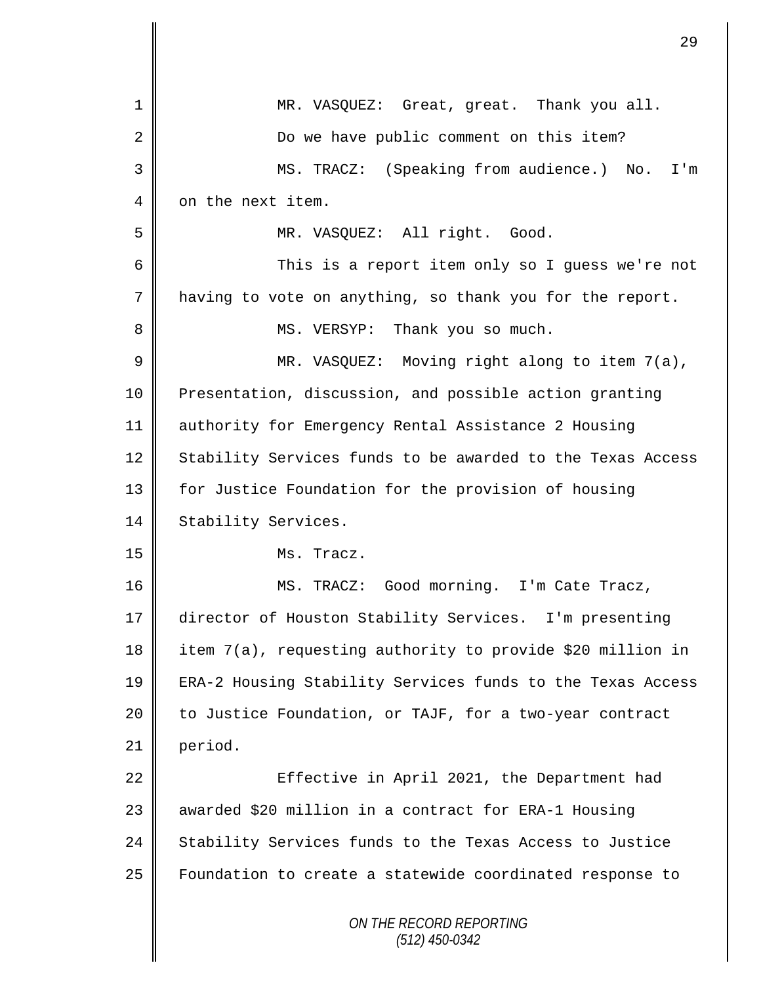|    | 29                                                         |
|----|------------------------------------------------------------|
| 1  | MR. VASQUEZ: Great, great. Thank you all.                  |
| 2  | Do we have public comment on this item?                    |
| 3  | MS. TRACZ: (Speaking from audience.) No. I'm               |
| 4  | on the next item.                                          |
| 5  | MR. VASQUEZ: All right. Good.                              |
| 6  | This is a report item only so I guess we're not            |
| 7  | having to vote on anything, so thank you for the report.   |
| 8  | MS. VERSYP: Thank you so much.                             |
| 9  | MR. VASQUEZ: Moving right along to item 7(a),              |
| 10 | Presentation, discussion, and possible action granting     |
| 11 | authority for Emergency Rental Assistance 2 Housing        |
| 12 | Stability Services funds to be awarded to the Texas Access |
| 13 | for Justice Foundation for the provision of housing        |
| 14 | Stability Services.                                        |
| 15 | Ms. Tracz.                                                 |
| 16 | MS. TRACZ: Good morning. I'm Cate Tracz,                   |
| 17 | director of Houston Stability Services. I'm presenting     |
| 18 | item 7(a), requesting authority to provide \$20 million in |
| 19 | ERA-2 Housing Stability Services funds to the Texas Access |
| 20 | to Justice Foundation, or TAJF, for a two-year contract    |
| 21 | period.                                                    |
| 22 | Effective in April 2021, the Department had                |
| 23 | awarded \$20 million in a contract for ERA-1 Housing       |
| 24 | Stability Services funds to the Texas Access to Justice    |
| 25 | Foundation to create a statewide coordinated response to   |
|    | ON THE RECORD REPORTING<br>$(512)$ 450-0342                |

 $\mathbf I$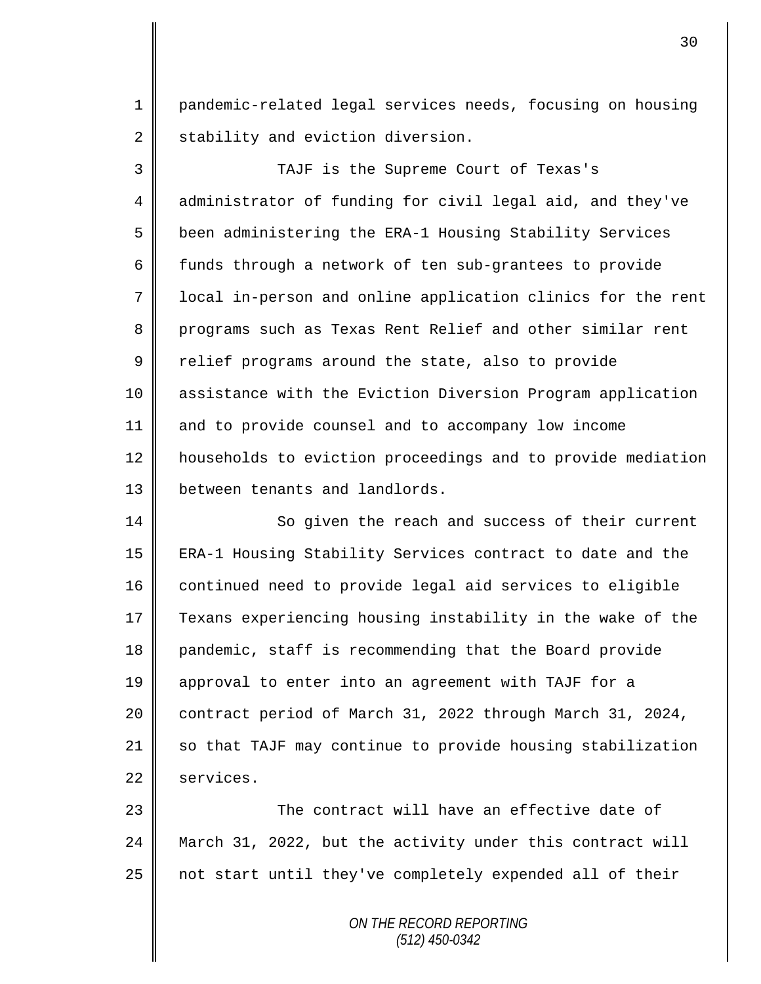pandemic-related legal services needs, focusing on housing 2 stability and eviction diversion.

 TAJF is the Supreme Court of Texas's 4 administrator of funding for civil legal aid, and they've been administering the ERA-1 Housing Stability Services  $\parallel$  funds through a network of ten sub-grantees to provide local in-person and online application clinics for the rent 8 programs such as Texas Rent Relief and other similar rent  $9 \parallel$  relief programs around the state, also to provide assistance with the Eviction Diversion Program application and to provide counsel and to accompany low income 12 | households to eviction proceedings and to provide mediation **b**etween tenants and landlords.

14 So given the reach and success of their current ERA-1 Housing Stability Services contract to date and the 16 continued need to provide legal aid services to eligible Texans experiencing housing instability in the wake of the pandemic, staff is recommending that the Board provide approval to enter into an agreement with TAJF for a contract period of March 31, 2022 through March 31, 2024, 21 so that TAJF may continue to provide housing stabilization 22 services.

 The contract will have an effective date of March 31, 2022, but the activity under this contract will not start until they've completely expended all of their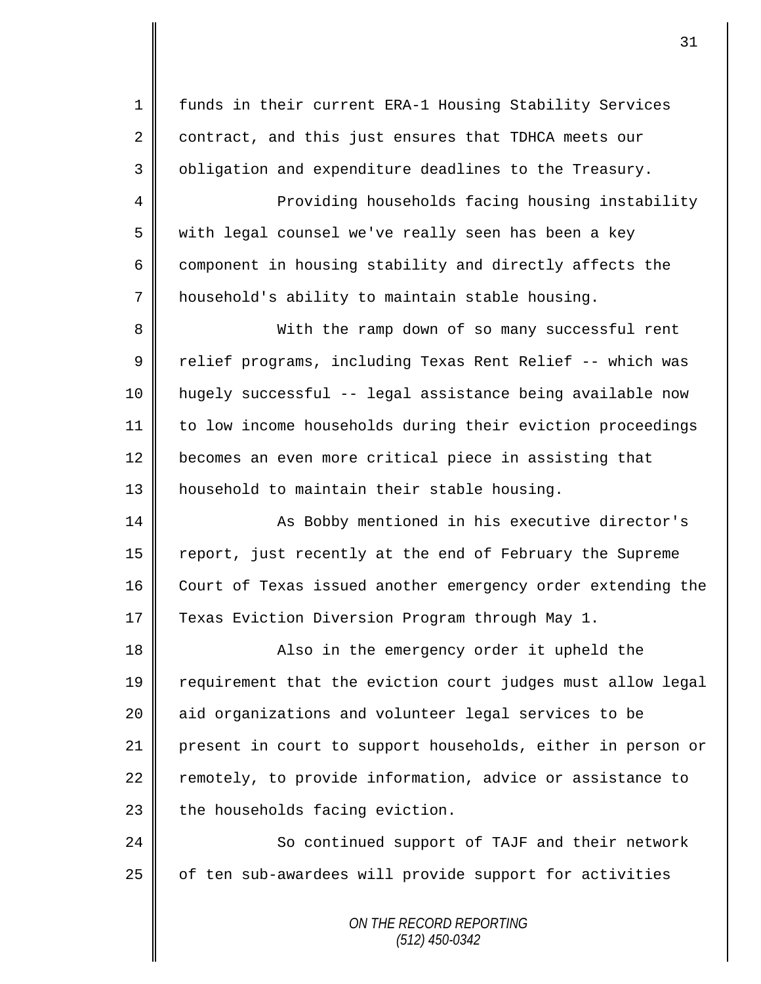*ON THE RECORD REPORTING* 1 funds in their current ERA-1 Housing Stability Services 2 contract, and this just ensures that TDHCA meets our 3 | obligation and expenditure deadlines to the Treasury. 4 || Providing households facing housing instability 5 with legal counsel we've really seen has been a key 6  $\parallel$  component in housing stability and directly affects the 7 | household's ability to maintain stable housing. 8 With the ramp down of so many successful rent 9 || relief programs, including Texas Rent Relief -- which was 10 hugely successful -- legal assistance being available now 11 to low income households during their eviction proceedings 12 becomes an even more critical piece in assisting that 13 || household to maintain their stable housing. 14 | As Bobby mentioned in his executive director's 15 | report, just recently at the end of February the Supreme 16 Court of Texas issued another emergency order extending the 17 Texas Eviction Diversion Program through May 1. 18 || Also in the emergency order it upheld the 19 | requirement that the eviction court judges must allow legal 20 || aid organizations and volunteer legal services to be 21 || present in court to support households, either in person or  $22$  remotely, to provide information, advice or assistance to  $23$  the households facing eviction. 24 So continued support of TAJF and their network 25 | of ten sub-awardees will provide support for activities

31

*(512) 450-0342*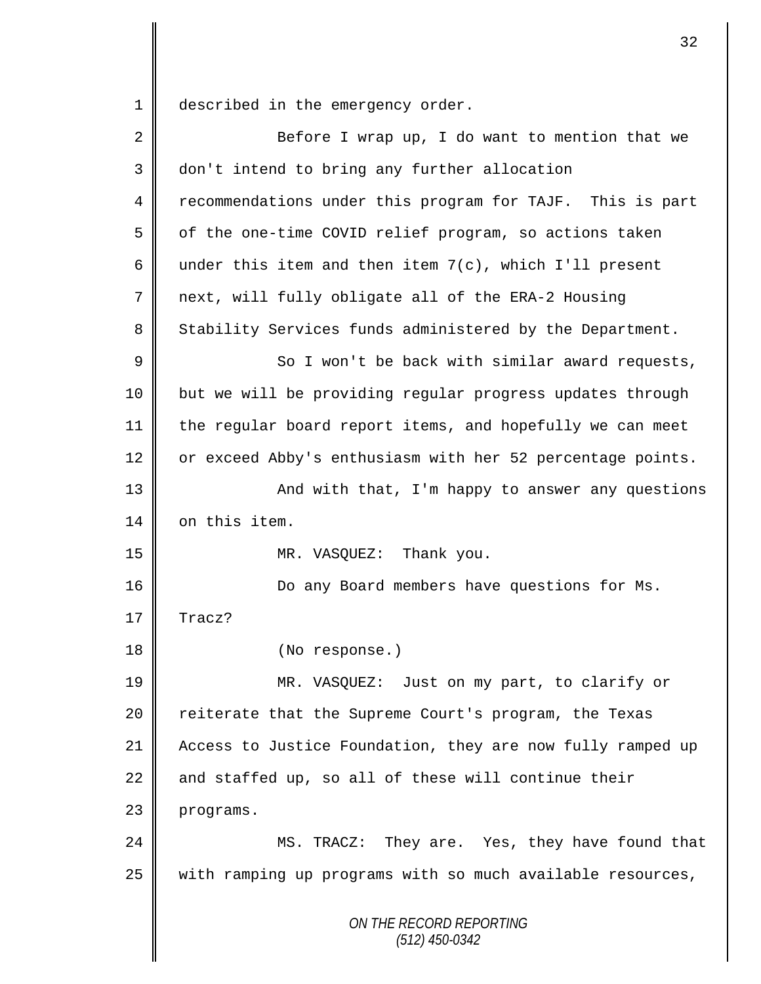1 described in the emergency order.

| 2  | Before I wrap up, I do want to mention that we             |
|----|------------------------------------------------------------|
| 3  | don't intend to bring any further allocation               |
| 4  | recommendations under this program for TAJF. This is part  |
| 5  | of the one-time COVID relief program, so actions taken     |
| 6  | under this item and then item $7(c)$ , which I'll present  |
| 7  | next, will fully obligate all of the ERA-2 Housing         |
| 8  | Stability Services funds administered by the Department.   |
| 9  | So I won't be back with similar award requests,            |
| 10 | but we will be providing regular progress updates through  |
| 11 | the regular board report items, and hopefully we can meet  |
| 12 | or exceed Abby's enthusiasm with her 52 percentage points. |
| 13 | And with that, I'm happy to answer any questions           |
| 14 | on this item.                                              |
| 15 | MR. VASQUEZ: Thank you.                                    |
| 16 | Do any Board members have questions for Ms.                |
| 17 | Tracz?                                                     |
| 18 | (No response.)                                             |
| 19 | MR. VASQUEZ: Just on my part, to clarify or                |
| 20 | reiterate that the Supreme Court's program, the Texas      |
| 21 | Access to Justice Foundation, they are now fully ramped up |
| 22 | and staffed up, so all of these will continue their        |
| 23 | programs.                                                  |
| 24 | MS. TRACZ: They are. Yes, they have found that             |
| 25 | with ramping up programs with so much available resources, |
|    | ON THE RECORD REPORTING<br>$(512)$ 450-0342                |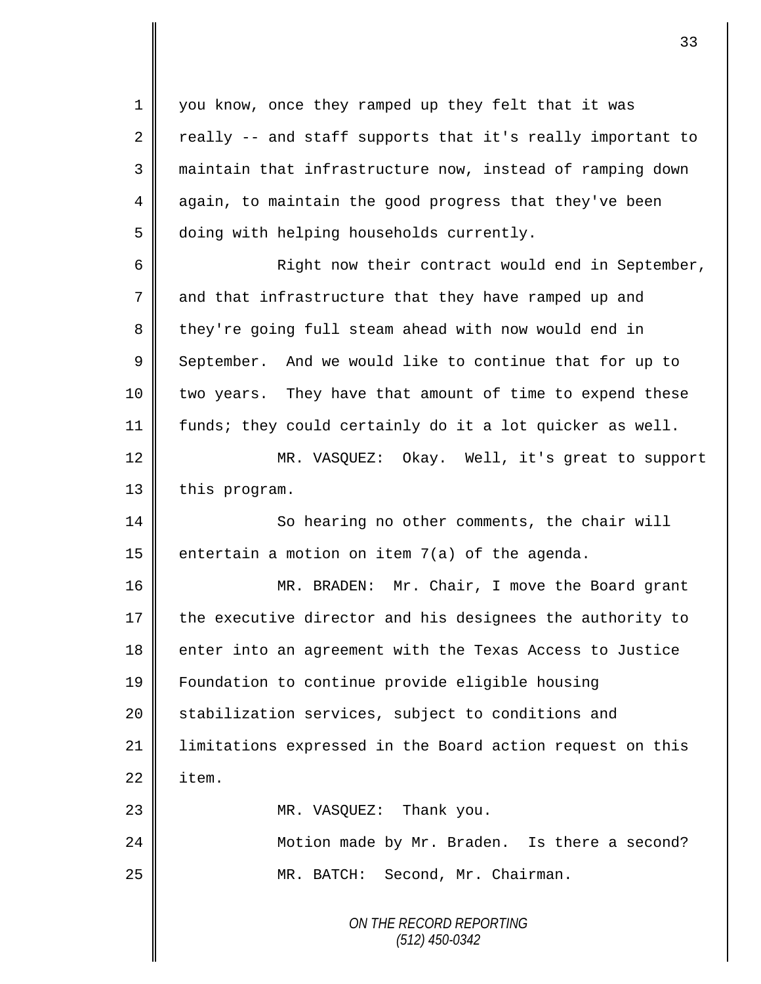you know, once they ramped up they felt that it was  $\parallel$  really -- and staff supports that it's really important to maintain that infrastructure now, instead of ramping down 4 again, to maintain the good progress that they've been 5 doing with helping households currently. Right now their contract would end in September,

7 and that infrastructure that they have ramped up and 8 they're going full steam ahead with now would end in 9 September. And we would like to continue that for up to 10 | two years. They have that amount of time to expend these 11 funds; they could certainly do it a lot quicker as well.

12 MR. VASQUEZ: Okay. Well, it's great to support 13 this program.

14 So hearing no other comments, the chair will 15 entertain a motion on item  $7(a)$  of the agenda.

16 MR. BRADEN: Mr. Chair, I move the Board grant 17 the executive director and his designees the authority to 18 enter into an agreement with the Texas Access to Justice 19 Foundation to continue provide eligible housing 20 | stabilization services, subject to conditions and 21 | limitations expressed in the Board action request on this  $22 \parallel$  item.

23 || MR. VASQUEZ: Thank you.

24 | Motion made by Mr. Braden. Is there a second? 25 | MR. BATCH: Second, Mr. Chairman.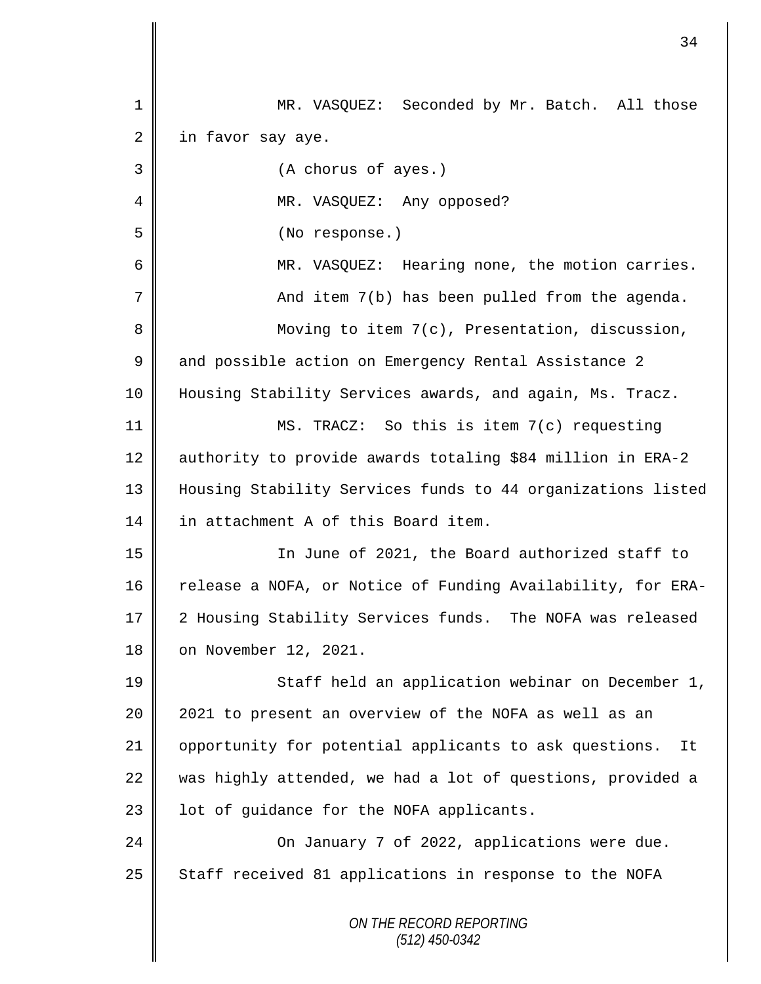*ON THE RECORD REPORTING (512) 450-0342* 1 MR. VASQUEZ: Seconded by Mr. Batch. All those  $2 \parallel$  in favor say aye. 3 (A chorus of ayes.) 4 || MR. VASQUEZ: Any opposed? 5 (No response.) 6 MR. VASQUEZ: Hearing none, the motion carries. 7 And item 7(b) has been pulled from the agenda. 8 || Moving to item 7(c), Presentation, discussion, 9 and possible action on Emergency Rental Assistance 2 10 Housing Stability Services awards, and again, Ms. Tracz. 11 MS. TRACZ: So this is item 7(c) requesting 12 authority to provide awards totaling \$84 million in ERA-2 13 Housing Stability Services funds to 44 organizations listed 14 in attachment A of this Board item. 15 || In June of 2021, the Board authorized staff to 16 Telease a NOFA, or Notice of Funding Availability, for ERA-17 2 Housing Stability Services funds. The NOFA was released 18 | on November 12, 2021. 19 || Staff held an application webinar on December 1, 20 || 2021 to present an overview of the NOFA as well as an 21 | opportunity for potential applicants to ask questions. It 22 was highly attended, we had a lot of questions, provided a 23 | lot of guidance for the NOFA applicants. 24 **Canadia** On January 7 of 2022, applications were due. 25 | Staff received 81 applications in response to the NOFA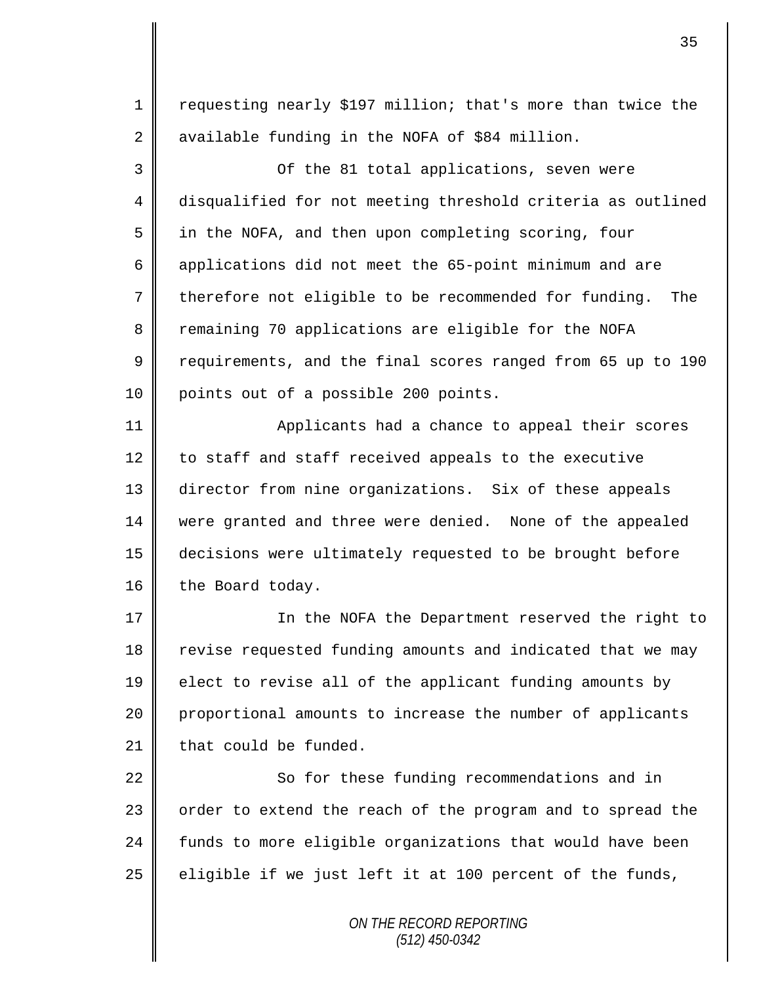1 | requesting nearly \$197 million; that's more than twice the 2 available funding in the NOFA of \$84 million.

3 Of the 81 total applications, seven were 4 disqualified for not meeting threshold criteria as outlined 5 | in the NOFA, and then upon completing scoring, four 6 applications did not meet the 65-point minimum and are 7 therefore not eligible to be recommended for funding. The 8 Temaining 70 applications are eligible for the NOFA 9 Tequirements, and the final scores ranged from 65 up to 190 10 || points out of a possible 200 points.

11 | Applicants had a chance to appeal their scores 12 to staff and staff received appeals to the executive 13 director from nine organizations. Six of these appeals 14 were granted and three were denied. None of the appealed 15 decisions were ultimately requested to be brought before 16 the Board today.

17 || In the NOFA the Department reserved the right to 18 revise requested funding amounts and indicated that we may 19 elect to revise all of the applicant funding amounts by 20 proportional amounts to increase the number of applicants 21  $\parallel$  that could be funded.

22 | So for these funding recommendations and in 23 | order to extend the reach of the program and to spread the 24 funds to more eligible organizations that would have been 25  $\parallel$  eligible if we just left it at 100 percent of the funds,

> *ON THE RECORD REPORTING (512) 450-0342*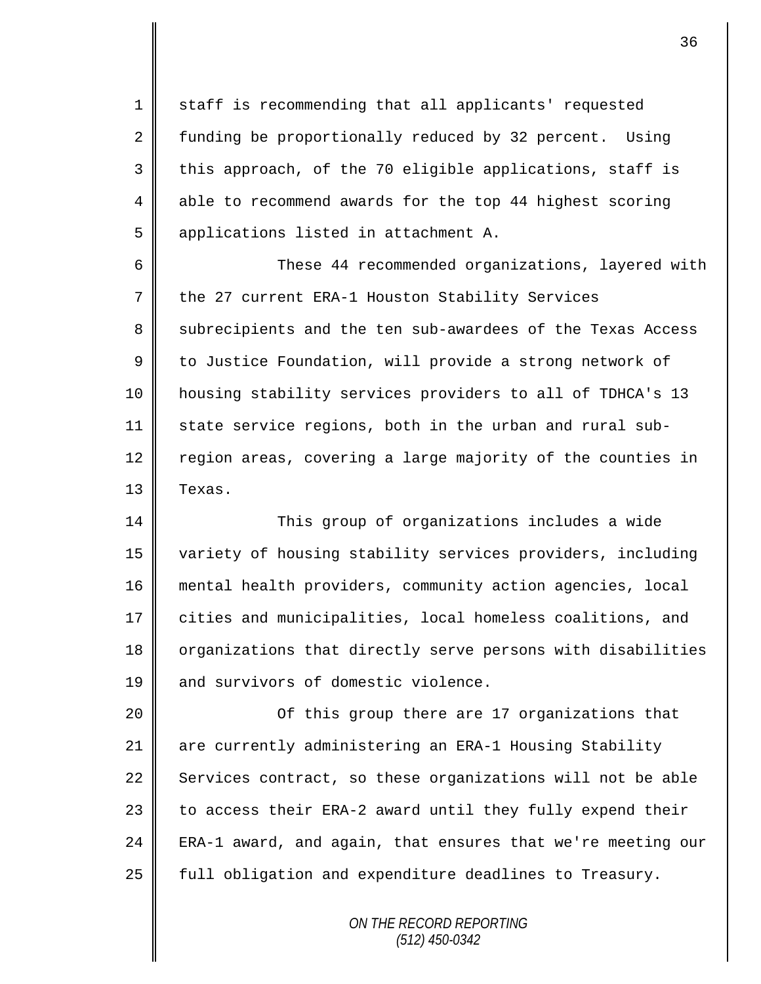1 || staff is recommending that all applicants' requested 2 funding be proportionally reduced by 32 percent. Using  $3 \parallel$  this approach, of the 70 eligible applications, staff is 4 able to recommend awards for the top 44 highest scoring 5 applications listed in attachment A.

6 These 44 recommended organizations, layered with 7 the 27 current ERA-1 Houston Stability Services 8 subrecipients and the ten sub-awardees of the Texas Access 9 | to Justice Foundation, will provide a strong network of 10 housing stability services providers to all of TDHCA's 13  $11$  state service regions, both in the urban and rural sub-12 region areas, covering a large majority of the counties in 13 | Texas.

14 This group of organizations includes a wide 15 variety of housing stability services providers, including 16 mental health providers, community action agencies, local 17 cities and municipalities, local homeless coalitions, and 18 | organizations that directly serve persons with disabilities 19 **and survivors of domestic violence.** 

20 || Consument Constants of this group there are 17 organizations that 21 are currently administering an ERA-1 Housing Stability 22 Services contract, so these organizations will not be able 23  $\parallel$  to access their ERA-2 award until they fully expend their 24  $\parallel$  ERA-1 award, and again, that ensures that we're meeting our 25 | full obligation and expenditure deadlines to Treasury.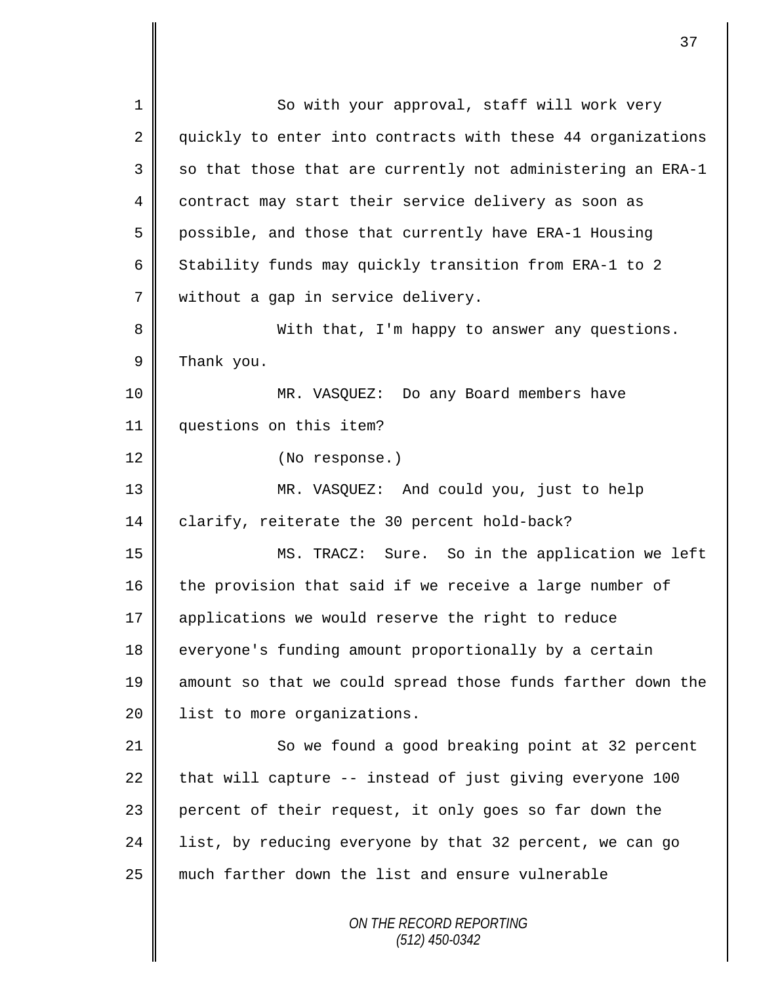*ON THE RECORD REPORTING (512) 450-0342* 1 So with your approval, staff will work very 2 quickly to enter into contracts with these 44 organizations 3  $\parallel$  so that those that are currently not administering an ERA-1 4 contract may start their service delivery as soon as 5 possible, and those that currently have ERA-1 Housing 6 Stability funds may quickly transition from ERA-1 to 2 7 || without a gap in service delivery. 8 With that, I'm happy to answer any questions.  $9 \parallel$  Thank you. 10 MR. VASQUEZ: Do any Board members have 11 questions on this item? 12 (No response.) 13 MR. VASQUEZ: And could you, just to help 14 | clarify, reiterate the 30 percent hold-back? 15 MS. TRACZ: Sure. So in the application we left 16 the provision that said if we receive a large number of 17 || applications we would reserve the right to reduce 18 everyone's funding amount proportionally by a certain 19 amount so that we could spread those funds farther down the 20 | list to more organizations. 21 So we found a good breaking point at 32 percent 22 that will capture  $-$  instead of just giving everyone 100 23 percent of their request, it only goes so far down the  $24$  | list, by reducing everyone by that 32 percent, we can go 25 much farther down the list and ensure vulnerable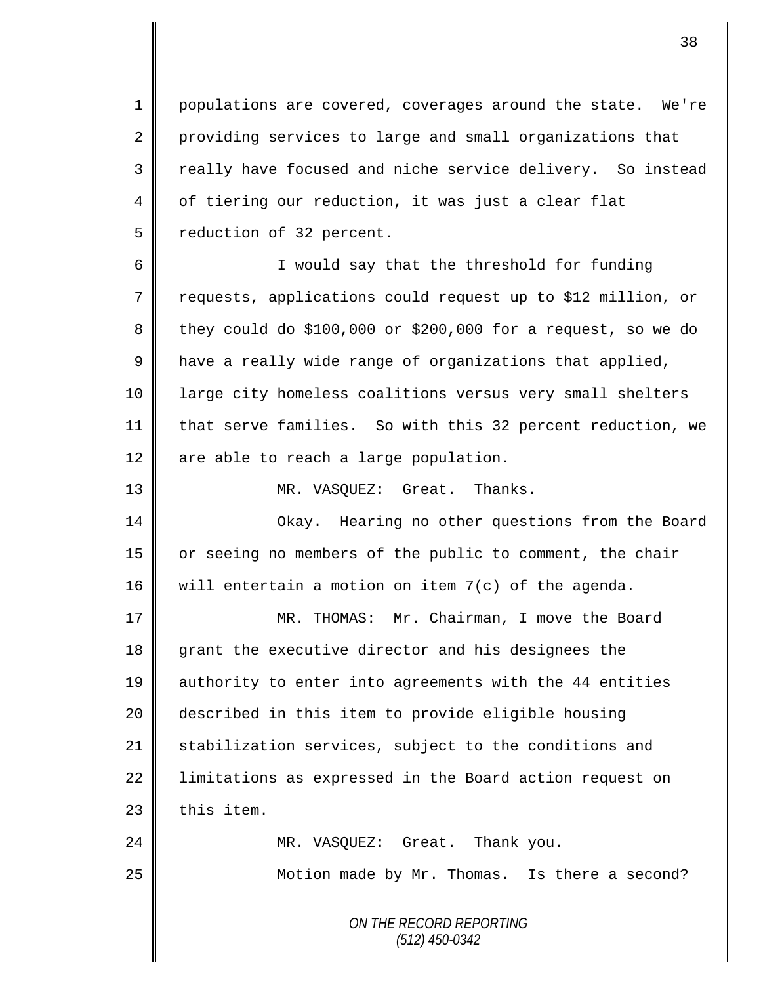1 populations are covered, coverages around the state. We're 2 providing services to large and small organizations that 3 || really have focused and niche service delivery. So instead 4 | of tiering our reduction, it was just a clear flat 5 | reduction of 32 percent.

6 || I would say that the threshold for funding 7 Trequests, applications could request up to \$12 million, or  $8 \parallel$  they could do \$100,000 or \$200,000 for a request, so we do 9 | have a really wide range of organizations that applied, 10 || large city homeless coalitions versus very small shelters 11 | that serve families. So with this 32 percent reduction, we  $12$  are able to reach a large population.

13 || MR. VASQUEZ: Great. Thanks.

14 Okay. Hearing no other questions from the Board 15 | or seeing no members of the public to comment, the chair 16 will entertain a motion on item  $7(c)$  of the agenda.

 MR. THOMAS: Mr. Chairman, I move the Board 18 grant the executive director and his designees the authority to enter into agreements with the 44 entities described in this item to provide eligible housing  $\parallel$  stabilization services, subject to the conditions and 22 | limitations as expressed in the Board action request on  $\parallel$  this item.

24 MR. VASOUEZ: Great. Thank you. 25 | Motion made by Mr. Thomas. Is there a second?

> *ON THE RECORD REPORTING (512) 450-0342*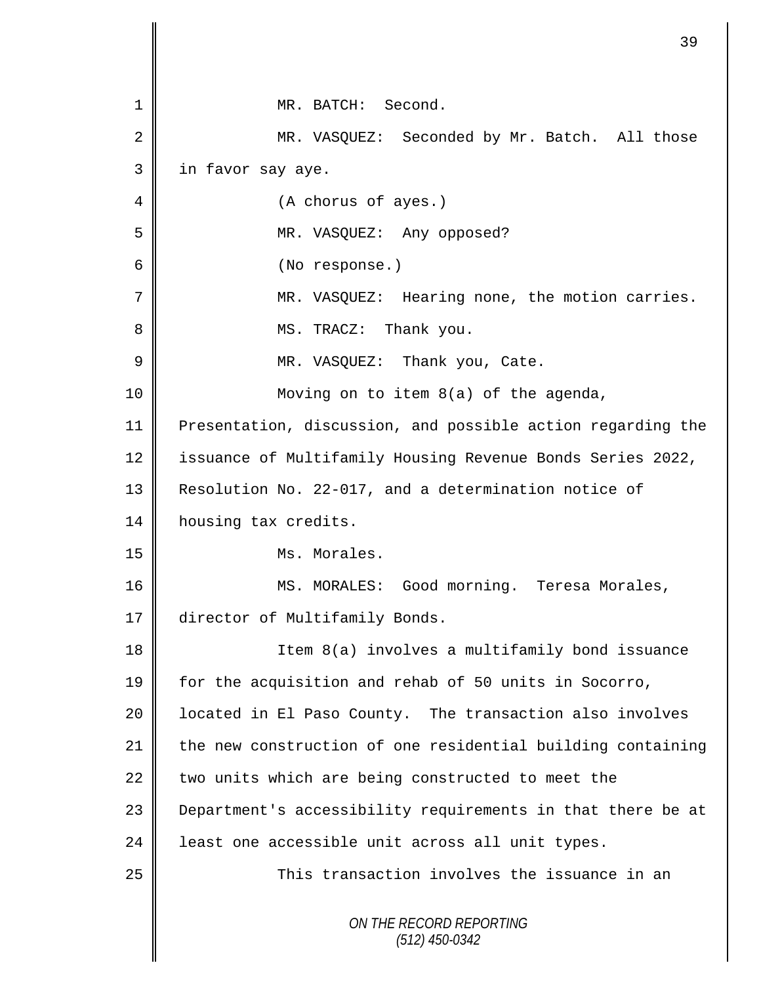|    | 39                                                          |
|----|-------------------------------------------------------------|
|    |                                                             |
| 1  | MR. BATCH: Second.                                          |
| 2  | MR. VASQUEZ: Seconded by Mr. Batch. All those               |
| 3  | in favor say aye.                                           |
| 4  | (A chorus of ayes.)                                         |
| 5  | MR. VASQUEZ: Any opposed?                                   |
| 6  | (No response.)                                              |
| 7  | Hearing none, the motion carries.<br>MR. VASOUEZ:           |
| 8  | MS. TRACZ: Thank you.                                       |
| 9  | MR. VASQUEZ: Thank you, Cate.                               |
| 10 | Moving on to item 8(a) of the agenda,                       |
| 11 | Presentation, discussion, and possible action regarding the |
| 12 | issuance of Multifamily Housing Revenue Bonds Series 2022,  |
| 13 | Resolution No. 22-017, and a determination notice of        |
| 14 | housing tax credits.                                        |
| 15 | Ms. Morales.                                                |
| 16 | MS. MORALES: Good morning. Teresa Morales,                  |
| 17 | director of Multifamily Bonds.                              |
| 18 | Item 8(a) involves a multifamily bond issuance              |
| 19 | for the acquisition and rehab of 50 units in Socorro,       |
| 20 | located in El Paso County. The transaction also involves    |
| 21 | the new construction of one residential building containing |
| 22 | two units which are being constructed to meet the           |
| 23 | Department's accessibility requirements in that there be at |
| 24 | least one accessible unit across all unit types.            |
| 25 | This transaction involves the issuance in an                |
|    | ON THE RECORD REPORTING<br>$(512)$ 450-0342                 |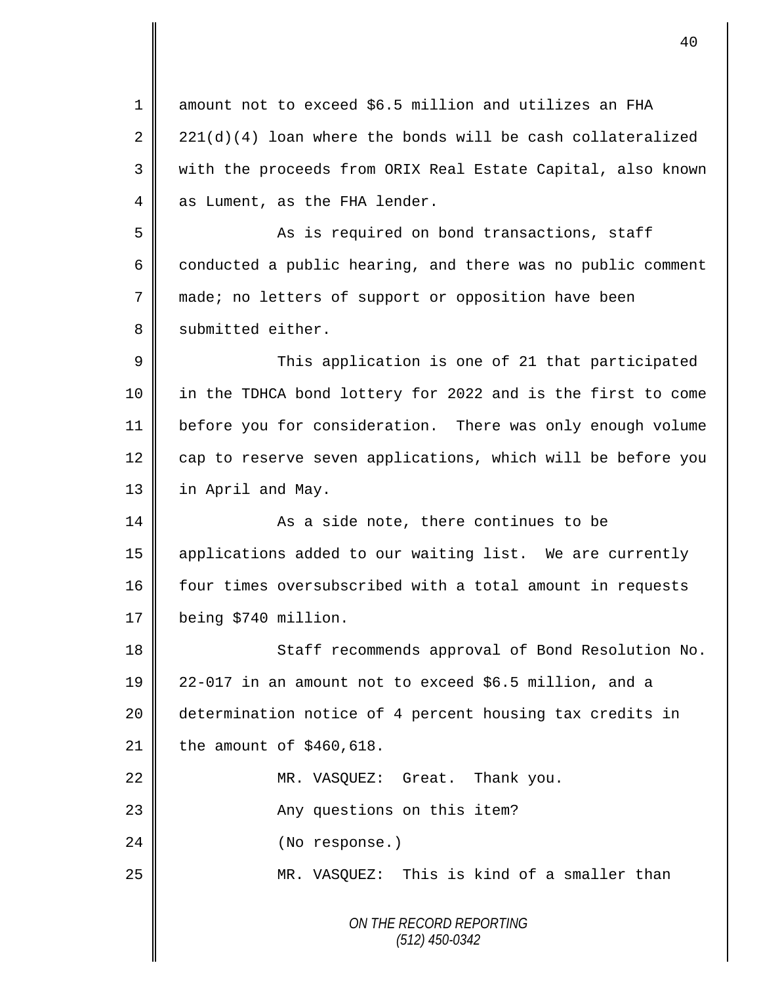*ON THE RECORD REPORTING (512) 450-0342* 1 || amount not to exceed \$6.5 million and utilizes an FHA 2  $\parallel$  221(d)(4) loan where the bonds will be cash collateralized 3 with the proceeds from ORIX Real Estate Capital, also known  $4 \parallel$  as Lument, as the FHA lender. 5 || As is required on bond transactions, staff  $6 \parallel$  conducted a public hearing, and there was no public comment 7 made; no letters of support or opposition have been 8 | submitted either. 9 This application is one of 21 that participated 10 || in the TDHCA bond lottery for 2022 and is the first to come 11 before you for consideration. There was only enough volume  $12$  cap to reserve seven applications, which will be before you 13 | in April and May. 14 **As a side note, there continues to be** 15 applications added to our waiting list. We are currently 16 four times oversubscribed with a total amount in requests 17 being \$740 million. 18 || Staff recommends approval of Bond Resolution No. 19 22-017 in an amount not to exceed \$6.5 million, and a 20 determination notice of 4 percent housing tax credits in 21 the amount of  $$460,618$ . 22 | MR. VASQUEZ: Great. Thank you. 23 || Any questions on this item? 24 || (No response.) 25 MR. VASQUEZ: This is kind of a smaller than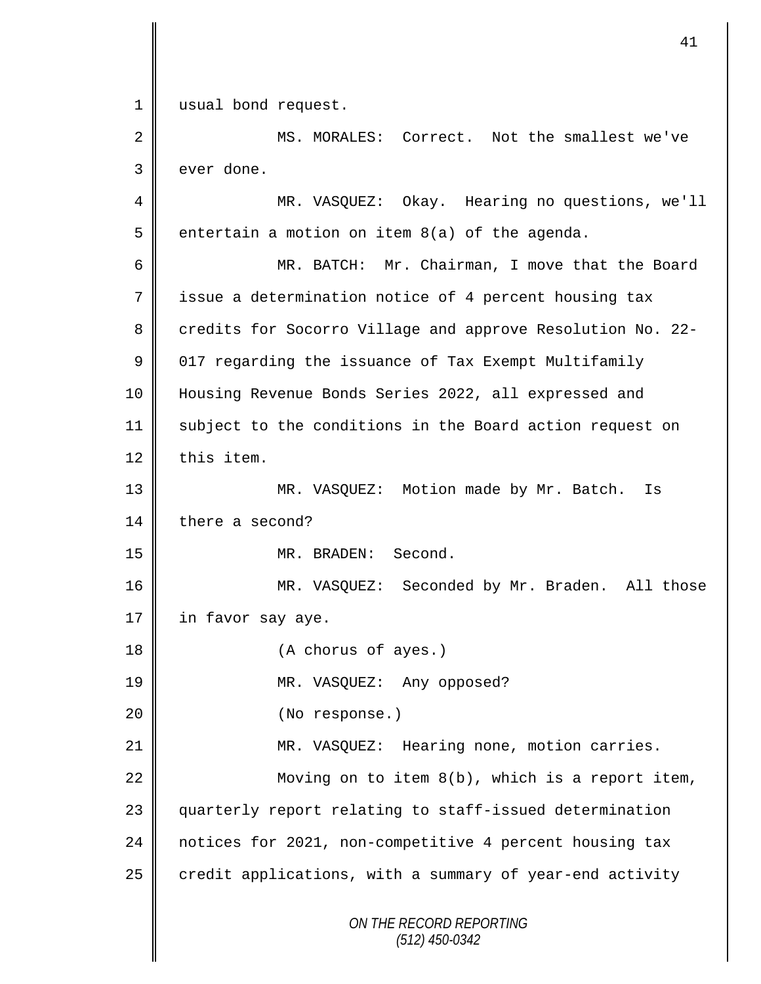*ON THE RECORD REPORTING (512) 450-0342* 1 | usual bond request. 2 MS. MORALES: Correct. Not the smallest we've 3 ever done. 4 MR. VASQUEZ: Okay. Hearing no questions, we'll 5  $\parallel$  entertain a motion on item 8(a) of the agenda. 6 MR. BATCH: Mr. Chairman, I move that the Board 7 | issue a determination notice of 4 percent housing tax 8 credits for Socorro Village and approve Resolution No. 22- $9 \parallel 017$  regarding the issuance of Tax Exempt Multifamily 10 Housing Revenue Bonds Series 2022, all expressed and 11 subject to the conditions in the Board action request on  $12 \parallel$  this item. 13 MR. VASQUEZ: Motion made by Mr. Batch. Is 14 there a second? 15 MR. BRADEN: Second. 16 MR. VASQUEZ: Seconded by Mr. Braden. All those 17  $\parallel$  in favor say aye. 18 (A chorus of ayes.) 19 MR. VASQUEZ: Any opposed? 20 || (No response.) 21 MR. VASQUEZ: Hearing none, motion carries. 22  $\parallel$  Moving on to item 8(b), which is a report item, 23 quarterly report relating to staff-issued determination 24 notices for 2021, non-competitive 4 percent housing tax  $25$  credit applications, with a summary of year-end activity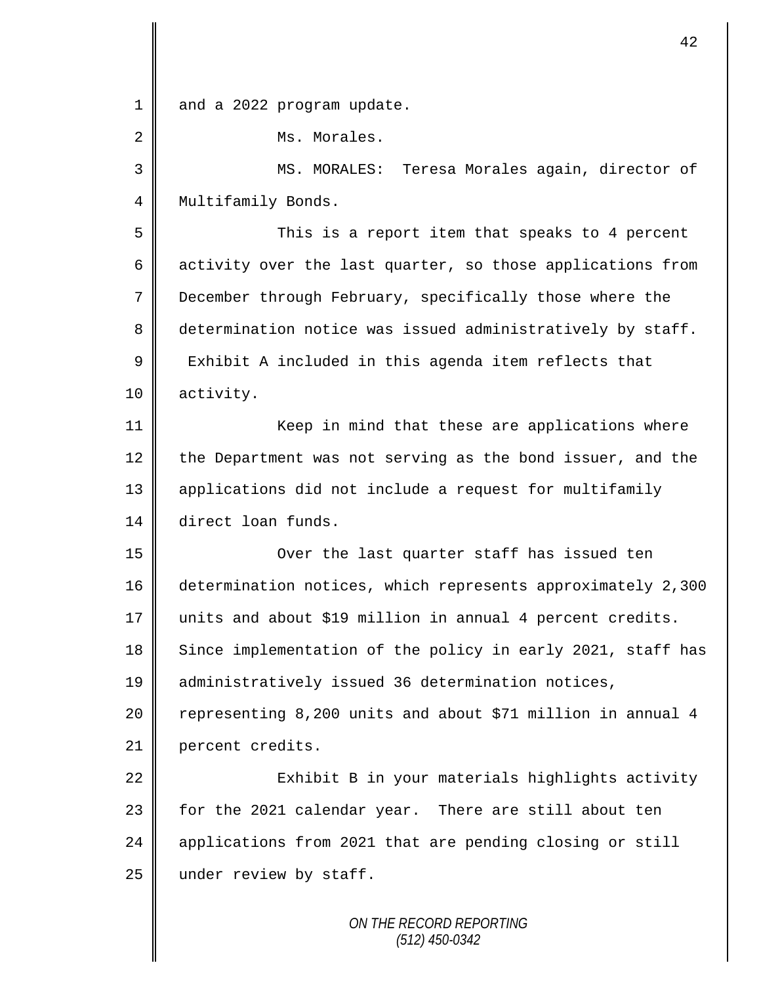1 and a 2022 program update. 2 | Ms. Morales. 3 || MS. MORALES: Teresa Morales again, director of 4 | Multifamily Bonds. 5 This is a report item that speaks to 4 percent 6 activity over the last quarter, so those applications from 7 December through February, specifically those where the 8 determination notice was issued administratively by staff.  $9 \parallel$  Exhibit A included in this agenda item reflects that 10 activity. 11 | Keep in mind that these are applications where 12 the Department was not serving as the bond issuer, and the 13 applications did not include a request for multifamily 14 direct loan funds. 15 Over the last quarter staff has issued ten 16 determination notices, which represents approximately 2,300 17 units and about \$19 million in annual 4 percent credits. 18 Since implementation of the policy in early 2021, staff has 19 || administratively issued 36 determination notices, 20 | representing 8,200 units and about \$71 million in annual 4 21 percent credits. 22 | Exhibit B in your materials highlights activity 23 for the 2021 calendar year. There are still about ten 24 | applications from 2021 that are pending closing or still 25  $\parallel$  under review by staff.

42

*ON THE RECORD REPORTING (512) 450-0342*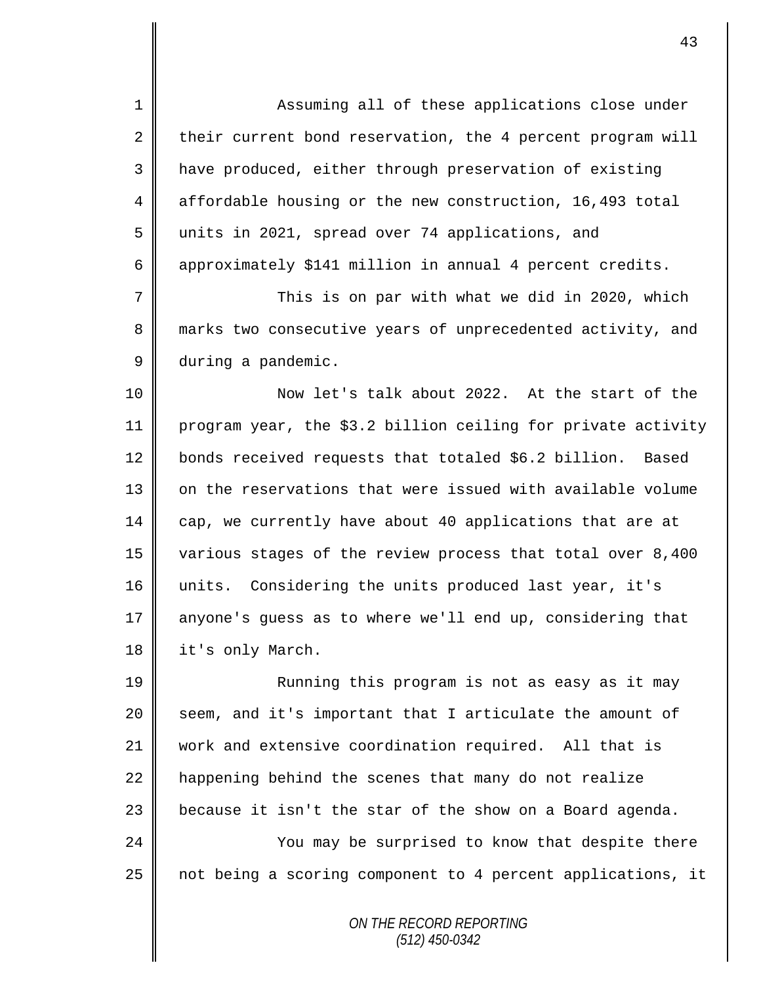1 Assuming all of these applications close under 2 their current bond reservation, the 4 percent program will 3 | have produced, either through preservation of existing 4 affordable housing or the new construction, 16,493 total 5 units in 2021, spread over 74 applications, and 6 approximately \$141 million in annual 4 percent credits.

7 This is on par with what we did in 2020, which 8 marks two consecutive years of unprecedented activity, and 9 during a pandemic.

10 Now let's talk about 2022. At the start of the 11 program year, the \$3.2 billion ceiling for private activity 12 bonds received requests that totaled \$6.2 billion. Based 13 | on the reservations that were issued with available volume 14 cap, we currently have about 40 applications that are at 15 various stages of the review process that total over 8,400 16 units. Considering the units produced last year, it's 17 anyone's guess as to where we'll end up, considering that 18 | it's only March.

19 || Running this program is not as easy as it may seem, and it's important that I articulate the amount of work and extensive coordination required. All that is  $\parallel$  happening behind the scenes that many do not realize  $\parallel$  because it isn't the star of the show on a Board agenda. 24 | You may be surprised to know that despite there

25 || not being a scoring component to 4 percent applications, it

*ON THE RECORD REPORTING (512) 450-0342*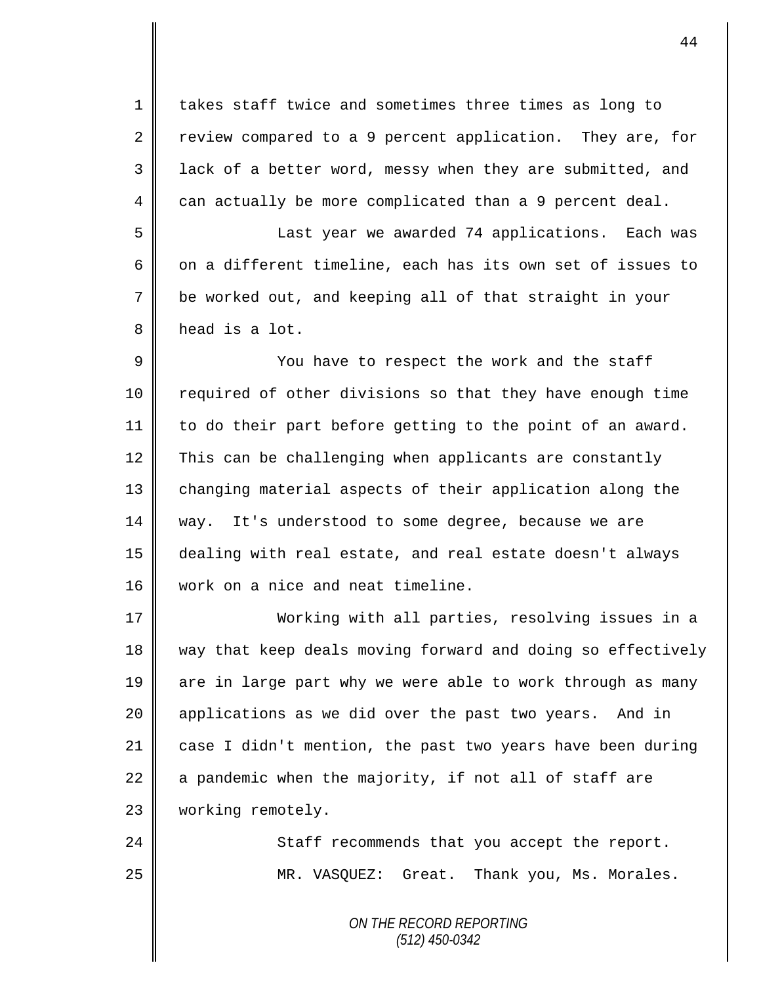1 || takes staff twice and sometimes three times as long to 2 Teview compared to a 9 percent application. They are, for 3 || lack of a better word, messy when they are submitted, and  $4 \parallel$  can actually be more complicated than a 9 percent deal.

 Last year we awarded 74 applications. Each was  $\parallel$  on a different timeline, each has its own set of issues to be worked out, and keeping all of that straight in your 8 head is a lot.

9 || You have to respect the work and the staff 10 | required of other divisions so that they have enough time 11 to do their part before getting to the point of an award. 12 This can be challenging when applicants are constantly 13 | changing material aspects of their application along the 14 way. It's understood to some degree, because we are 15 dealing with real estate, and real estate doesn't always 16 work on a nice and neat timeline.

17 Working with all parties, resolving issues in a 18 way that keep deals moving forward and doing so effectively 19 are in large part why we were able to work through as many 20 | applications as we did over the past two years. And in 21 case I didn't mention, the past two years have been during 22  $\parallel$  a pandemic when the majority, if not all of staff are 23 | working remotely.

24 || Staff recommends that you accept the report. 25 MR. VASQUEZ: Great. Thank you, Ms. Morales.

> *ON THE RECORD REPORTING (512) 450-0342*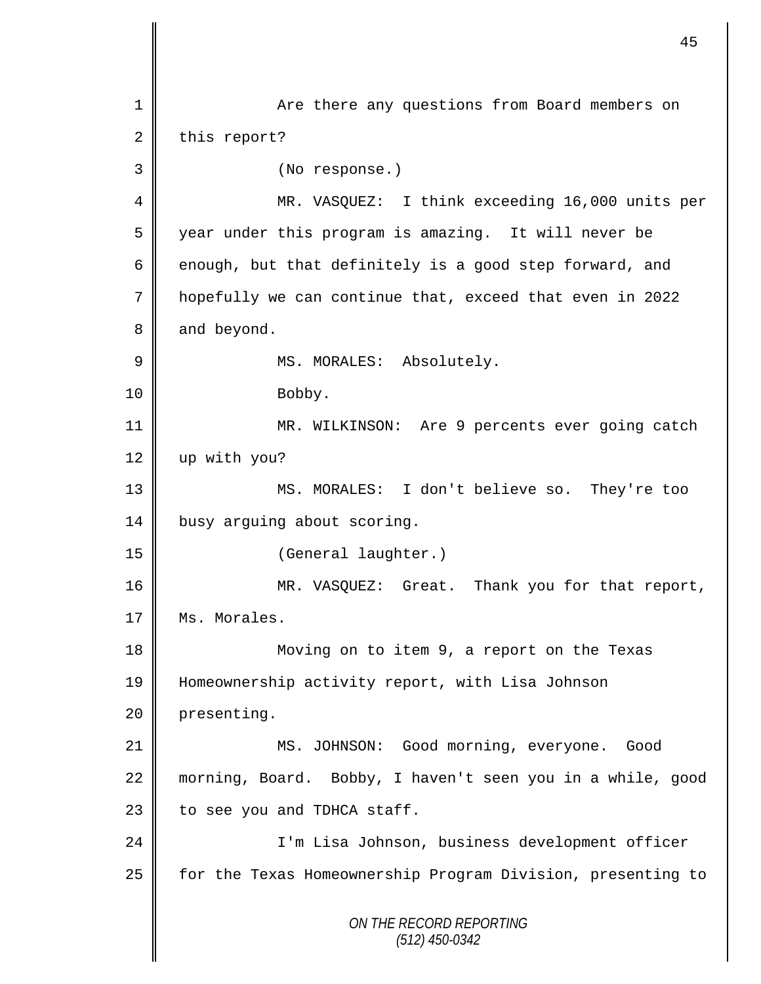*ON THE RECORD REPORTING (512) 450-0342* 1 Are there any questions from Board members on  $2 \parallel$  this report? 3 (No response.) 4 || MR. VASQUEZ: I think exceeding 16,000 units per 5 year under this program is amazing. It will never be 6 enough, but that definitely is a good step forward, and 7 hopefully we can continue that, exceed that even in 2022 8 and beyond. 9 || MS. MORALES: Absolutely. 10 Bobby. 11 | MR. WILKINSON: Are 9 percents ever going catch 12 | up with you? 13 MS. MORALES: I don't believe so. They're too 14 busy arguing about scoring. 15 (General laughter.) 16 MR. VASQUEZ: Great. Thank you for that report, 17 | Ms. Morales. 18 || Moving on to item 9, a report on the Texas 19 Homeownership activity report, with Lisa Johnson 20 presenting. 21 MS. JOHNSON: Good morning, everyone. Good 22 morning, Board. Bobby, I haven't seen you in a while, good  $23$  to see you and TDHCA staff. 24 I'm Lisa Johnson, business development officer 25 | for the Texas Homeownership Program Division, presenting to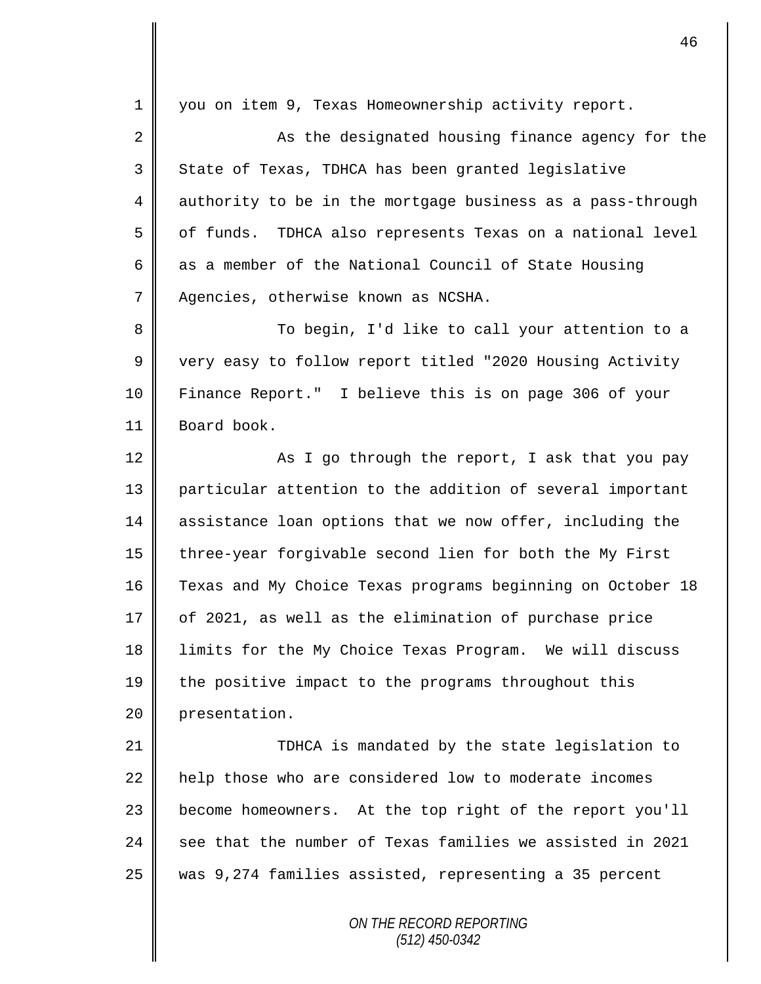*ON THE RECORD REPORTING (512) 450-0342* 1 you on item 9, Texas Homeownership activity report. 2 || As the designated housing finance agency for the 3 State of Texas, TDHCA has been granted legislative 4 authority to be in the mortgage business as a pass-through 5 | of funds. TDHCA also represents Texas on a national level 6 as a member of the National Council of State Housing 7 | Agencies, otherwise known as NCSHA. 8 To begin, I'd like to call your attention to a 9 very easy to follow report titled "2020 Housing Activity 10 Finance Report." I believe this is on page 306 of your 11 Board book. 12  $\parallel$  As I go through the report, I ask that you pay 13 particular attention to the addition of several important 14 assistance loan options that we now offer, including the 15 | three-year forgivable second lien for both the My First 16 Texas and My Choice Texas programs beginning on October 18  $17 \parallel$  of 2021, as well as the elimination of purchase price 18 limits for the My Choice Texas Program. We will discuss 19 the positive impact to the programs throughout this 20 **presentation**. 21 TDHCA is mandated by the state legislation to 22 | help those who are considered low to moderate incomes 23 | become homeowners. At the top right of the report you'll 24  $\parallel$  see that the number of Texas families we assisted in 2021 25 was 9,274 families assisted, representing a 35 percent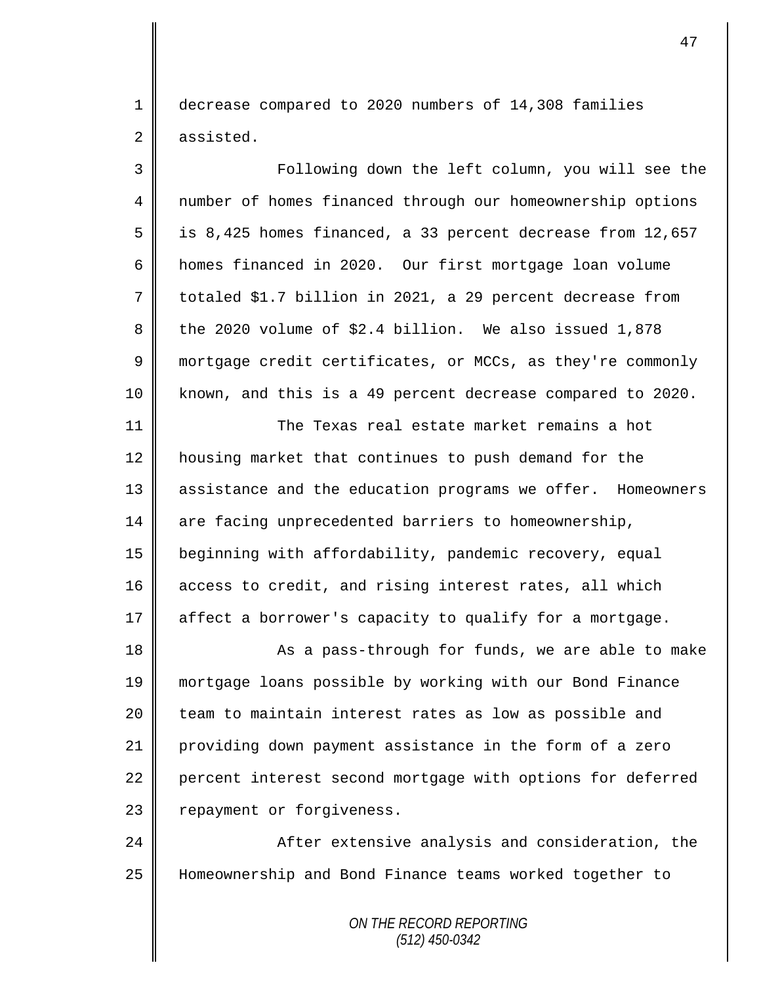1 decrease compared to 2020 numbers of 14,308 families 2 assisted.

3 Following down the left column, you will see the 4 | number of homes financed through our homeownership options 5 | is 8,425 homes financed, a 33 percent decrease from 12,657 6 homes financed in 2020. Our first mortgage loan volume  $7 \parallel$  totaled \$1.7 billion in 2021, a 29 percent decrease from 8 the 2020 volume of  $$2.4$  billion. We also issued 1,878 9 mortgage credit certificates, or MCCs, as they're commonly 10 known, and this is a 49 percent decrease compared to 2020. 11 The Texas real estate market remains a hot 12 | housing market that continues to push demand for the 13 || assistance and the education programs we offer. Homeowners 14 are facing unprecedented barriers to homeownership, 15 beginning with affordability, pandemic recovery, equal 16 access to credit, and rising interest rates, all which 17 | affect a borrower's capacity to qualify for a mortgage. 18 || As a pass-through for funds, we are able to make 19 mortgage loans possible by working with our Bond Finance 20 team to maintain interest rates as low as possible and 21 providing down payment assistance in the form of a zero 22 percent interest second mortgage with options for deferred 23 | repayment or forgiveness. 24 **A**fter extensive analysis and consideration, the 25 Homeownership and Bond Finance teams worked together to

> *ON THE RECORD REPORTING (512) 450-0342*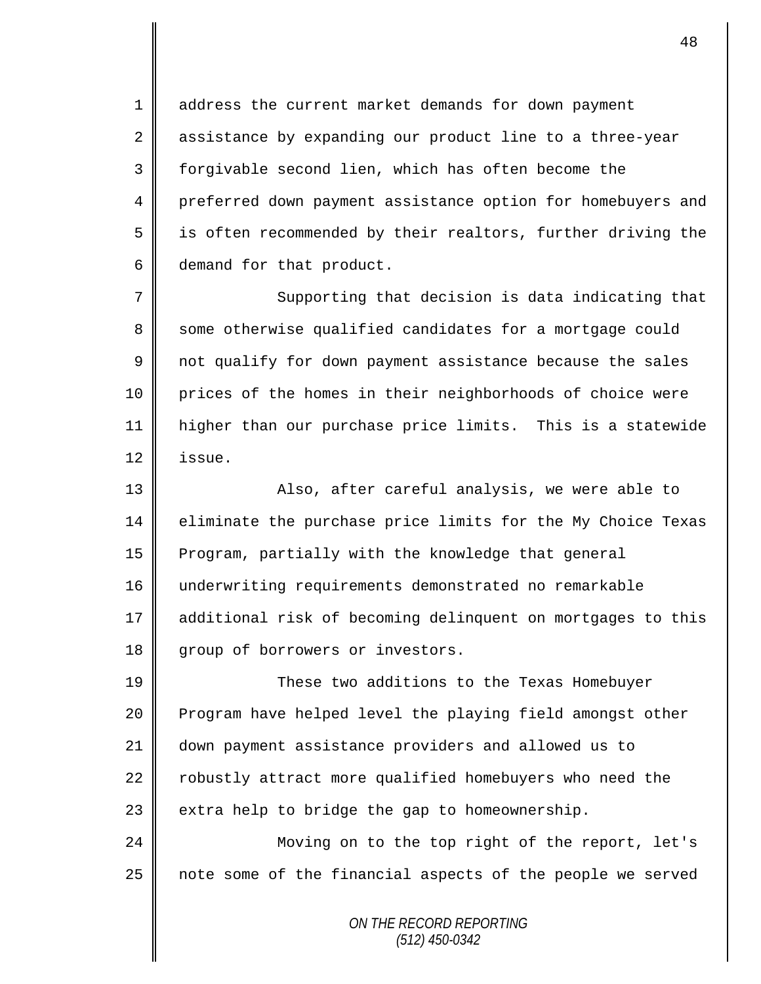1 address the current market demands for down payment 2 assistance by expanding our product line to a three-year 3 forgivable second lien, which has often become the 4 preferred down payment assistance option for homebuyers and 5 || is often recommended by their realtors, further driving the 6 demand for that product.

7 || Supporting that decision is data indicating that 8 some otherwise qualified candidates for a mortgage could 9 not qualify for down payment assistance because the sales 10 prices of the homes in their neighborhoods of choice were 11 higher than our purchase price limits. This is a statewide  $12 \parallel$  issue.

13 || Also, after careful analysis, we were able to 14 | eliminate the purchase price limits for the My Choice Texas 15 Program, partially with the knowledge that general 16 underwriting requirements demonstrated no remarkable 17 additional risk of becoming delinquent on mortgages to this 18 group of borrowers or investors.

19 These two additions to the Texas Homebuyer 20 Program have helped level the playing field amongst other 21 down payment assistance providers and allowed us to 22 | robustly attract more qualified homebuyers who need the 23  $\parallel$  extra help to bridge the gap to homeownership.

24 Moving on to the top right of the report, let's 25 | note some of the financial aspects of the people we served

> *ON THE RECORD REPORTING (512) 450-0342*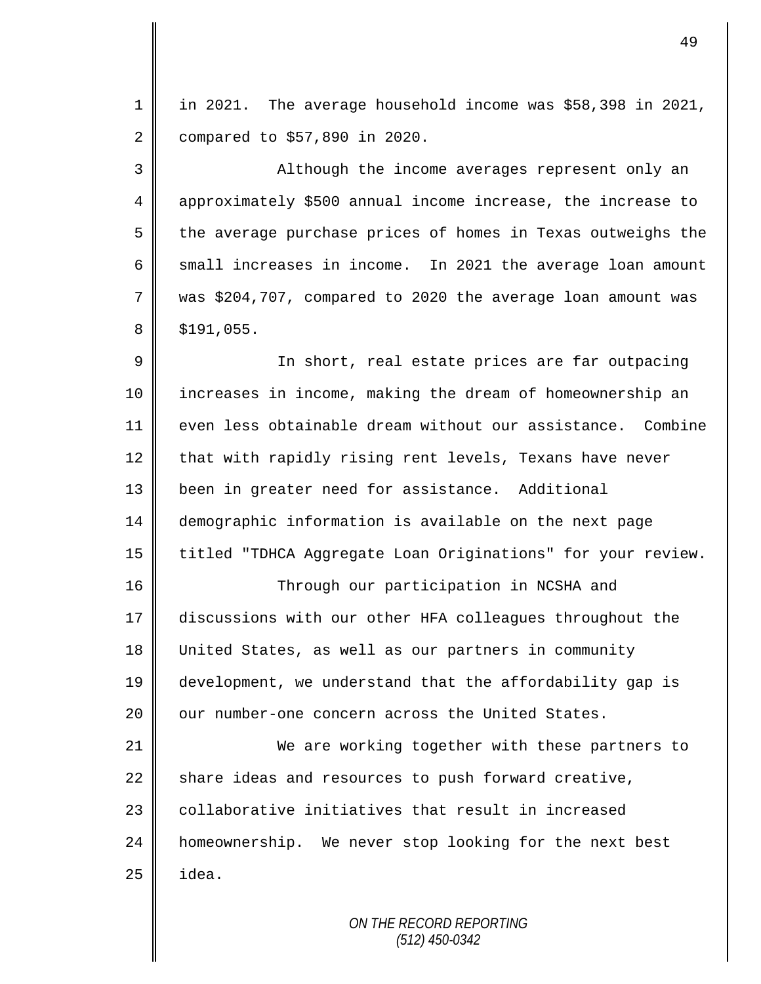1 | in 2021. The average household income was \$58,398 in 2021, 2 compared to \$57,890 in 2020.

3 || Although the income averages represent only an 4 approximately \$500 annual income increase, the increase to  $5 \parallel$  the average purchase prices of homes in Texas outweighs the 6  $\parallel$  small increases in income. In 2021 the average loan amount  $7 \parallel$  was \$204,707, compared to 2020 the average loan amount was  $8 \parallel$  \$191,055.

9 || In short, real estate prices are far outpacing 10 increases in income, making the dream of homeownership an 11 even less obtainable dream without our assistance. Combine  $12$  that with rapidly rising rent levels, Texans have never 13 been in greater need for assistance. Additional 14 demographic information is available on the next page 15 | titled "TDHCA Aggregate Loan Originations" for your review.

16 || Through our participation in NCSHA and discussions with our other HFA colleagues throughout the United States, as well as our partners in community development, we understand that the affordability gap is  $\parallel$  our number-one concern across the United States.

 We are working together with these partners to 22 share ideas and resources to push forward creative,  $\parallel$  collaborative initiatives that result in increased homeownership. We never stop looking for the next best  $\parallel$  idea.

> *ON THE RECORD REPORTING (512) 450-0342*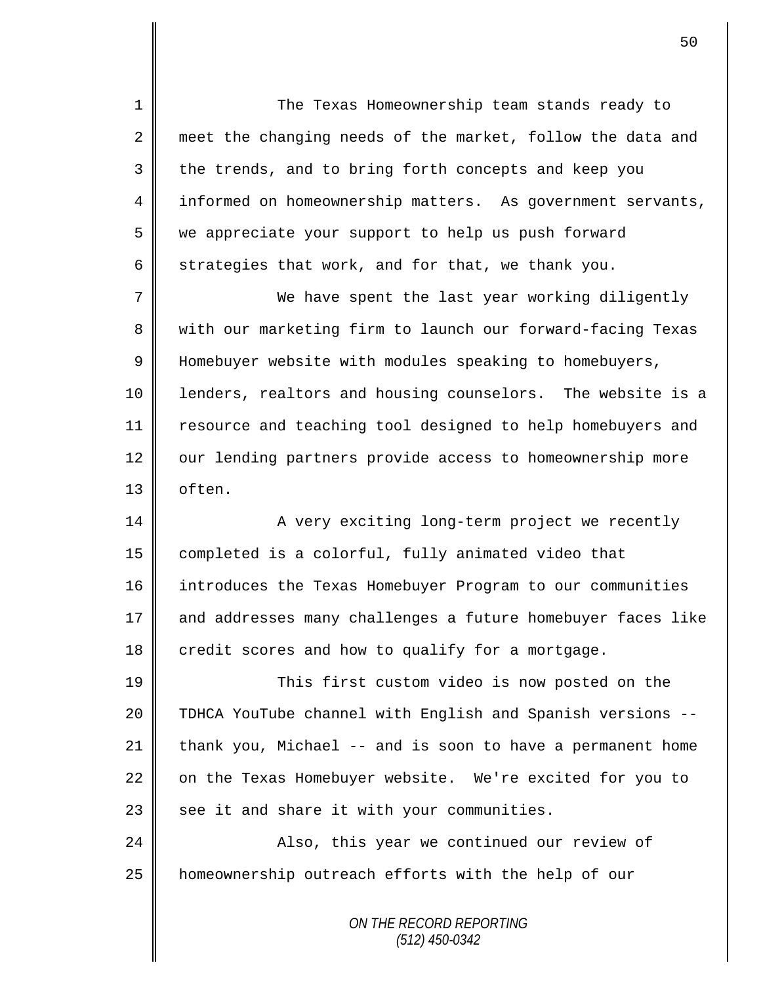1 The Texas Homeownership team stands ready to 2 meet the changing needs of the market, follow the data and 3 the trends, and to bring forth concepts and keep you 4 informed on homeownership matters. As government servants, 5 we appreciate your support to help us push forward 6 strategies that work, and for that, we thank you. 7 We have spent the last year working diligently 8 We with our marketing firm to launch our forward-facing Texas 9 | Homebuyer website with modules speaking to homebuyers, 10 | lenders, realtors and housing counselors. The website is a 11 | resource and teaching tool designed to help homebuyers and 12 | our lending partners provide access to homeownership more 13 | often. 14 || A very exciting long-term project we recently 15 completed is a colorful, fully animated video that 16 introduces the Texas Homebuyer Program to our communities 17 and addresses many challenges a future homebuyer faces like  $18$  credit scores and how to qualify for a mortgage. 19 This first custom video is now posted on the 20 TDHCA YouTube channel with English and Spanish versions --21 thank you, Michael  $-$  and is soon to have a permanent home 22 on the Texas Homebuyer website. We're excited for you to  $23$  see it and share it with your communities. 24 || Also, this year we continued our review of 25 homeownership outreach efforts with the help of our

> *ON THE RECORD REPORTING (512) 450-0342*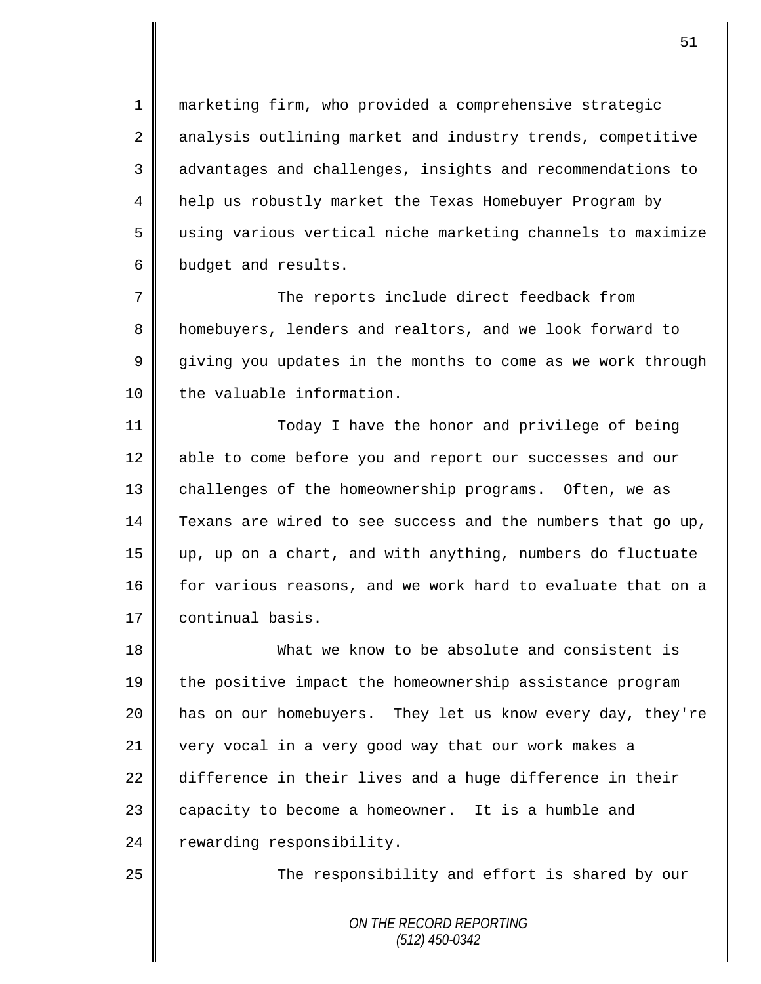marketing firm, who provided a comprehensive strategic 2 analysis outlining market and industry trends, competitive 3 advantages and challenges, insights and recommendations to help us robustly market the Texas Homebuyer Program by using various vertical niche marketing channels to maximize budget and results.

7 The reports include direct feedback from 8 | homebuyers, lenders and realtors, and we look forward to 9 giving you updates in the months to come as we work through 10 | the valuable information.

11 || Today I have the honor and privilege of being 12 able to come before you and report our successes and our 13 | challenges of the homeownership programs. Often, we as 14 Texans are wired to see success and the numbers that go up, 15 up, up on a chart, and with anything, numbers do fluctuate 16 for various reasons, and we work hard to evaluate that on a 17 | continual basis.

18 What we know to be absolute and consistent is 19 the positive impact the homeownership assistance program 20 || has on our homebuyers. They let us know every day, they're 21 very vocal in a very good way that our work makes a  $22$  difference in their lives and a huge difference in their 23 capacity to become a homeowner. It is a humble and  $24$  rewarding responsibility.

25 | The responsibility and effort is shared by our

*ON THE RECORD REPORTING (512) 450-0342*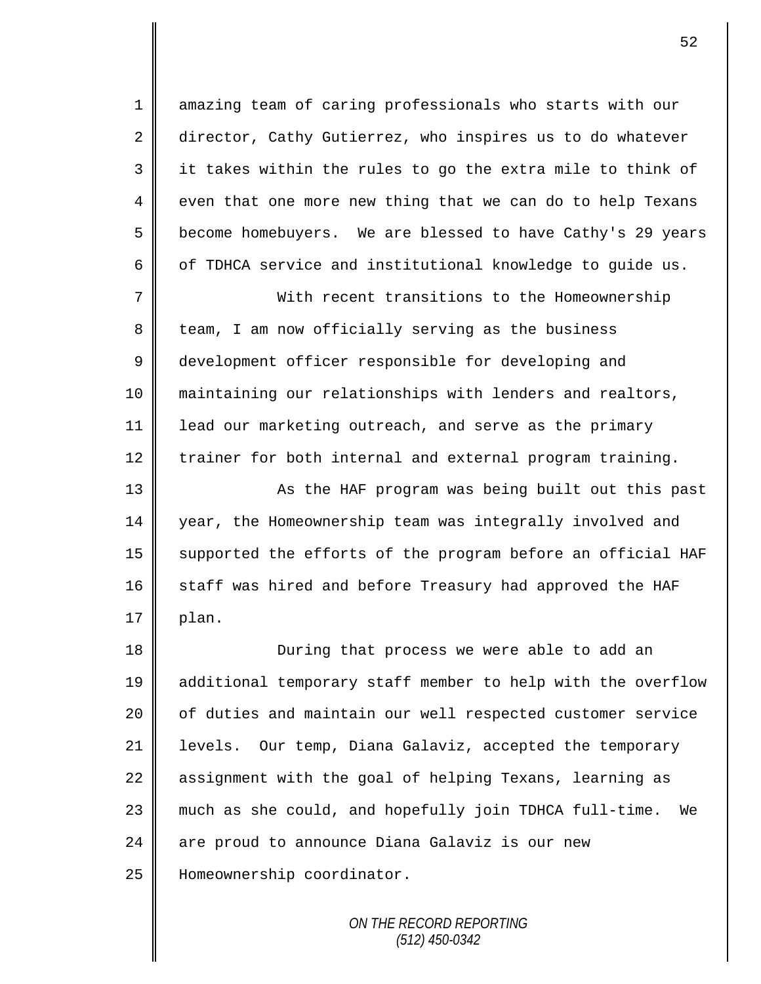1 amazing team of caring professionals who starts with our 2 director, Cathy Gutierrez, who inspires us to do whatever 3 || it takes within the rules to go the extra mile to think of  $4 \parallel$  even that one more new thing that we can do to help Texans 5 become homebuyers. We are blessed to have Cathy's 29 years 6  $\parallel$  of TDHCA service and institutional knowledge to guide us.

7 With recent transitions to the Homeownership 8 team, I am now officially serving as the business 9 development officer responsible for developing and 10 maintaining our relationships with lenders and realtors, 11 | lead our marketing outreach, and serve as the primary 12 trainer for both internal and external program training.

13 || As the HAF program was being built out this past 14 year, the Homeownership team was integrally involved and 15  $\parallel$  supported the efforts of the program before an official HAF  $16$  staff was hired and before Treasury had approved the HAF  $17 \parallel$  plan.

18 **During that process we were able to add an** 19 additional temporary staff member to help with the overflow 20 | of duties and maintain our well respected customer service 21 levels. Our temp, Diana Galaviz, accepted the temporary 22 assignment with the goal of helping Texans, learning as 23 much as she could, and hopefully join TDHCA full-time. We 24 are proud to announce Diana Galaviz is our new 25 | Homeownership coordinator.

> *ON THE RECORD REPORTING (512) 450-0342*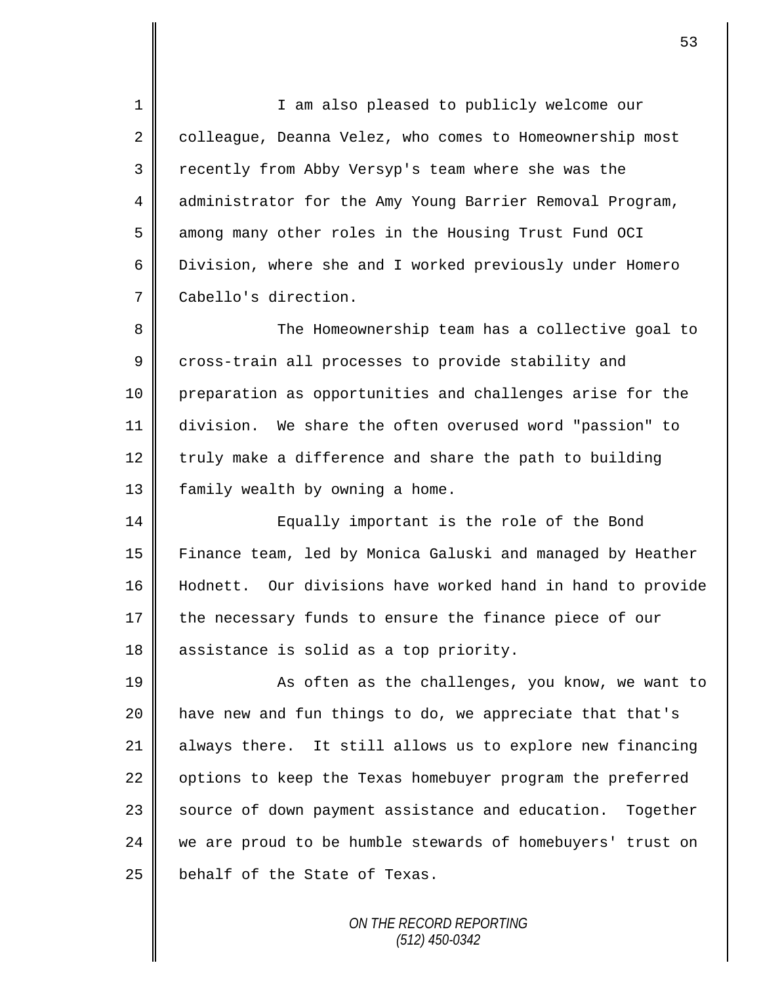1 || I am also pleased to publicly welcome our 2 colleague, Deanna Velez, who comes to Homeownership most 3 Tecently from Abby Versyp's team where she was the 4 administrator for the Amy Young Barrier Removal Program, 5 among many other roles in the Housing Trust Fund OCI 6 | Division, where she and I worked previously under Homero 7 Cabello's direction.

8 The Homeownership team has a collective goal to 9 cross-train all processes to provide stability and 10 preparation as opportunities and challenges arise for the 11 division. We share the often overused word "passion" to 12 truly make a difference and share the path to building 13 | family wealth by owning a home.

14 Equally important is the role of the Bond 15 Finance team, led by Monica Galuski and managed by Heather 16 Hodnett. Our divisions have worked hand in hand to provide 17 the necessary funds to ensure the finance piece of our 18 assistance is solid as a top priority.

19 || As often as the challenges, you know, we want to 20 **h** have new and fun things to do, we appreciate that that's 21 always there. It still allows us to explore new financing  $22$  | options to keep the Texas homebuyer program the preferred 23 Source of down payment assistance and education. Together 24 we are proud to be humble stewards of homebuyers' trust on  $25$  behalf of the State of Texas.

> *ON THE RECORD REPORTING (512) 450-0342*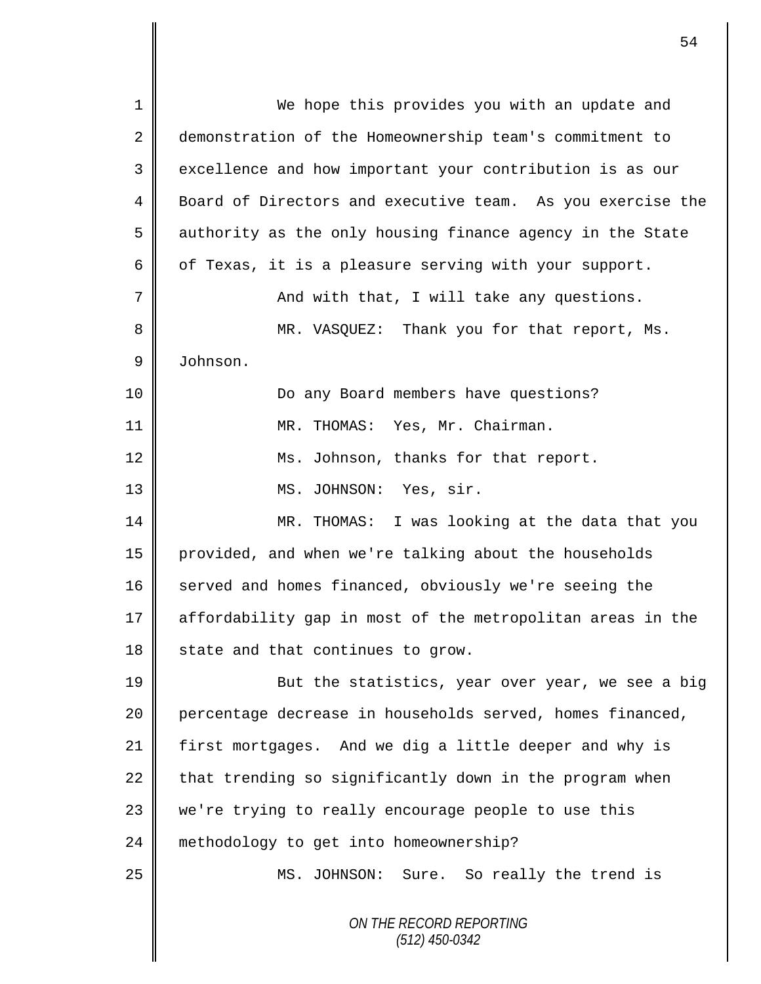*ON THE RECORD REPORTING (512) 450-0342* 1 || We hope this provides you with an update and 2 demonstration of the Homeownership team's commitment to 3 excellence and how important your contribution is as our 4 Board of Directors and executive team. As you exercise the 5 authority as the only housing finance agency in the State 6 | of Texas, it is a pleasure serving with your support. 7 || And with that, I will take any questions. 8 MR. VASQUEZ: Thank you for that report, Ms. 9 Johnson. 10 Do any Board members have questions? 11 MR. THOMAS: Yes, Mr. Chairman. 12 Ms. Johnson, thanks for that report. 13 || MS. JOHNSON: Yes, sir. 14 MR. THOMAS: I was looking at the data that you 15 provided, and when we're talking about the households 16 served and homes financed, obviously we're seeing the 17 affordability gap in most of the metropolitan areas in the  $18$  state and that continues to grow. 19 || But the statistics, year over year, we see a big 20 || percentage decrease in households served, homes financed, 21 first mortgages. And we dig a little deeper and why is  $22$  that trending so significantly down in the program when 23 we're trying to really encourage people to use this 24 | methodology to get into homeownership? 25 MS. JOHNSON: Sure. So really the trend is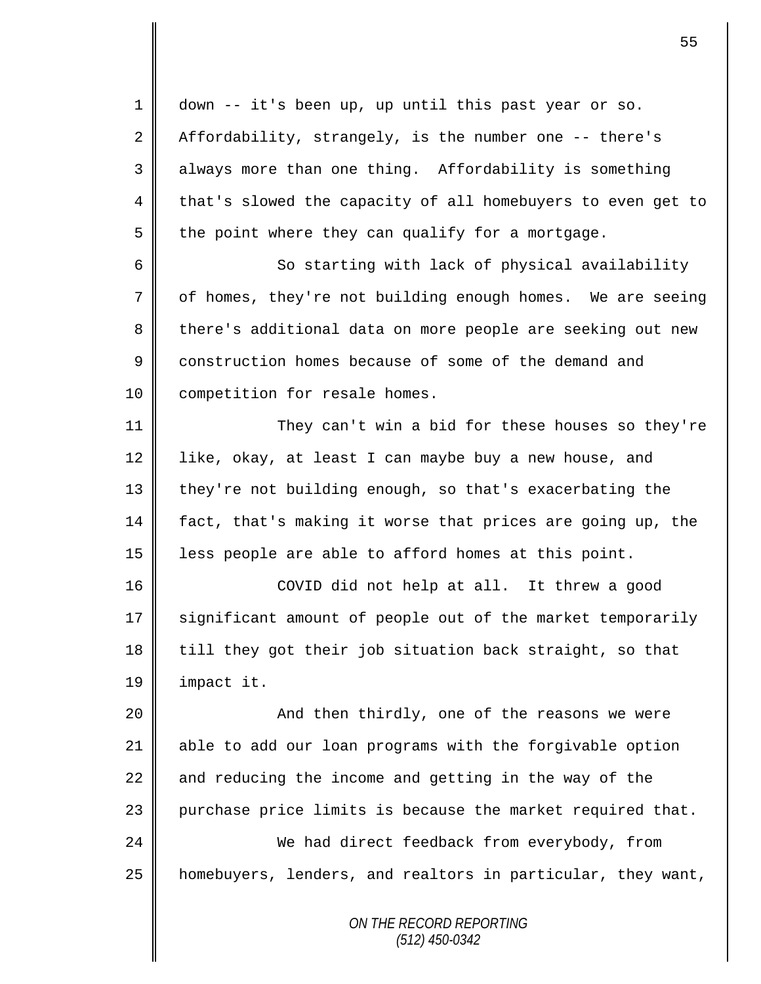*ON THE RECORD REPORTING (512) 450-0342* 1 down -- it's been up, up until this past year or so. 2 Affordability, strangely, is the number one  $-$ - there's 3 always more than one thing. Affordability is something 4 that's slowed the capacity of all homebuyers to even get to  $5 \parallel$  the point where they can qualify for a mortgage. 6 || So starting with lack of physical availability 7 | of homes, they're not building enough homes. We are seeing 8 there's additional data on more people are seeking out new 9 construction homes because of some of the demand and 10 | competition for resale homes. 11 || They can't win a bid for these houses so they're 12  $\parallel$  like, okay, at least I can maybe buy a new house, and 13 they're not building enough, so that's exacerbating the 14 fact, that's making it worse that prices are going up, the 15 less people are able to afford homes at this point. 16 COVID did not help at all. It threw a good 17 significant amount of people out of the market temporarily  $18$  till they got their job situation back straight, so that 19 impact it. 20 || And then thirdly, one of the reasons we were 21  $\parallel$  able to add our loan programs with the forgivable option 22  $\parallel$  and reducing the income and getting in the way of the 23  $\parallel$  purchase price limits is because the market required that. 24 We had direct feedback from everybody, from 25 homebuyers, lenders, and realtors in particular, they want,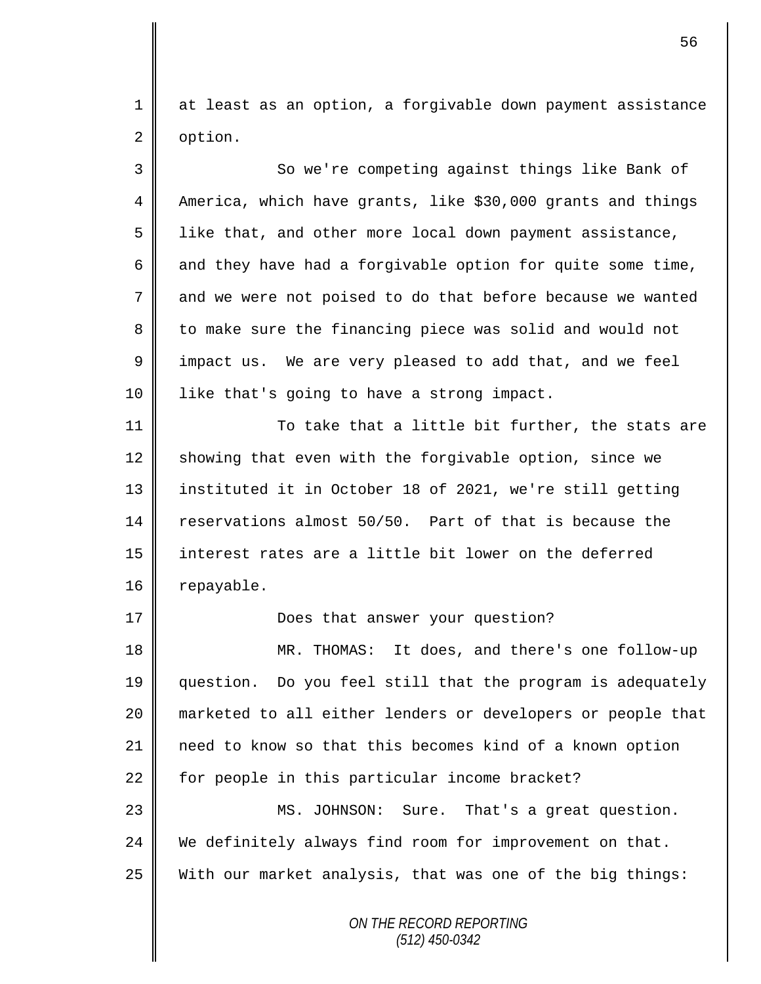1 at least as an option, a forgivable down payment assistance 2 option.

*ON THE RECORD REPORTING* 3 So we're competing against things like Bank of 4 | America, which have grants, like \$30,000 grants and things 5 1 like that, and other more local down payment assistance, 6 and they have had a forgivable option for quite some time, 7 || and we were not poised to do that before because we wanted 8 to make sure the financing piece was solid and would not 9 | impact us. We are very pleased to add that, and we feel 10 | like that's going to have a strong impact. 11 || To take that a little bit further, the stats are 12 showing that even with the forgivable option, since we 13 instituted it in October 18 of 2021, we're still getting 14 reservations almost 50/50. Part of that is because the 15 interest rates are a little bit lower on the deferred 16 | repayable. 17 | Does that answer your question? 18 MR. THOMAS: It does, and there's one follow-up 19 question. Do you feel still that the program is adequately 20 marketed to all either lenders or developers or people that 21 need to know so that this becomes kind of a known option 22  $\parallel$  for people in this particular income bracket? 23 || MS. JOHNSON: Sure. That's a great question. 24 We definitely always find room for improvement on that. 25 With our market analysis, that was one of the big things:

*(512) 450-0342*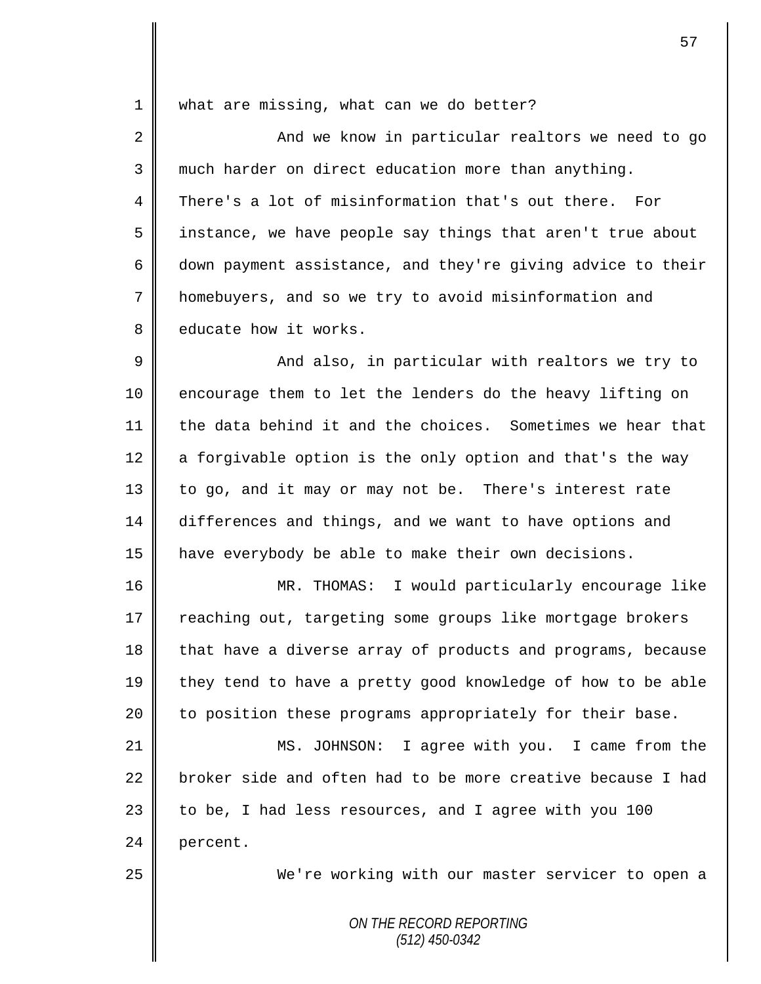1 what are missing, what can we do better?

2 || And we know in particular realtors we need to go 3 || much harder on direct education more than anything. 4 There's a lot of misinformation that's out there. For 5 || instance, we have people say things that aren't true about 6 down payment assistance, and they're giving advice to their 7 homebuyers, and so we try to avoid misinformation and 8 educate how it works.

9 And also, in particular with realtors we try to 10 || encourage them to let the lenders do the heavy lifting on 11 the data behind it and the choices. Sometimes we hear that 12  $\parallel$  a forgivable option is the only option and that's the way 13 | to go, and it may or may not be. There's interest rate 14 differences and things, and we want to have options and 15 have everybody be able to make their own decisions.

16 MR. THOMAS: I would particularly encourage like 17 | reaching out, targeting some groups like mortgage brokers 18 that have a diverse array of products and programs, because 19 they tend to have a pretty good knowledge of how to be able  $20$  | to position these programs appropriately for their base.

 MS. JOHNSON: I agree with you. I came from the  $\parallel$  broker side and often had to be more creative because I had  $\parallel$  to be, I had less resources, and I agree with you 100 24 percent.

25 We're working with our master servicer to open a

*ON THE RECORD REPORTING (512) 450-0342*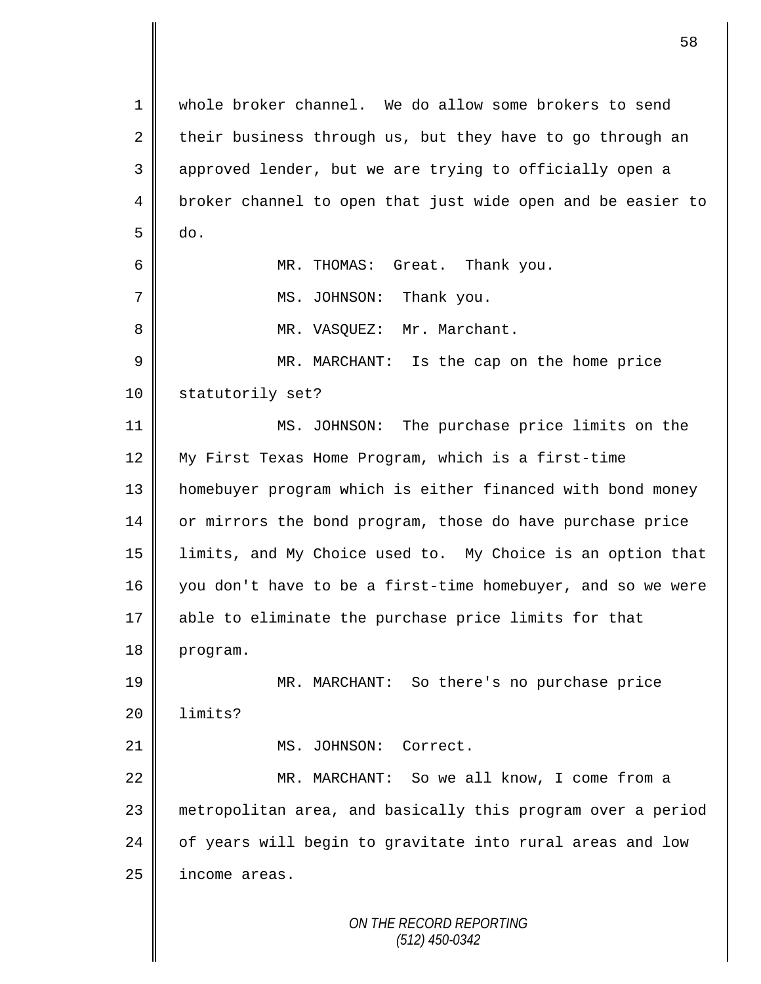*ON THE RECORD REPORTING (512) 450-0342* 1 whole broker channel. We do allow some brokers to send 2 their business through us, but they have to go through an 3 || approved lender, but we are trying to officially open a 4 | broker channel to open that just wide open and be easier to  $5 \parallel$  do. 6 MR. THOMAS: Great. Thank you. 7 || MS. JOHNSON: Thank you. 8 | MR. VASQUEZ: Mr. Marchant. 9 || MR. MARCHANT: Is the cap on the home price 10 | statutorily set? 11 MS. JOHNSON: The purchase price limits on the 12 My First Texas Home Program, which is a first-time 13 homebuyer program which is either financed with bond money 14 or mirrors the bond program, those do have purchase price 15 limits, and My Choice used to. My Choice is an option that 16 you don't have to be a first-time homebuyer, and so we were 17 able to eliminate the purchase price limits for that 18 | program. 19 MR. MARCHANT: So there's no purchase price 20 | limits? 21 | MS. JOHNSON: Correct. 22 | MR. MARCHANT: So we all know, I come from a 23 metropolitan area, and basically this program over a period  $24$  | of years will begin to gravitate into rural areas and low 25 income areas.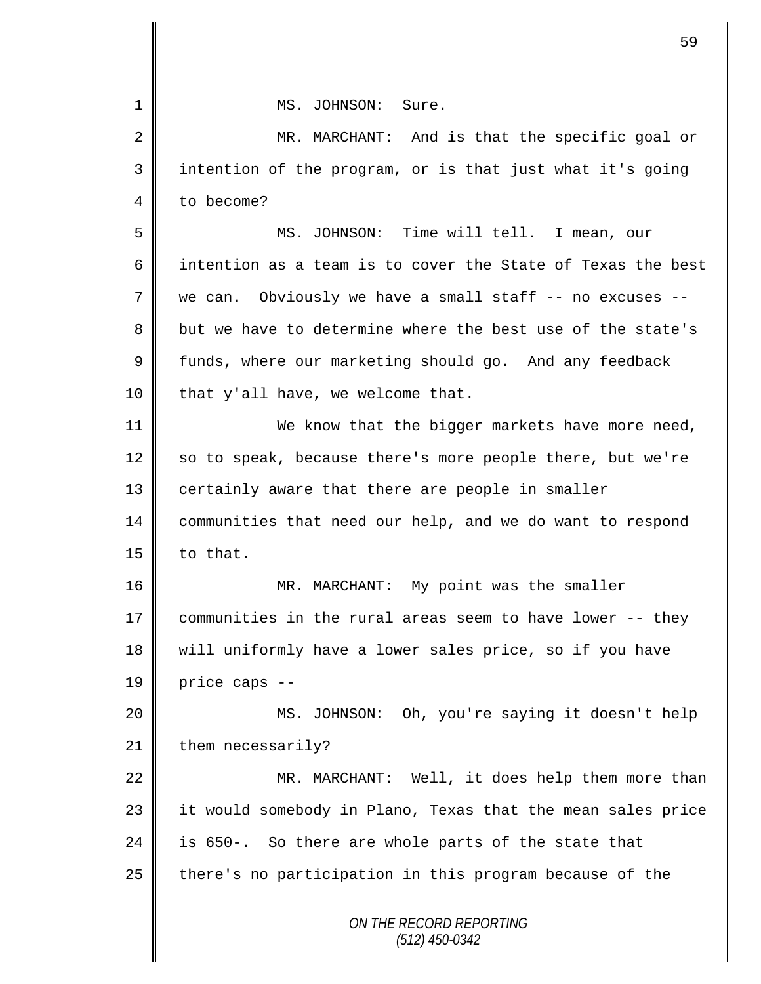|    | 59                                                          |
|----|-------------------------------------------------------------|
| 1  | MS. JOHNSON: Sure.                                          |
| 2  | MR. MARCHANT: And is that the specific goal or              |
| 3  | intention of the program, or is that just what it's going   |
| 4  | to become?                                                  |
| 5  | MS. JOHNSON: Time will tell. I mean, our                    |
| 6  | intention as a team is to cover the State of Texas the best |
| 7  | Obviously we have a small staff -- no excuses --<br>we can. |
| 8  | but we have to determine where the best use of the state's  |
| 9  | funds, where our marketing should go. And any feedback      |
| 10 | that y'all have, we welcome that.                           |
| 11 | We know that the bigger markets have more need,             |
| 12 | so to speak, because there's more people there, but we're   |
| 13 | certainly aware that there are people in smaller            |
| 14 | communities that need our help, and we do want to respond   |
| 15 | to that.                                                    |
| 16 | MR. MARCHANT: My point was the smaller                      |
| 17 | communities in the rural areas seem to have lower -- they   |
| 18 | will uniformly have a lower sales price, so if you have     |
| 19 | price caps --                                               |
| 20 | MS. JOHNSON: Oh, you're saying it doesn't help              |
| 21 | them necessarily?                                           |
| 22 | MR. MARCHANT: Well, it does help them more than             |
| 23 | it would somebody in Plano, Texas that the mean sales price |
| 24 | is 650-. So there are whole parts of the state that         |
| 25 | there's no participation in this program because of the     |
|    | ON THE RECORD REPORTING<br>$(512)$ 450-0342                 |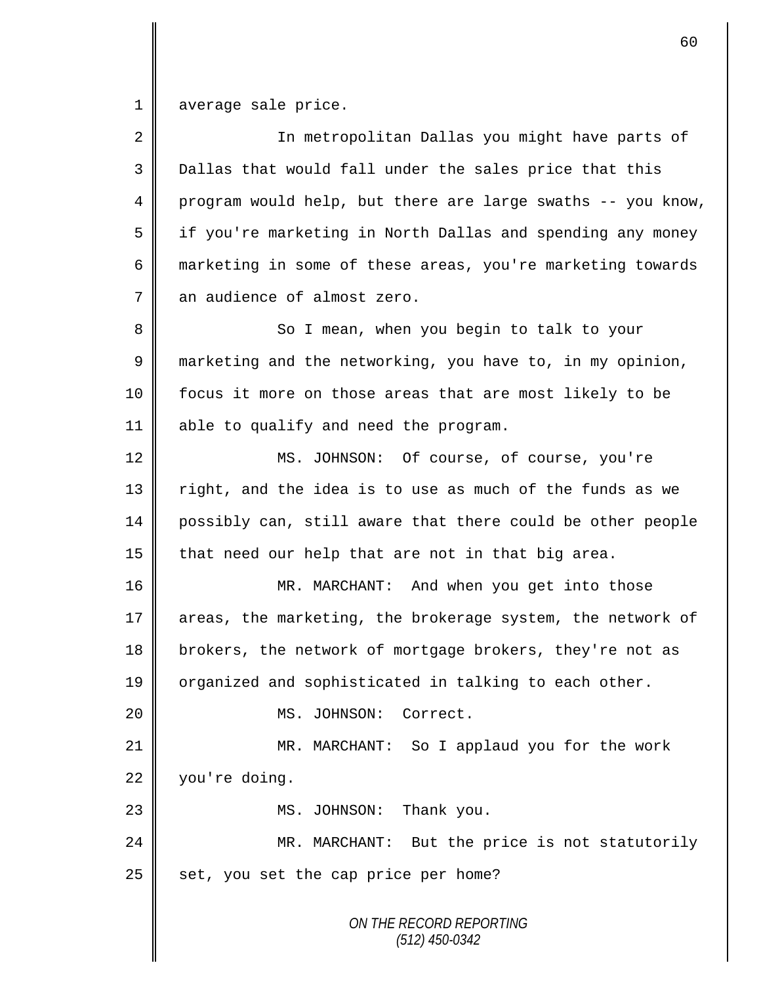1 average sale price.

| $\overline{2}$ | In metropolitan Dallas you might have parts of              |
|----------------|-------------------------------------------------------------|
| 3              | Dallas that would fall under the sales price that this      |
| $\overline{4}$ | program would help, but there are large swaths -- you know, |
| 5              | if you're marketing in North Dallas and spending any money  |
| 6              | marketing in some of these areas, you're marketing towards  |
| 7              | an audience of almost zero.                                 |
| 8              | So I mean, when you begin to talk to your                   |
| $\mathsf 9$    | marketing and the networking, you have to, in my opinion,   |
| 10             | focus it more on those areas that are most likely to be     |
| 11             | able to qualify and need the program.                       |
| 12             | MS. JOHNSON: Of course, of course, you're                   |
| 13             | right, and the idea is to use as much of the funds as we    |
| 14             | possibly can, still aware that there could be other people  |
| 15             | that need our help that are not in that big area.           |
| 16             | MR. MARCHANT: And when you get into those                   |
| 17             | areas, the marketing, the brokerage system, the network of  |
| 18             | brokers, the network of mortgage brokers, they're not as    |
| 19             | organized and sophisticated in talking to each other.       |
| 20             | MS. JOHNSON:<br>Correct.                                    |
| 21             | MR. MARCHANT: So I applaud you for the work                 |
| 22             | you're doing.                                               |
| 23             | MS. JOHNSON: Thank you.                                     |
| 24             | MR. MARCHANT: But the price is not statutorily              |
| 25             | set, you set the cap price per home?                        |
|                | ON THE RECORD REPORTING<br>$(512)$ 450-0342                 |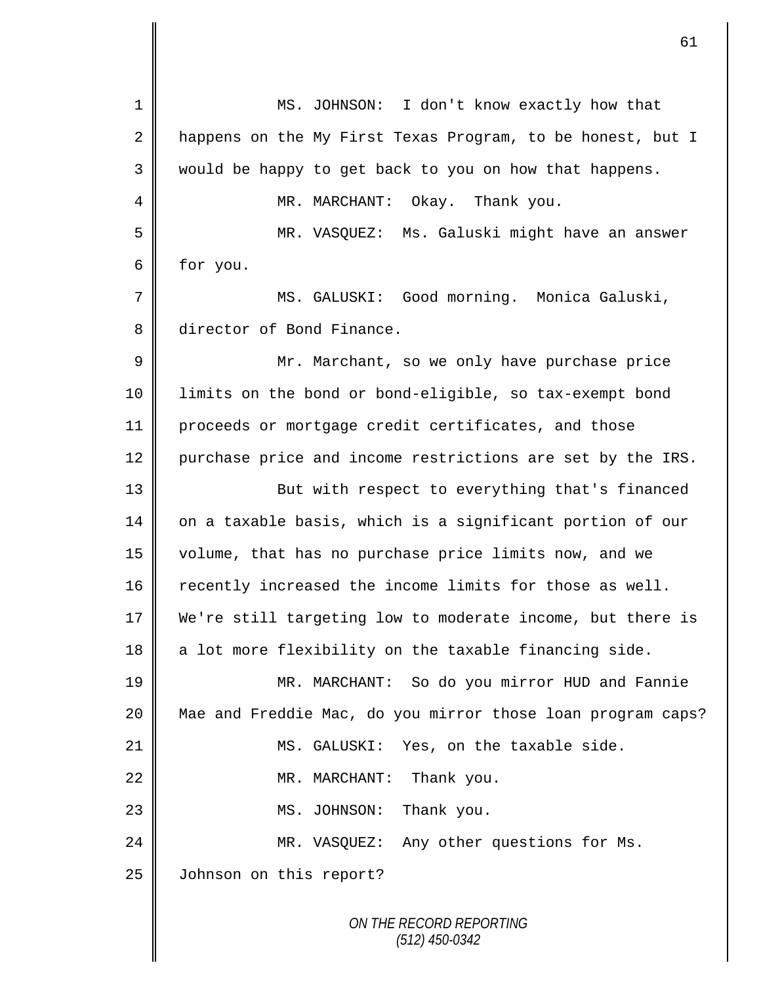| 1  | MS. JOHNSON: I don't know exactly how that                  |
|----|-------------------------------------------------------------|
| 2  | happens on the My First Texas Program, to be honest, but I  |
| 3  | would be happy to get back to you on how that happens.      |
| 4  | MR. MARCHANT:<br>Okay. Thank you.                           |
| 5  | MR. VASQUEZ: Ms. Galuski might have an answer               |
| б  | for you.                                                    |
| 7  | MS. GALUSKI: Good morning. Monica Galuski,                  |
| 8  | director of Bond Finance.                                   |
| 9  | Mr. Marchant, so we only have purchase price                |
| 10 | limits on the bond or bond-eligible, so tax-exempt bond     |
| 11 | proceeds or mortgage credit certificates, and those         |
| 12 | purchase price and income restrictions are set by the IRS.  |
| 13 | But with respect to everything that's financed              |
| 14 | on a taxable basis, which is a significant portion of our   |
| 15 | volume, that has no purchase price limits now, and we       |
| 16 | recently increased the income limits for those as well.     |
| 17 | We're still targeting low to moderate income, but there is  |
| 18 | a lot more flexibility on the taxable financing side.       |
| 19 | MR. MARCHANT: So do you mirror HUD and Fannie               |
| 20 | Mae and Freddie Mac, do you mirror those loan program caps? |
| 21 | MS. GALUSKI: Yes, on the taxable side.                      |
| 22 | Thank you.<br>MR. MARCHANT:                                 |
| 23 | Thank you.<br>MS. JOHNSON:                                  |
| 24 | MR. VASQUEZ: Any other questions for Ms.                    |
| 25 | Johnson on this report?                                     |
|    | ON THE RECORD REPORTING<br>$(512)$ 450-0342                 |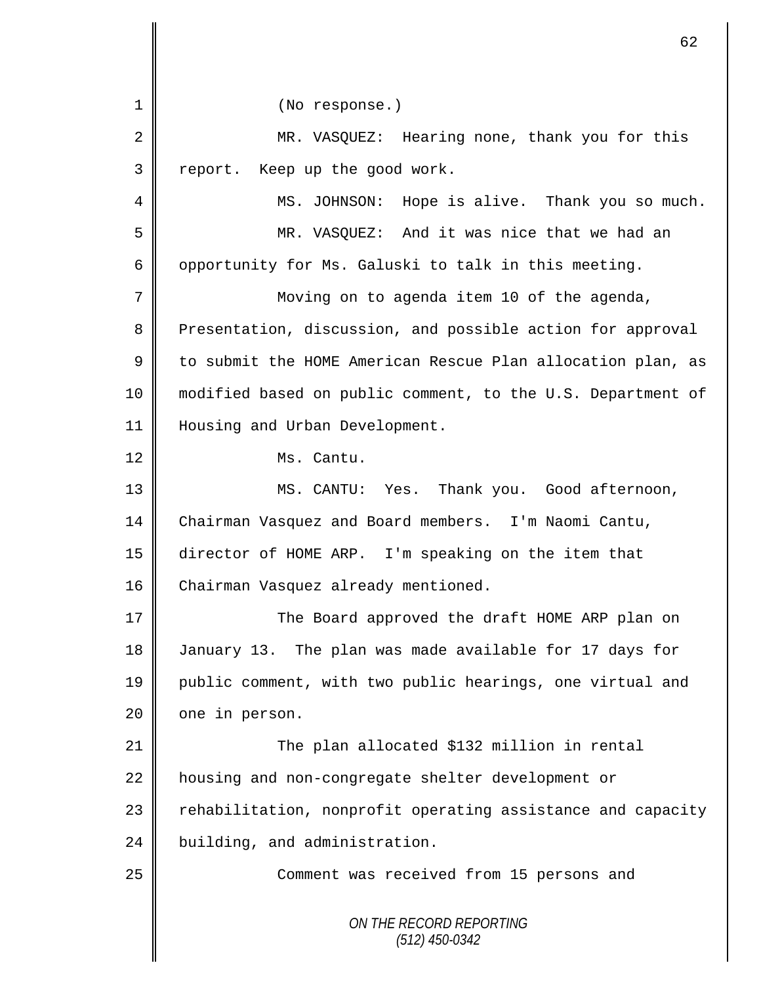*ON THE RECORD REPORTING (512) 450-0342* 1 || (No response.) 2 || MR. VASQUEZ: Hearing none, thank you for this 3 | report. Keep up the good work. 4 | MS. JOHNSON: Hope is alive. Thank you so much. 5 MR. VASQUEZ: And it was nice that we had an 6 | opportunity for Ms. Galuski to talk in this meeting. 7 | Moving on to agenda item 10 of the agenda, 8 Presentation, discussion, and possible action for approval 9 | to submit the HOME American Rescue Plan allocation plan, as 10 modified based on public comment, to the U.S. Department of 11 | Housing and Urban Development. 12 Ms. Cantu. 13 MS. CANTU: Yes. Thank you. Good afternoon, 14 Chairman Vasquez and Board members. I'm Naomi Cantu, 15 director of HOME ARP. I'm speaking on the item that 16 Chairman Vasquez already mentioned. 17 The Board approved the draft HOME ARP plan on 18 | January 13. The plan was made available for 17 days for 19 public comment, with two public hearings, one virtual and 20 one in person. 21 | The plan allocated \$132 million in rental 22 | housing and non-congregate shelter development or 23 | rehabilitation, nonprofit operating assistance and capacity 24 building, and administration. 25 Comment was received from 15 persons and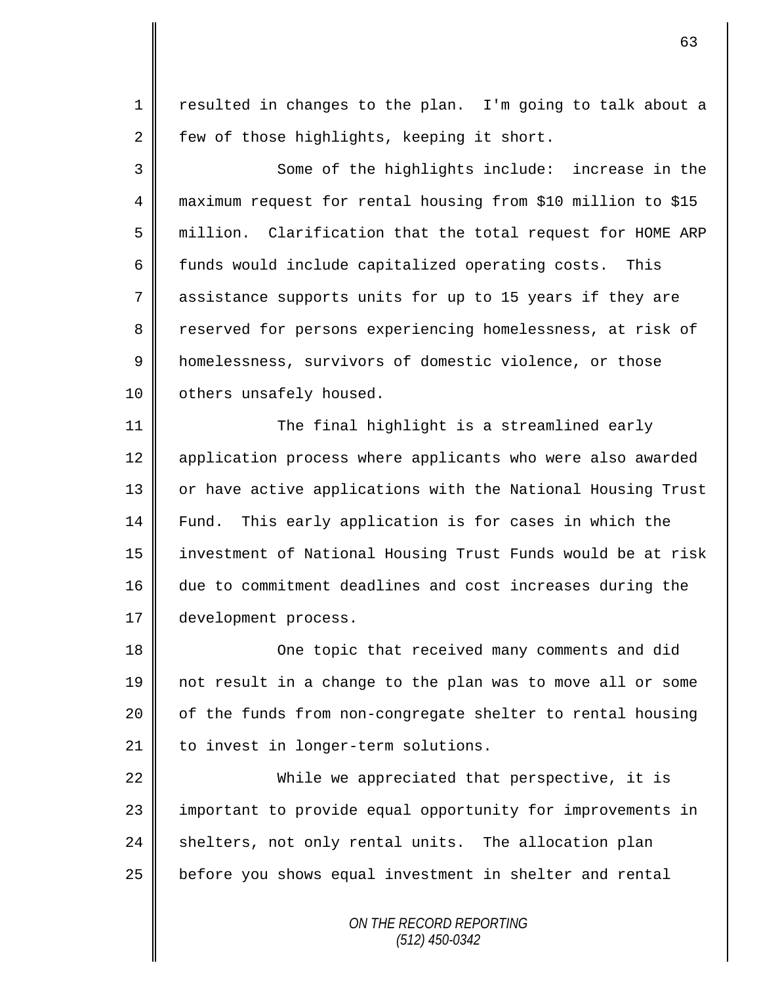1 || resulted in changes to the plan. I'm going to talk about a 2 few of those highlights, keeping it short.

3 || Some of the highlights include: increase in the 4 maximum request for rental housing from \$10 million to \$15 5 million. Clarification that the total request for HOME ARP 6  $\parallel$  funds would include capitalized operating costs. This 7 assistance supports units for up to 15 years if they are 8 Teserved for persons experiencing homelessness, at risk of 9 | homelessness, survivors of domestic violence, or those 10 | others unsafely housed.

11 || The final highlight is a streamlined early 12 | application process where applicants who were also awarded 13 || or have active applications with the National Housing Trust 14 Fund. This early application is for cases in which the 15 investment of National Housing Trust Funds would be at risk 16 due to commitment deadlines and cost increases during the 17 development process.

18 || One topic that received many comments and did 19 not result in a change to the plan was to move all or some  $20$  | of the funds from non-congregate shelter to rental housing 21 | to invest in longer-term solutions.

22 While we appreciated that perspective, it is 23 | important to provide equal opportunity for improvements in  $24$  shelters, not only rental units. The allocation plan 25 before you shows equal investment in shelter and rental

> *ON THE RECORD REPORTING (512) 450-0342*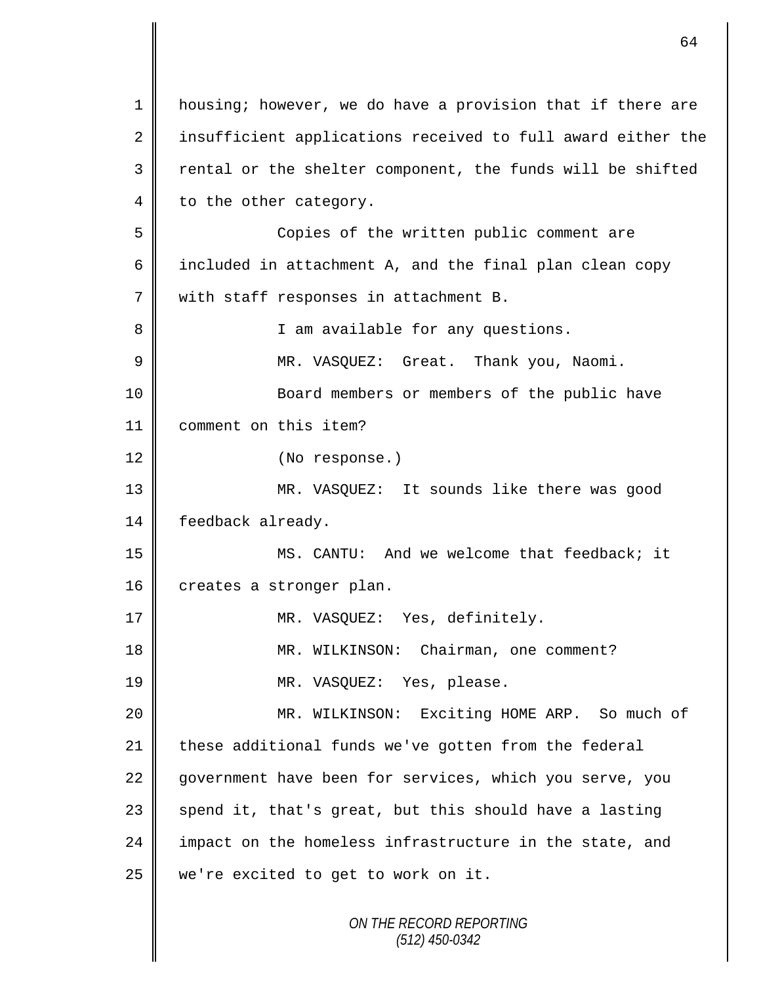*ON THE RECORD REPORTING (512) 450-0342* 1 | housing; however, we do have a provision that if there are 2 insufficient applications received to full award either the  $3$   $\parallel$  rental or the shelter component, the funds will be shifted 4 to the other category. 5 Copies of the written public comment are 6 | included in attachment A, and the final plan clean copy 7 with staff responses in attachment B. 8 || I am available for any questions. 9 || MR. VASQUEZ: Great. Thank you, Naomi. 10 || Board members or members of the public have 11 comment on this item? 12 || (No response.) 13 MR. VASQUEZ: It sounds like there was good 14 | feedback already. 15 MS. CANTU: And we welcome that feedback; it 16 creates a stronger plan. 17 || MR. VASQUEZ: Yes, definitely. 18 || MR. WILKINSON: Chairman, one comment? 19 || MR. VASQUEZ: Yes, please. 20 MR. WILKINSON: Exciting HOME ARP. So much of 21 these additional funds we've gotten from the federal 22 government have been for services, which you serve, you  $23$  spend it, that's great, but this should have a lasting 24 | impact on the homeless infrastructure in the state, and  $25$  we're excited to get to work on it.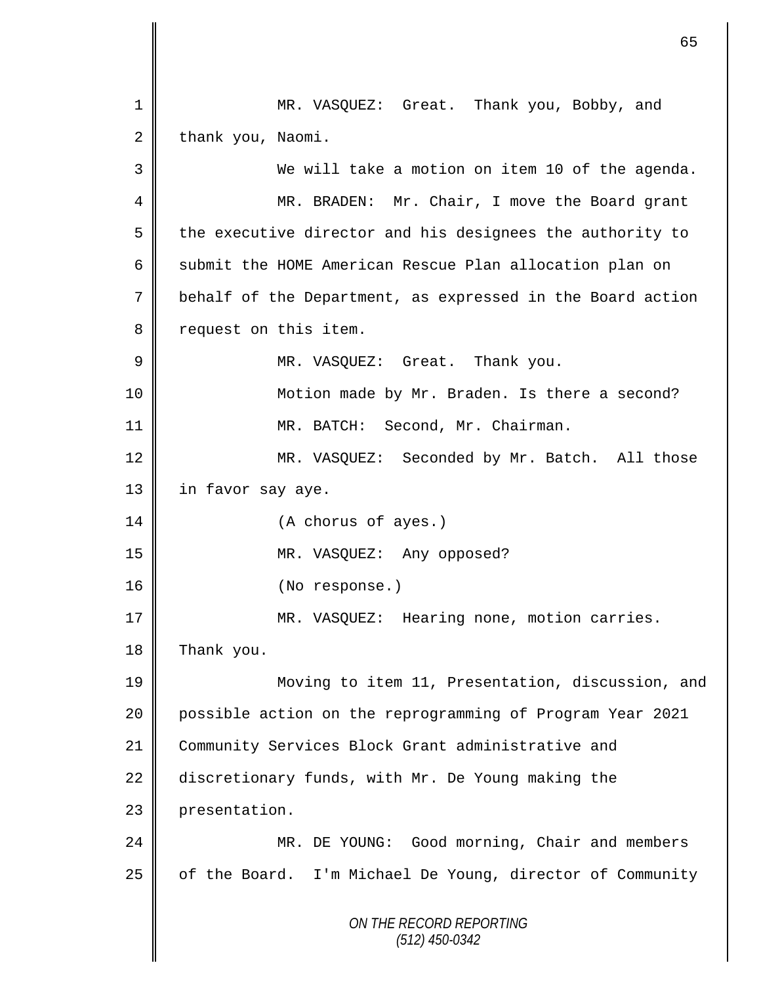*ON THE RECORD REPORTING (512) 450-0342* 1 MR. VASQUEZ: Great. Thank you, Bobby, and  $2 \parallel$  thank you, Naomi. 3 We will take a motion on item 10 of the agenda. 4 MR. BRADEN: Mr. Chair, I move the Board grant  $5 \parallel$  the executive director and his designees the authority to 6 Submit the HOME American Rescue Plan allocation plan on 7 behalf of the Department, as expressed in the Board action 8 | request on this item. 9 || MR. VASQUEZ: Great. Thank you. 10 || Motion made by Mr. Braden. Is there a second? 11 || MR. BATCH: Second, Mr. Chairman. 12 MR. VASQUEZ: Seconded by Mr. Batch. All those 13 | in favor say aye. 14 || (A chorus of ayes.) 15 MR. VASQUEZ: Any opposed? 16 || (No response.) 17 || MR. VASQUEZ: Hearing none, motion carries. 18 Thank you. 19 Moving to item 11, Presentation, discussion, and 20 possible action on the reprogramming of Program Year 2021 21 Community Services Block Grant administrative and 22 discretionary funds, with Mr. De Young making the 23 presentation. 24 MR. DE YOUNG: Good morning, Chair and members  $25$  of the Board. I'm Michael De Young, director of Community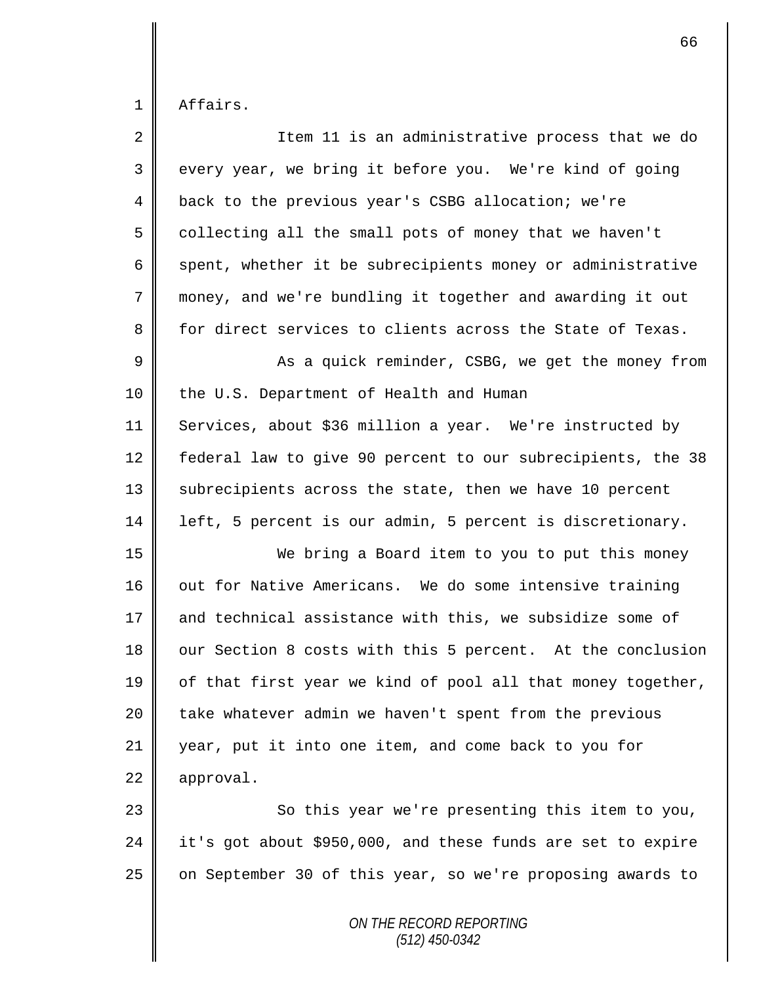1 Affairs.

| $\overline{2}$ | Item 11 is an administrative process that we do             |
|----------------|-------------------------------------------------------------|
| 3              | every year, we bring it before you. We're kind of going     |
| $\overline{4}$ | back to the previous year's CSBG allocation; we're          |
| 5              | collecting all the small pots of money that we haven't      |
| 6              | spent, whether it be subrecipients money or administrative  |
| 7              | money, and we're bundling it together and awarding it out   |
| 8              | for direct services to clients across the State of Texas.   |
| 9              | As a quick reminder, CSBG, we get the money from            |
| 10             | the U.S. Department of Health and Human                     |
| 11             | Services, about \$36 million a year. We're instructed by    |
| 12             | federal law to give 90 percent to our subrecipients, the 38 |
| 13             | subrecipients across the state, then we have 10 percent     |
| 14             | left, 5 percent is our admin, 5 percent is discretionary.   |
| 15             | We bring a Board item to you to put this money              |
| 16             | out for Native Americans. We do some intensive training     |
| 17             | and technical assistance with this, we subsidize some of    |
| 18             | our Section 8 costs with this 5 percent. At the conclusion  |
| 19             | of that first year we kind of pool all that money together, |
| 20             | take whatever admin we haven't spent from the previous      |
| 21             | year, put it into one item, and come back to you for        |
| 22             | approval.                                                   |
| 23             | So this year we're presenting this item to you,             |
| 24             | it's got about \$950,000, and these funds are set to expire |
| 25             | on September 30 of this year, so we're proposing awards to  |
|                | ON THE RECORD REPORTING                                     |

*(512) 450-0342*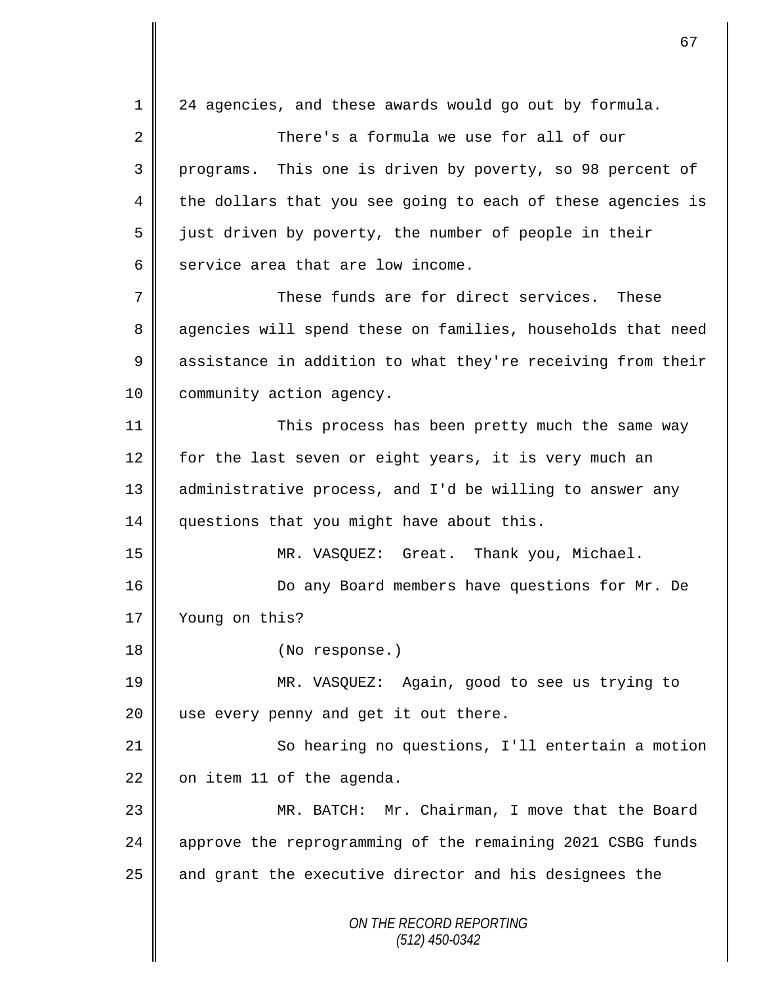*ON THE RECORD REPORTING (512) 450-0342* 1 24 agencies, and these awards would go out by formula. 2 There's a formula we use for all of our 3 programs. This one is driven by poverty, so 98 percent of 4 the dollars that you see going to each of these agencies is  $5 \parallel$  just driven by poverty, the number of people in their  $6 \parallel$  service area that are low income. 7 These funds are for direct services. These 8 agencies will spend these on families, households that need 9 assistance in addition to what they're receiving from their 10 | community action agency. 11 || This process has been pretty much the same way 12 for the last seven or eight years, it is very much an 13 || administrative process, and I'd be willing to answer any 14 questions that you might have about this. 15 MR. VASQUEZ: Great. Thank you, Michael. 16 | Do any Board members have questions for Mr. De 17 Voung on this? 18 || (No response.) 19 MR. VASQUEZ: Again, good to see us trying to  $20$  | use every penny and get it out there. 21 | So hearing no questions, I'll entertain a motion  $22$  on item 11 of the agenda. 23 MR. BATCH: Mr. Chairman, I move that the Board 24 approve the reprogramming of the remaining 2021 CSBG funds  $25$  and grant the executive director and his designees the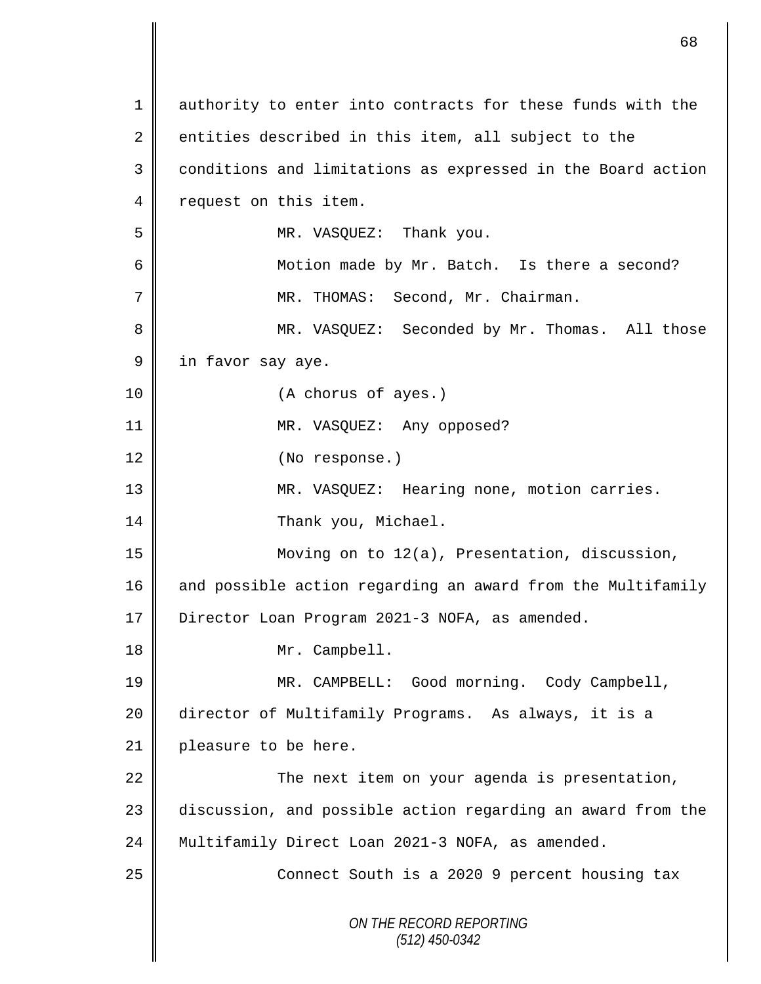*ON THE RECORD REPORTING (512) 450-0342* 1 || authority to enter into contracts for these funds with the 2 entities described in this item, all subject to the 3 | conditions and limitations as expressed in the Board action 4 | request on this item. 5 MR. VASQUEZ: Thank you. 6 || Motion made by Mr. Batch. Is there a second? 7 MR. THOMAS: Second, Mr. Chairman. 8 MR. VASQUEZ: Seconded by Mr. Thomas. All those 9 | in favor say aye. 10 || (A chorus of ayes.) 11 || MR. VASQUEZ: Any opposed? 12 || (No response.) 13 MR. VASQUEZ: Hearing none, motion carries. 14 | Thank you, Michael. 15 Moving on to 12(a), Presentation, discussion, 16 and possible action regarding an award from the Multifamily 17 | Director Loan Program 2021-3 NOFA, as amended. 18 Mr. Campbell. 19 MR. CAMPBELL: Good morning. Cody Campbell, 20 director of Multifamily Programs. As always, it is a 21 | pleasure to be here.  $22$   $\parallel$  The next item on your agenda is presentation, 23 discussion, and possible action regarding an award from the 24 | Multifamily Direct Loan 2021-3 NOFA, as amended. 25 || Connect South is a 2020 9 percent housing tax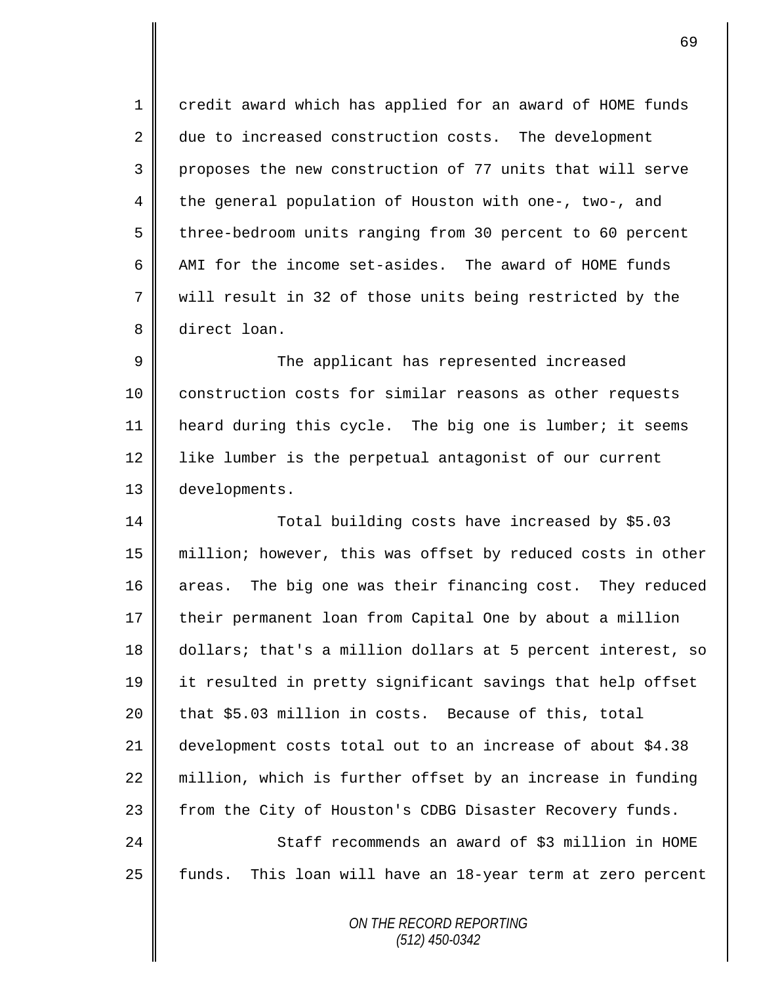1 credit award which has applied for an award of HOME funds 2 due to increased construction costs. The development 3 proposes the new construction of 77 units that will serve 4 the general population of Houston with one-, two-, and 5 three-bedroom units ranging from 30 percent to 60 percent 6 AMI for the income set-asides. The award of HOME funds 7 will result in 32 of those units being restricted by the 8 direct loan.

9 The applicant has represented increased 10 | construction costs for similar reasons as other requests 11 heard during this cycle. The big one is lumber; it seems 12 | like lumber is the perpetual antagonist of our current 13 developments.

14 Total building costs have increased by \$5.03 15 million; however, this was offset by reduced costs in other 16 areas. The big one was their financing cost. They reduced 17 their permanent loan from Capital One by about a million 18 dollars; that's a million dollars at 5 percent interest, so 19 it resulted in pretty significant savings that help offset  $20$  | that \$5.03 million in costs. Because of this, total 21 development costs total out to an increase of about \$4.38 22 million, which is further offset by an increase in funding 23 | from the City of Houston's CDBG Disaster Recovery funds. 24 Staff recommends an award of \$3 million in HOME 25 funds. This loan will have an 18-year term at zero percent

> *ON THE RECORD REPORTING (512) 450-0342*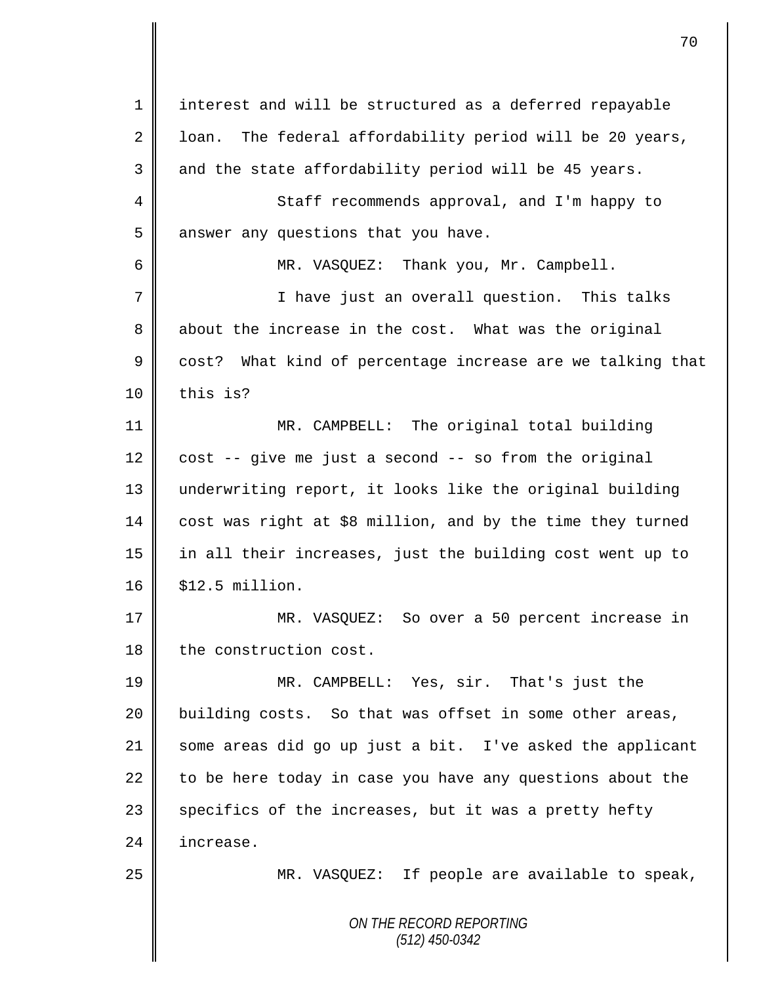*ON THE RECORD REPORTING (512) 450-0342* 1 || interest and will be structured as a deferred repayable  $2 \parallel$  loan. The federal affordability period will be 20 years,  $3 \parallel$  and the state affordability period will be 45 years. 4 Staff recommends approval, and I'm happy to 5 answer any questions that you have. 6 MR. VASQUEZ: Thank you, Mr. Campbell. 7 || Thave just an overall question. This talks 8 about the increase in the cost. What was the original 9 cost? What kind of percentage increase are we talking that  $10 \parallel$  this is? 11 MR. CAMPBELL: The original total building  $12 \parallel$  cost -- give me just a second -- so from the original 13 underwriting report, it looks like the original building 14 cost was right at \$8 million, and by the time they turned 15 in all their increases, just the building cost went up to 16 | \$12.5 million. 17 MR. VASQUEZ: So over a 50 percent increase in 18 | the construction cost. 19 MR. CAMPBELL: Yes, sir. That's just the 20  $\parallel$  building costs. So that was offset in some other areas, 21 some areas did go up just a bit. I've asked the applicant 22  $\parallel$  to be here today in case you have any questions about the  $23$  specifics of the increases, but it was a pretty hefty 24 | increase. 25 MR. VASQUEZ: If people are available to speak,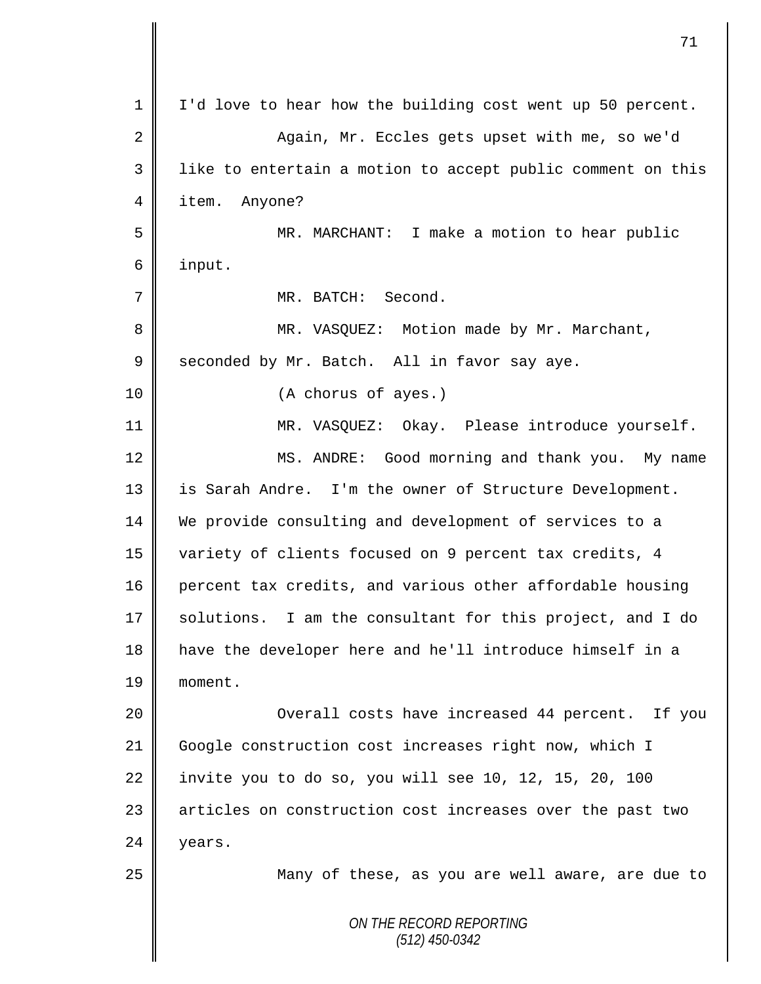|             | 71                                                          |
|-------------|-------------------------------------------------------------|
| $\mathbf 1$ | I'd love to hear how the building cost went up 50 percent.  |
| 2           | Again, Mr. Eccles gets upset with me, so we'd               |
| 3           | like to entertain a motion to accept public comment on this |
| 4           | item.<br>Anyone?                                            |
| 5           | MR. MARCHANT: I make a motion to hear public                |
| 6           | input.                                                      |
| 7           | MR. BATCH: Second.                                          |
| 8           | MR. VASQUEZ: Motion made by Mr. Marchant,                   |
| $\mathsf 9$ | seconded by Mr. Batch. All in favor say aye.                |
| 10          | (A chorus of ayes.)                                         |
| 11          | MR. VASQUEZ: Okay. Please introduce yourself.               |
| 12          | MS. ANDRE: Good morning and thank you. My name              |
| 13          | is Sarah Andre. I'm the owner of Structure Development.     |
| 14          | We provide consulting and development of services to a      |
| 15          | variety of clients focused on 9 percent tax credits, 4      |
| 16          | percent tax credits, and various other affordable housing   |
| 17          | solutions. I am the consultant for this project, and I do   |
| 18          | have the developer here and he'll introduce himself in a    |
| 19          | moment.                                                     |
| 20          | Overall costs have increased 44 percent. If you             |
| 21          | Google construction cost increases right now, which I       |
| 22          | invite you to do so, you will see 10, 12, 15, 20, 100       |
| 23          | articles on construction cost increases over the past two   |
| 24          | years.                                                      |
| 25          | Many of these, as you are well aware, are due to            |
|             | ON THE RECORD REPORTING<br>$(512)$ 450-0342                 |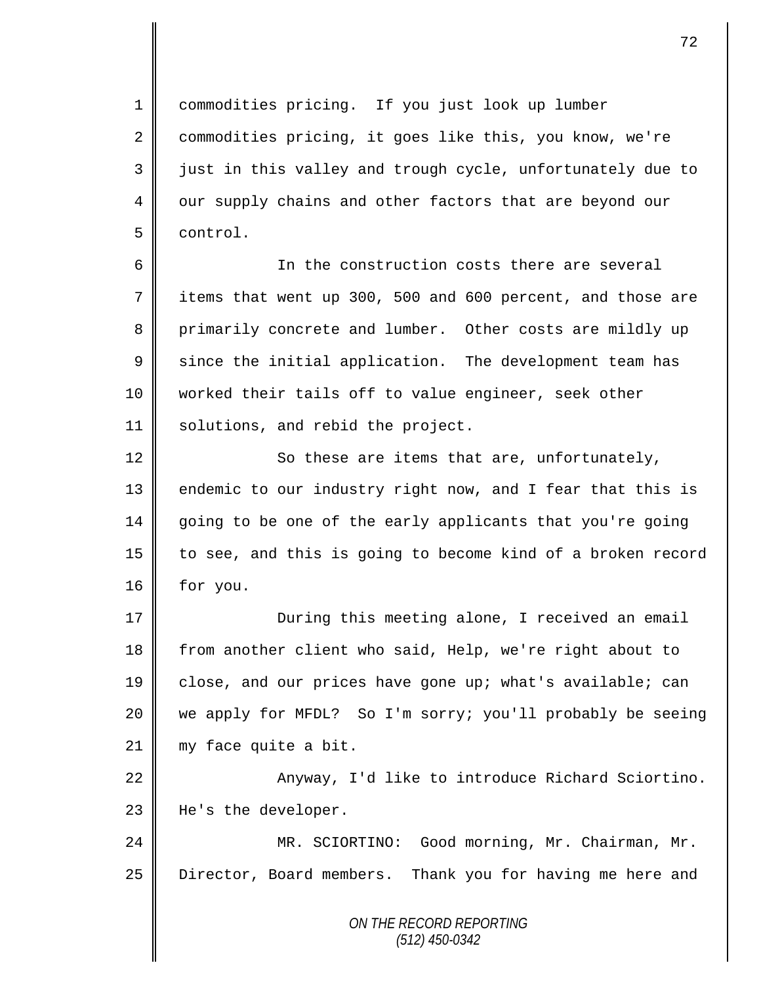1 commodities pricing. If you just look up lumber 2 commodities pricing, it goes like this, you know, we're  $3 \parallel$  just in this valley and trough cycle, unfortunately due to 4 | our supply chains and other factors that are beyond our 5 control.

6 In the construction costs there are several 7 items that went up 300, 500 and 600 percent, and those are 8 primarily concrete and lumber. Other costs are mildly up  $9 \parallel$  since the initial application. The development team has 10 worked their tails off to value engineer, seek other 11 | solutions, and rebid the project.

12 | So these are items that are, unfortunately, 13 | endemic to our industry right now, and I fear that this is 14 going to be one of the early applicants that you're going 15 || to see, and this is going to become kind of a broken record 16 | for you.

17 | During this meeting alone, I received an email 18 from another client who said, Help, we're right about to 19 close, and our prices have gone up; what's available; can 20 we apply for MFDL? So I'm sorry; you'll probably be seeing 21 || my face quite a bit.

22 | Anyway, I'd like to introduce Richard Sciortino. 23 | He's the developer.

24 MR. SCIORTINO: Good morning, Mr. Chairman, Mr. 25 | Director, Board members. Thank you for having me here and

> *ON THE RECORD REPORTING (512) 450-0342*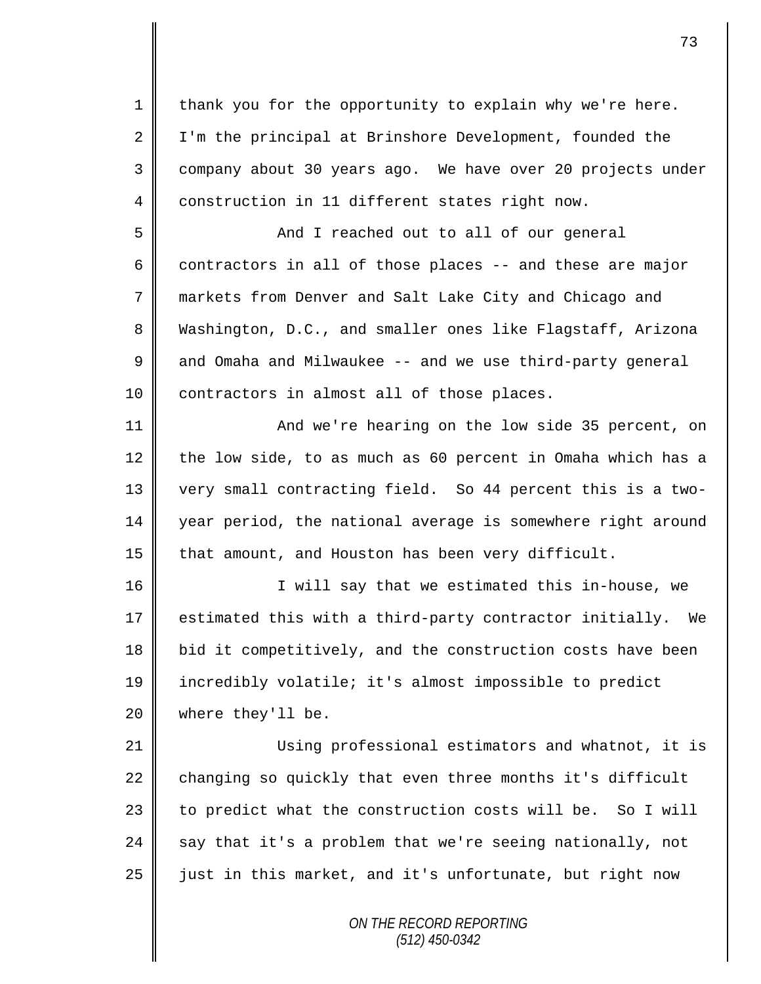*ON THE RECORD REPORTING (512) 450-0342* 1 | thank you for the opportunity to explain why we're here. 2 I I'm the principal at Brinshore Development, founded the 3 company about 30 years ago. We have over 20 projects under 4 construction in 11 different states right now. 5 || And I reached out to all of our general 6 contractors in all of those places  $-$  and these are major 7 markets from Denver and Salt Lake City and Chicago and 8 Washington, D.C., and smaller ones like Flagstaff, Arizona  $9 \parallel$  and Omaha and Milwaukee -- and we use third-party general 10 || contractors in almost all of those places. 11 || And we're hearing on the low side 35 percent, on 12 the low side, to as much as 60 percent in Omaha which has a 13 very small contracting field. So 44 percent this is a two-14 year period, the national average is somewhere right around 15 | that amount, and Houston has been very difficult. 16 || I will say that we estimated this in-house, we 17  $\parallel$  estimated this with a third-party contractor initially. We 18 bid it competitively, and the construction costs have been 19 incredibly volatile; it's almost impossible to predict 20 where they'll be. 21 Using professional estimators and whatnot, it is 22  $\parallel$  changing so quickly that even three months it's difficult 23  $\parallel$  to predict what the construction costs will be. So I will 24 say that it's a problem that we're seeing nationally, not  $25$   $\parallel$  just in this market, and it's unfortunate, but right now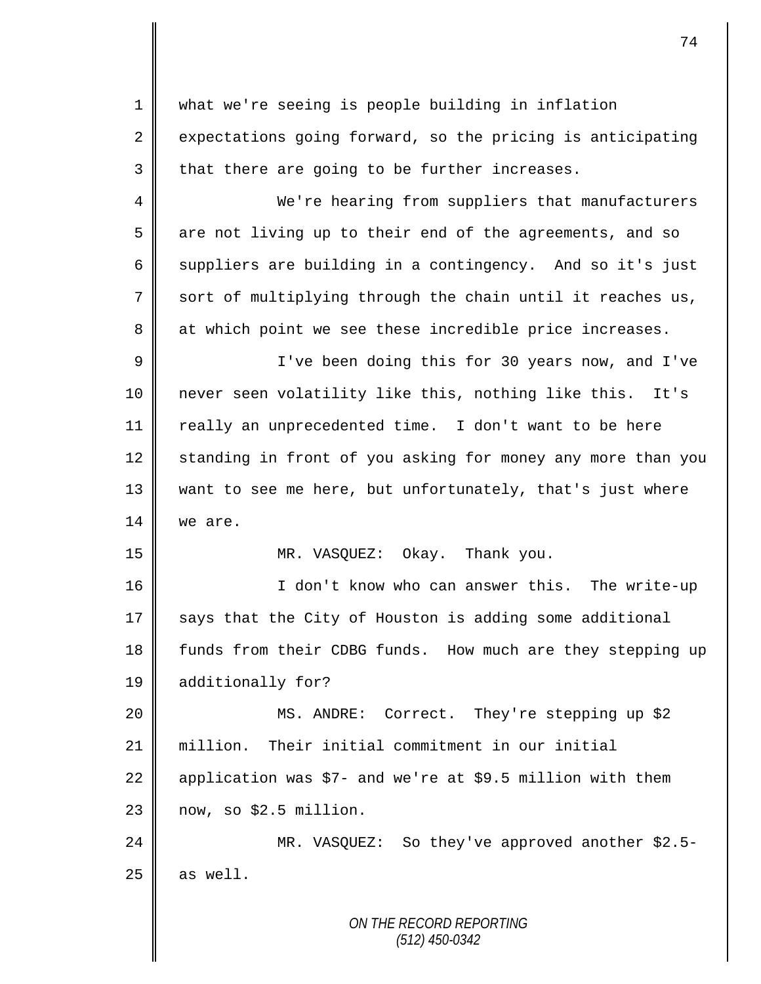1 what we're seeing is people building in inflation  $2 \parallel$  expectations going forward, so the pricing is anticipating  $3$  that there are going to be further increases. 4 We're hearing from suppliers that manufacturers  $5 \parallel$  are not living up to their end of the agreements, and so 6 suppliers are building in a contingency. And so it's just 7 sort of multiplying through the chain until it reaches us, 8 at which point we see these incredible price increases. 9 || I've been doing this for 30 years now, and I've 10 never seen volatility like this, nothing like this. It's 11 | really an unprecedented time. I don't want to be here 12 standing in front of you asking for money any more than you 13 want to see me here, but unfortunately, that's just where 14 we are. 15 MR. VASQUEZ: Okay. Thank you. 16 | The Show who can answer this. The write-up  $17$  says that the City of Houston is adding some additional 18 funds from their CDBG funds. How much are they stepping up 19 additionally for? 20 MS. ANDRE: Correct. They're stepping up \$2 21 million. Their initial commitment in our initial 22 application was  $$7-$  and we're at \$9.5 million with them  $23$  now, so \$2.5 million. 24 MR. VASQUEZ: So they've approved another \$2.5-  $25$  as well.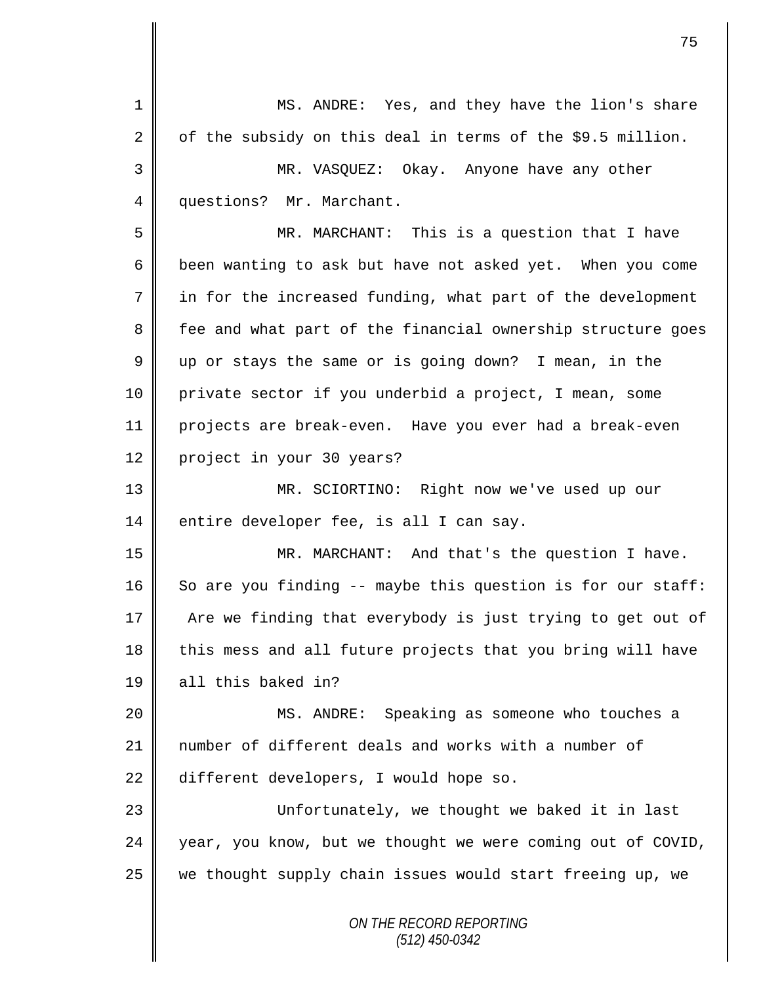*ON THE RECORD REPORTING (512) 450-0342* 1 MS. ANDRE: Yes, and they have the lion's share 2 | of the subsidy on this deal in terms of the \$9.5 million. 3 MR. VASQUEZ: Okay. Anyone have any other 4 questions? Mr. Marchant. 5 MR. MARCHANT: This is a question that I have 6 been wanting to ask but have not asked yet. When you come 7 in for the increased funding, what part of the development 8 fee and what part of the financial ownership structure goes 9 up or stays the same or is going down? I mean, in the 10 private sector if you underbid a project, I mean, some 11 projects are break-even. Have you ever had a break-even 12 project in your 30 years? 13 MR. SCIORTINO: Right now we've used up our 14 entire developer fee, is all I can say. 15 | MR. MARCHANT: And that's the question I have. 16 So are you finding  $-$  maybe this question is for our staff: 17 The are we finding that everybody is just trying to get out of 18 this mess and all future projects that you bring will have 19 all this baked in? 20 MS. ANDRE: Speaking as someone who touches a 21 number of different deals and works with a number of 22 different developers, I would hope so. 23 || Unfortunately, we thought we baked it in last  $24$  year, you know, but we thought we were coming out of COVID, 25 we thought supply chain issues would start freeing up, we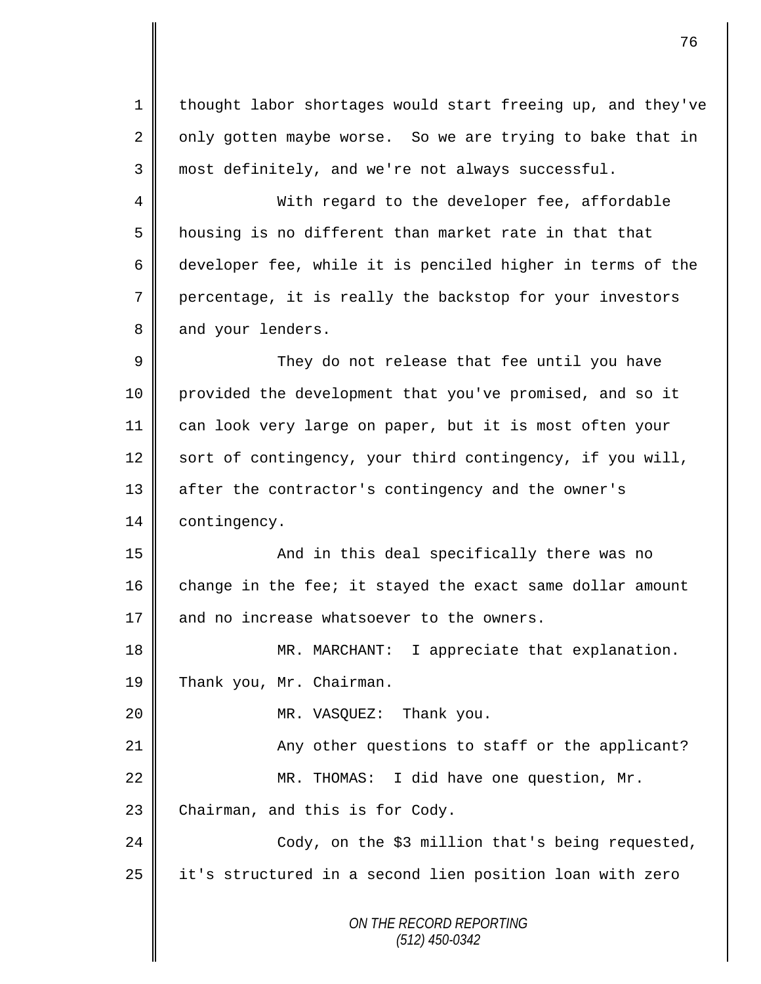*ON THE RECORD REPORTING (512) 450-0342* 1 | thought labor shortages would start freeing up, and they've  $2 \parallel$  only gotten maybe worse. So we are trying to bake that in  $3 \parallel$  most definitely, and we're not always successful. 4 || With regard to the developer fee, affordable 5 | housing is no different than market rate in that that 6 developer fee, while it is penciled higher in terms of the 7 percentage, it is really the backstop for your investors 8 and your lenders. 9 They do not release that fee until you have 10 provided the development that you've promised, and so it 11 can look very large on paper, but it is most often your 12 sort of contingency, your third contingency, if you will, 13 | after the contractor's contingency and the owner's 14 contingency. 15 || And in this deal specifically there was no 16 change in the fee; it stayed the exact same dollar amount  $17$  | and no increase whatsoever to the owners. 18 || MR. MARCHANT: I appreciate that explanation. 19 Thank you, Mr. Chairman. 20 **MR.** VASQUEZ: Thank you. 21 | Any other questions to staff or the applicant? 22 || MR. THOMAS: I did have one question, Mr.  $23$  Chairman, and this is for Cody. 24 || Cody, on the \$3 million that's being requested,  $25$  | it's structured in a second lien position loan with zero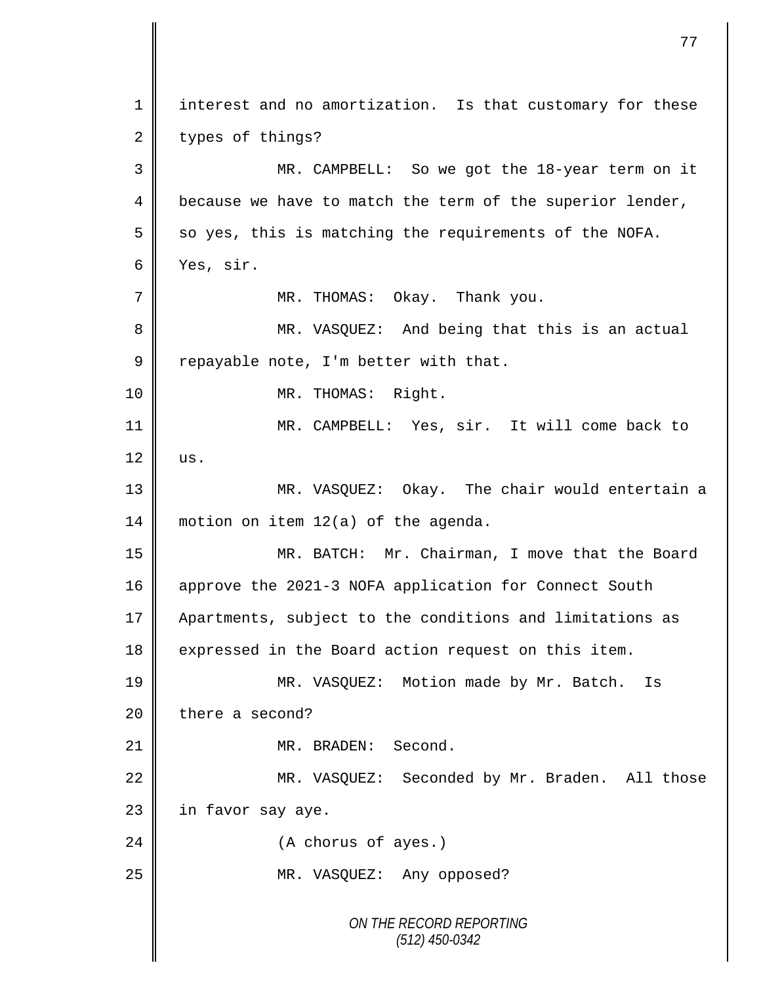*ON THE RECORD REPORTING (512) 450-0342* 1 || interest and no amortization. Is that customary for these  $2 \parallel$  types of things? 3 MR. CAMPBELL: So we got the 18-year term on it  $4 \parallel$  because we have to match the term of the superior lender,  $5 \parallel$  so yes, this is matching the requirements of the NOFA. 6 Yes, sir. 7 MR. THOMAS: Okay. Thank you. 8 MR. VASQUEZ: And being that this is an actual 9 Tepayable note, I'm better with that. 10 || MR. THOMAS: Right. 11 MR. CAMPBELL: Yes, sir. It will come back to  $12 \parallel \text{us.}$ 13 || MR. VASQUEZ: Okay. The chair would entertain a 14 | motion on item 12(a) of the agenda. 15 MR. BATCH: Mr. Chairman, I move that the Board 16 approve the 2021-3 NOFA application for Connect South 17 | Apartments, subject to the conditions and limitations as 18 expressed in the Board action request on this item. 19 || MR. VASQUEZ: Motion made by Mr. Batch. Is  $20$  there a second? 21 || MR. BRADEN: Second. 22 || MR. VASQUEZ: Seconded by Mr. Braden. All those  $23$  | in favor say aye. 24 | (A chorus of ayes.) 25 || MR. VASQUEZ: Any opposed?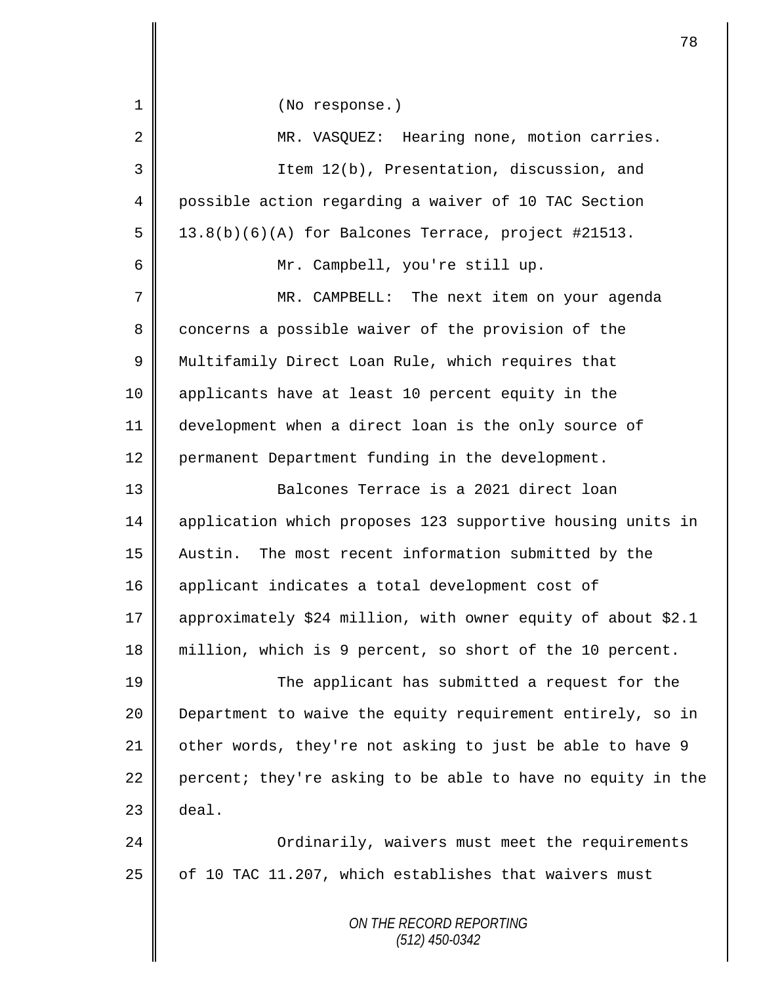| 1  | (No response.)                                               |
|----|--------------------------------------------------------------|
| 2  | MR. VASQUEZ: Hearing none, motion carries.                   |
| 3  | Item 12(b), Presentation, discussion, and                    |
| 4  | possible action regarding a waiver of 10 TAC Section         |
| 5  | 13.8(b)(6)(A) for Balcones Terrace, project #21513.          |
| 6  | Mr. Campbell, you're still up.                               |
| 7  | MR. CAMPBELL: The next item on your agenda                   |
| 8  | concerns a possible waiver of the provision of the           |
| 9  | Multifamily Direct Loan Rule, which requires that            |
| 10 | applicants have at least 10 percent equity in the            |
| 11 | development when a direct loan is the only source of         |
| 12 | permanent Department funding in the development.             |
| 13 | Balcones Terrace is a 2021 direct loan                       |
| 14 | application which proposes 123 supportive housing units in   |
| 15 | Austin. The most recent information submitted by the         |
| 16 | applicant indicates a total development cost of              |
| 17 | approximately \$24 million, with owner equity of about \$2.1 |
| 18 | million, which is 9 percent, so short of the 10 percent.     |
| 19 | The applicant has submitted a request for the                |
| 20 | Department to waive the equity requirement entirely, so in   |
| 21 | other words, they're not asking to just be able to have 9    |
| 22 | percent; they're asking to be able to have no equity in the  |
| 23 | deal.                                                        |
| 24 | Ordinarily, waivers must meet the requirements               |
| 25 | of 10 TAC 11.207, which establishes that waivers must        |
|    | ON THE RECORD REPORTING<br>$(512)$ 450-0342                  |
|    |                                                              |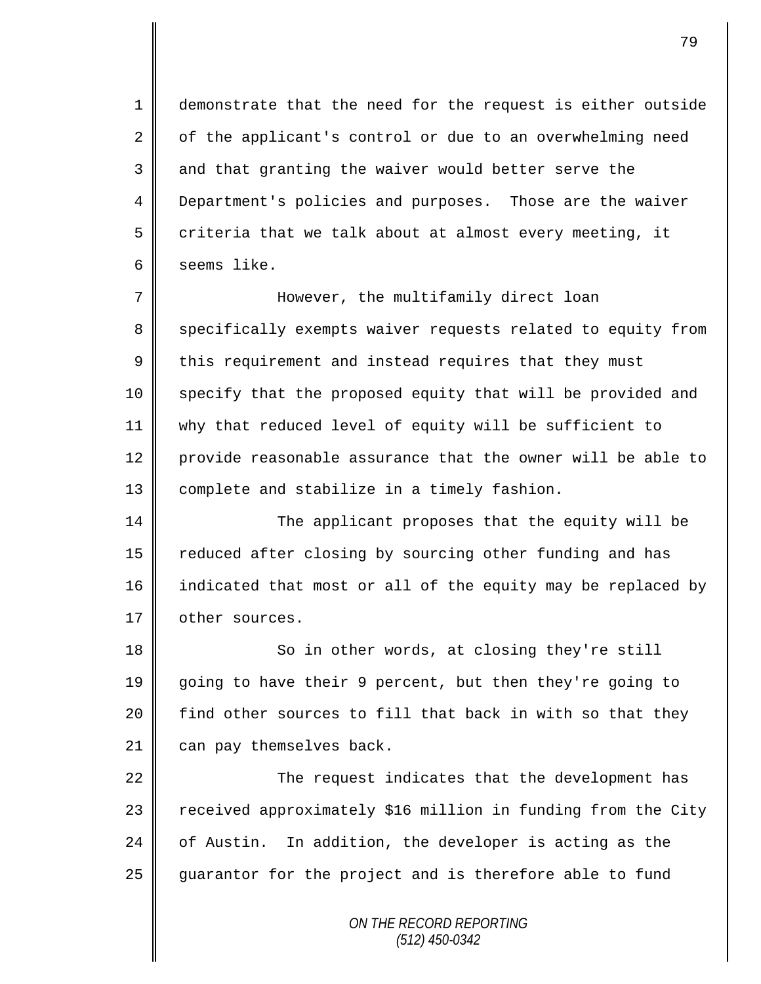1 demonstrate that the need for the request is either outside  $2 \parallel$  of the applicant's control or due to an overwhelming need 3 and that granting the waiver would better serve the 4 Department's policies and purposes. Those are the waiver 5 criteria that we talk about at almost every meeting, it 6 seems like.

7 However, the multifamily direct loan 8 Specifically exempts waiver requests related to equity from  $9 \parallel$  this requirement and instead requires that they must 10 specify that the proposed equity that will be provided and 11 why that reduced level of equity will be sufficient to 12 provide reasonable assurance that the owner will be able to 13 | complete and stabilize in a timely fashion.

14 The applicant proposes that the equity will be 15 Teduced after closing by sourcing other funding and has 16 indicated that most or all of the equity may be replaced by 17 | other sources.

18 So in other words, at closing they're still going to have their 9 percent, but then they're going to  $\parallel$  find other sources to fill that back in with so that they can pay themselves back.

22 | The request indicates that the development has 23  $\parallel$  received approximately \$16 million in funding from the City 24  $\parallel$  of Austin. In addition, the developer is acting as the 25 guarantor for the project and is therefore able to fund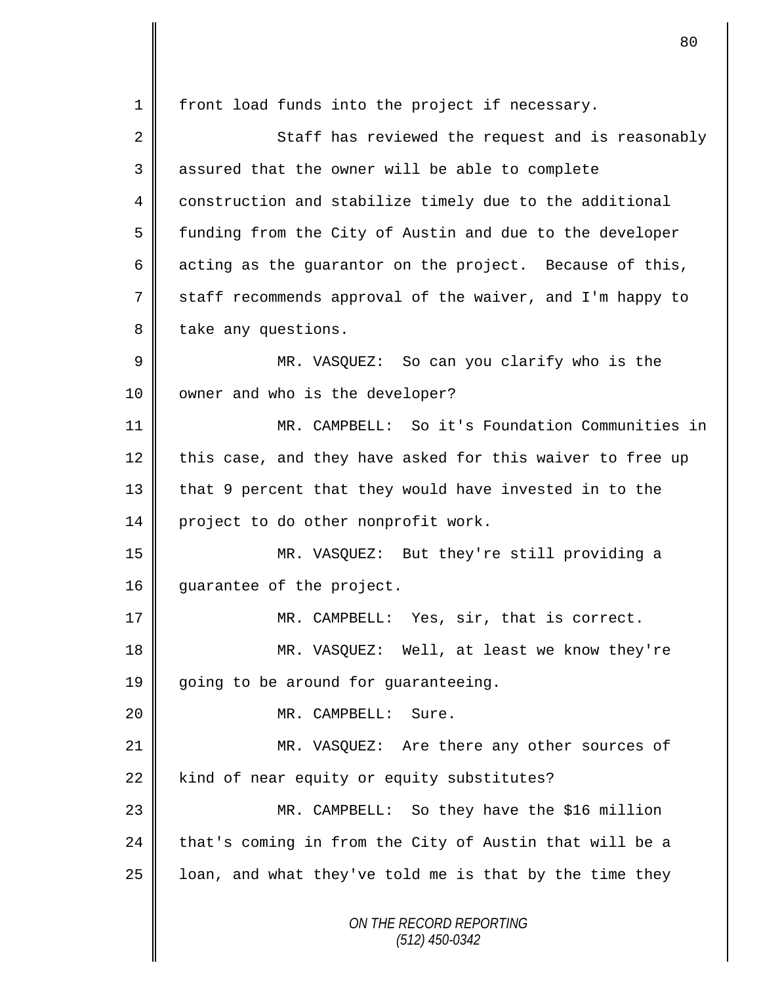*ON THE RECORD REPORTING (512) 450-0342* 1 | front load funds into the project if necessary. 2 Staff has reviewed the request and is reasonably 3 assured that the owner will be able to complete 4 construction and stabilize timely due to the additional 5 | funding from the City of Austin and due to the developer 6 acting as the guarantor on the project. Because of this, 7 staff recommends approval of the waiver, and I'm happy to 8 take any questions. 9 || MR. VASQUEZ: So can you clarify who is the 10 | owner and who is the developer? 11 MR. CAMPBELL: So it's Foundation Communities in 12 this case, and they have asked for this waiver to free up 13 that 9 percent that they would have invested in to the 14 project to do other nonprofit work. 15 MR. VASQUEZ: But they're still providing a 16 | guarantee of the project. 17 MR. CAMPBELL: Yes, sir, that is correct. 18 MR. VASQUEZ: Well, at least we know they're 19 going to be around for guaranteeing. 20 MR. CAMPBELL: Sure. 21 MR. VASQUEZ: Are there any other sources of 22  $\parallel$  kind of near equity or equity substitutes? 23 MR. CAMPBELL: So they have the \$16 million 24 that's coming in from the City of Austin that will be a  $25$  | loan, and what they've told me is that by the time they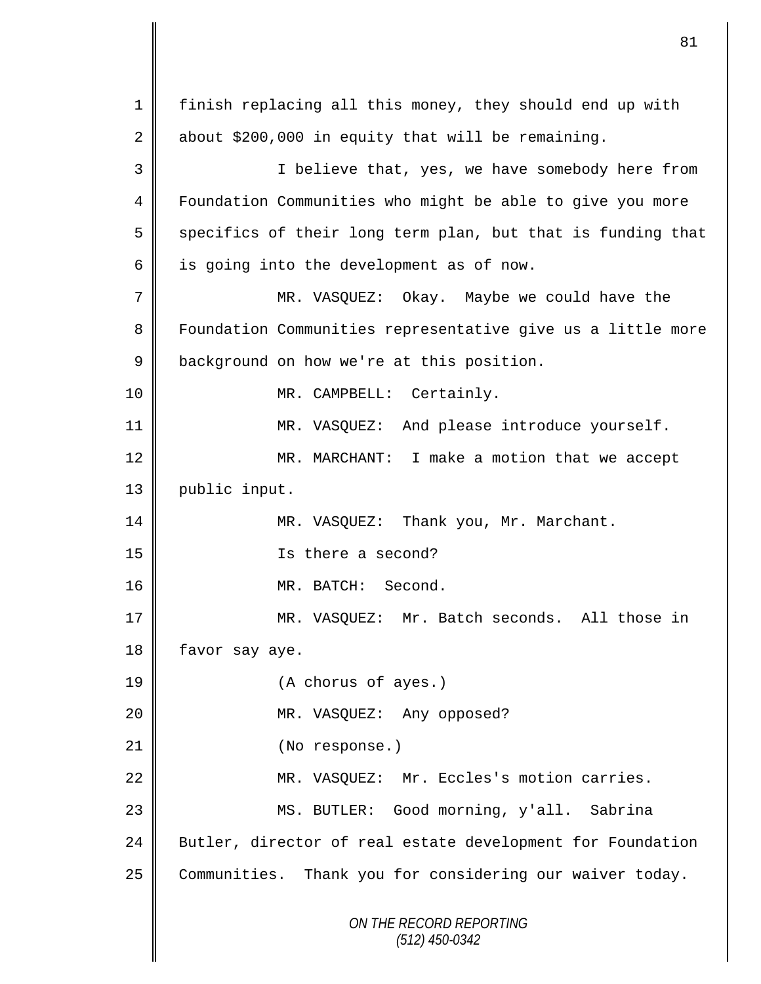*ON THE RECORD REPORTING (512) 450-0342* 1 | finish replacing all this money, they should end up with 2 about \$200,000 in equity that will be remaining. 3 || I believe that, yes, we have somebody here from 4 | Foundation Communities who might be able to give you more  $5 \parallel$  specifics of their long term plan, but that is funding that  $6 \parallel$  is going into the development as of now. 7 MR. VASQUEZ: Okay. Maybe we could have the 8 | Foundation Communities representative give us a little more 9 **background on how we're at this position.** 10 || MR. CAMPBELL: Certainly. 11 || MR. VASQUEZ: And please introduce yourself. 12 || MR. MARCHANT: I make a motion that we accept 13 | public input. 14 MR. VASOUEZ: Thank you, Mr. Marchant. 15 Is there a second? 16 MR. BATCH: Second. 17 MR. VASQUEZ: Mr. Batch seconds. All those in 18 favor say aye. 19 (A chorus of ayes.) 20 MR. VASQUEZ: Any opposed? 21 || (No response.) 22 MR. VASQUEZ: Mr. Eccles's motion carries. 23 MS. BUTLER: Good morning, y'all. Sabrina 24 Butler, director of real estate development for Foundation 25 Communities. Thank you for considering our waiver today.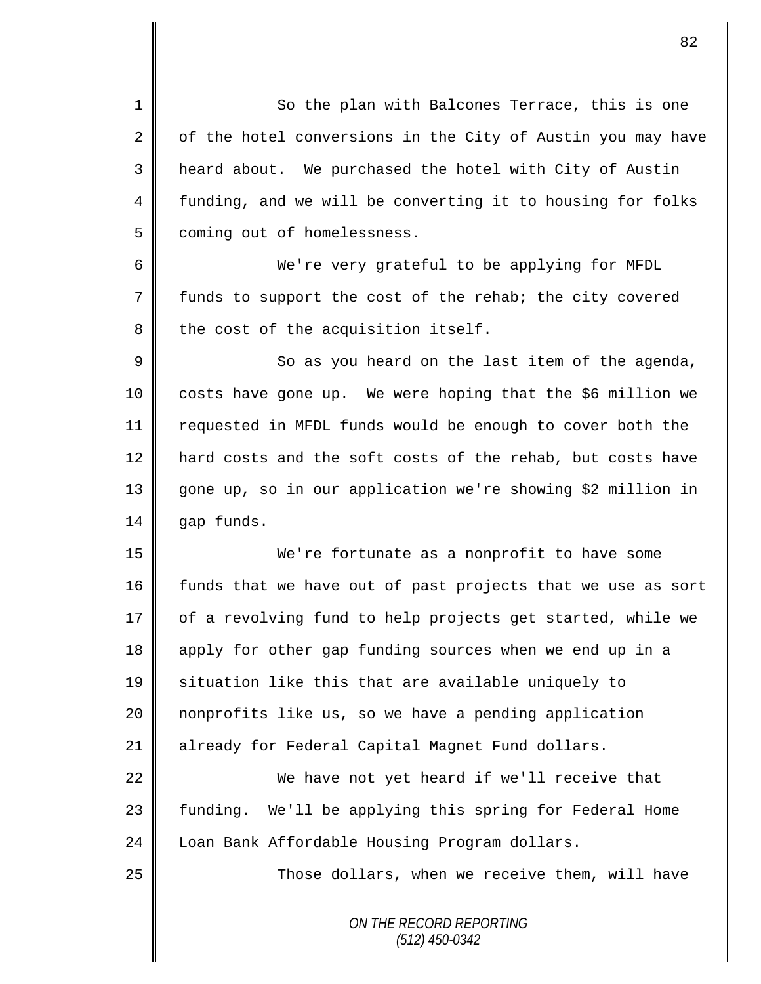1 So the plan with Balcones Terrace, this is one  $2 \parallel$  of the hotel conversions in the City of Austin you may have 3 heard about. We purchased the hotel with City of Austin 4 funding, and we will be converting it to housing for folks 5 | coming out of homelessness.

6 We're very grateful to be applying for MFDL 7 funds to support the cost of the rehab; the city covered  $8$  the cost of the acquisition itself.

9 || So as you heard on the last item of the agenda, 10 costs have gone up. We were hoping that the \$6 million we 11 requested in MFDL funds would be enough to cover both the 12 hard costs and the soft costs of the rehab, but costs have 13 gone up, so in our application we're showing \$2 million in 14 gap funds.

15 We're fortunate as a nonprofit to have some 16 funds that we have out of past projects that we use as sort 17 | of a revolving fund to help projects get started, while we 18 apply for other gap funding sources when we end up in a 19 || situation like this that are available uniquely to 20 nonprofits like us, so we have a pending application 21 already for Federal Capital Magnet Fund dollars.

22 We have not yet heard if we'll receive that 23 || funding. We'll be applying this spring for Federal Home 24 | Loan Bank Affordable Housing Program dollars.

25 | Those dollars, when we receive them, will have

*ON THE RECORD REPORTING (512) 450-0342*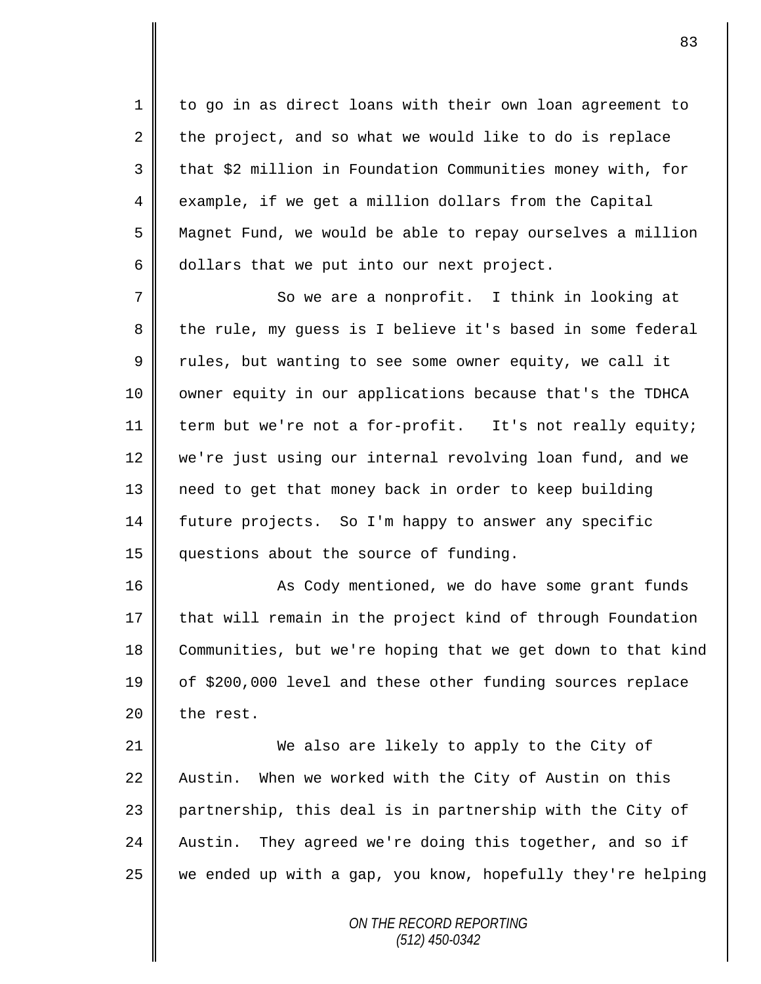1 to go in as direct loans with their own loan agreement to  $2 \parallel$  the project, and so what we would like to do is replace 3 || that \$2 million in Foundation Communities money with, for 4 example, if we get a million dollars from the Capital 5 Magnet Fund, we would be able to repay ourselves a million  $6 \parallel$  dollars that we put into our next project.

7 So we are a nonprofit. I think in looking at 8 the rule, my guess is I believe it's based in some federal  $9 \parallel$  rules, but wanting to see some owner equity, we call it 10 | owner equity in our applications because that's the TDHCA 11 | term but we're not a for-profit. It's not really equity; 12 we're just using our internal revolving loan fund, and we 13 need to get that money back in order to keep building 14 future projects. So I'm happy to answer any specific 15 questions about the source of funding.

16 | As Cody mentioned, we do have some grant funds 17 that will remain in the project kind of through Foundation 18 Communities, but we're hoping that we get down to that kind 19 of \$200,000 level and these other funding sources replace  $20$  | the rest.

21 We also are likely to apply to the City of 22 Austin. When we worked with the City of Austin on this 23 partnership, this deal is in partnership with the City of 24 Austin. They agreed we're doing this together, and so if  $25$  we ended up with a gap, you know, hopefully they're helping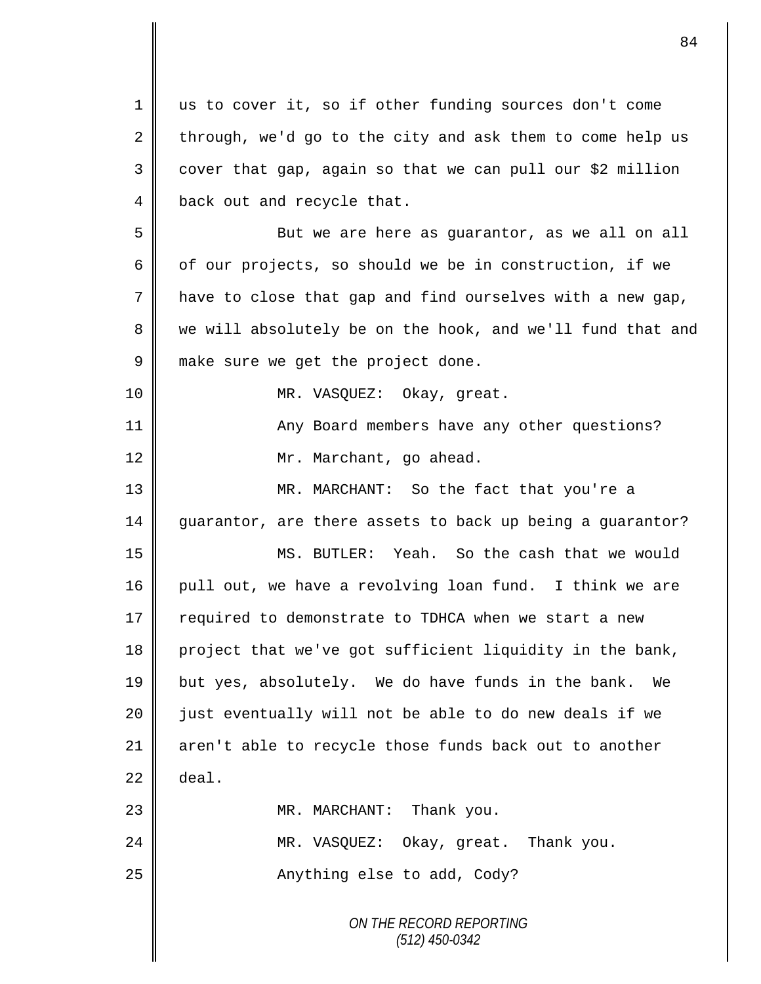| 1  | us to cover it, so if other funding sources don't come     |
|----|------------------------------------------------------------|
| 2  | through, we'd go to the city and ask them to come help us  |
| 3  | cover that gap, again so that we can pull our \$2 million  |
| 4  | back out and recycle that.                                 |
| 5  | But we are here as guarantor, as we all on all             |
| 6  | of our projects, so should we be in construction, if we    |
| 7  | have to close that gap and find ourselves with a new gap,  |
| 8  | we will absolutely be on the hook, and we'll fund that and |
| 9  | make sure we get the project done.                         |
| 10 | MR. VASQUEZ: Okay, great.                                  |
| 11 | Any Board members have any other questions?                |
| 12 | Mr. Marchant, go ahead.                                    |
| 13 | MR. MARCHANT: So the fact that you're a                    |
| 14 | guarantor, are there assets to back up being a guarantor?  |
| 15 | MS. BUTLER: Yeah. So the cash that we would                |
| 16 | pull out, we have a revolving loan fund. I think we are    |
| 17 | required to demonstrate to TDHCA when we start a new       |
| 18 | project that we've got sufficient liquidity in the bank,   |
| 19 | but yes, absolutely. We do have funds in the bank. We      |
| 20 | just eventually will not be able to do new deals if we     |
| 21 | aren't able to recycle those funds back out to another     |
| 22 | deal.                                                      |
| 23 | MR. MARCHANT: Thank you.                                   |
| 24 | MR. VASQUEZ: Okay, great. Thank you.                       |
| 25 | Anything else to add, Cody?                                |
|    | ON THE RECORD REPORTING<br>$(512)$ 450-0342                |

 $\overline{\mathsf{I}}$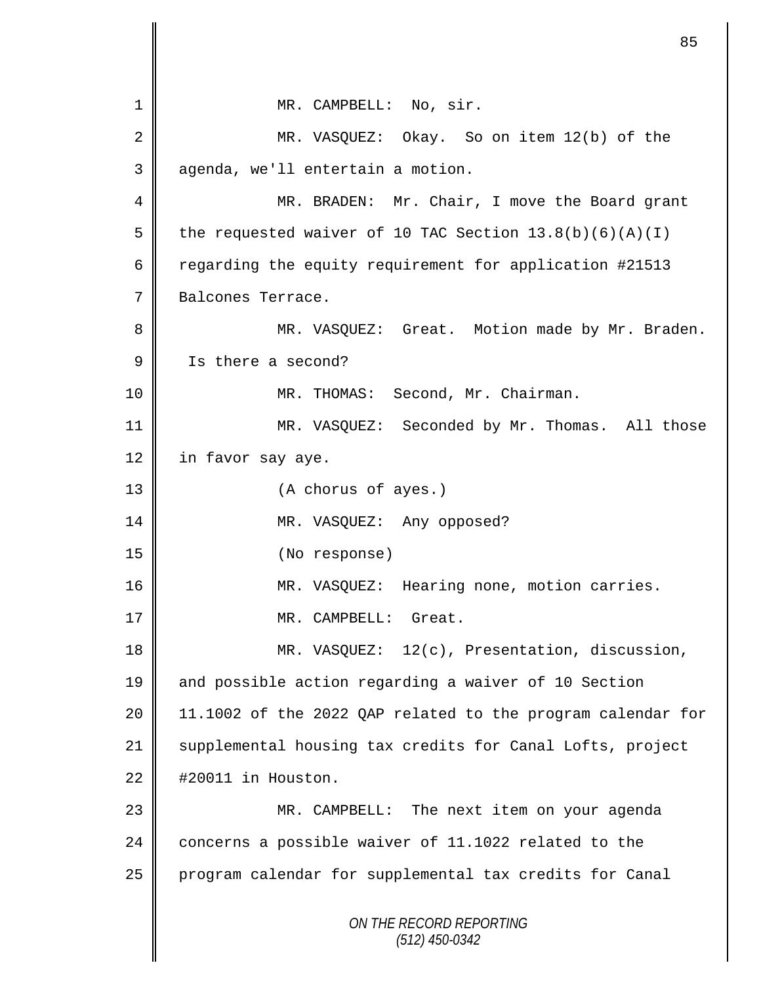*ON THE RECORD REPORTING (512) 450-0342* 1 || MR. CAMPBELL: No, sir. 2 MR. VASQUEZ: Okay. So on item 12(b) of the 3 | agenda, we'll entertain a motion. 4 MR. BRADEN: Mr. Chair, I move the Board grant 5 | the requested waiver of 10 TAC Section  $13.8(b)(6)(A)(I)$ 6 Tegarding the equity requirement for application #21513 7 Balcones Terrace. 8 || MR. VASQUEZ: Great. Motion made by Mr. Braden. 9 Is there a second? 10 || MR. THOMAS: Second, Mr. Chairman. 11 MR. VASQUEZ: Seconded by Mr. Thomas. All those 12 | in favor say aye. 13 || (A chorus of ayes.) 14 || MR. VASQUEZ: Any opposed? 15 (No response) 16 MR. VASQUEZ: Hearing none, motion carries. 17 || MR. CAMPBELL: Great. 18 | MR. VASQUEZ: 12(c), Presentation, discussion, 19 and possible action regarding a waiver of 10 Section 20 11.1002 of the 2022 QAP related to the program calendar for 21 Supplemental housing tax credits for Canal Lofts, project  $22 \parallel$  #20011 in Houston. 23 MR. CAMPBELL: The next item on your agenda 24 concerns a possible waiver of 11.1022 related to the 25 program calendar for supplemental tax credits for Canal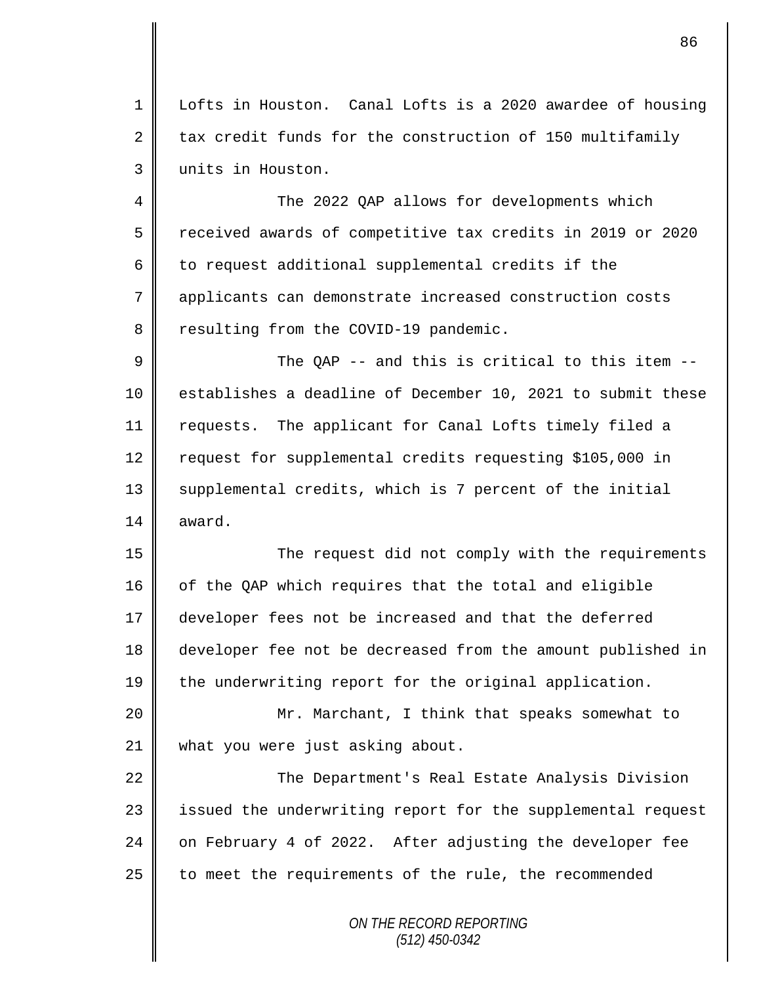1 Lofts in Houston. Canal Lofts is a 2020 awardee of housing 2 tax credit funds for the construction of 150 multifamily 3 units in Houston.

4 The 2022 OAP allows for developments which 5 Terratived awards of competitive tax credits in 2019 or 2020  $6 \parallel$  to request additional supplemental credits if the 7 applicants can demonstrate increased construction costs 8 Tesulting from the COVID-19 pandemic.

9  $\parallel$  The QAP -- and this is critical to this item --10 || establishes a deadline of December 10, 2021 to submit these 11 requests. The applicant for Canal Lofts timely filed a 12 | request for supplemental credits requesting \$105,000 in 13 || supplemental credits, which is 7 percent of the initial  $14 \parallel$  award.

15 The request did not comply with the requirements 16 | of the QAP which requires that the total and eligible 17 developer fees not be increased and that the deferred 18 developer fee not be decreased from the amount published in 19 the underwriting report for the original application.

20 || Mr. Marchant, I think that speaks somewhat to 21 what you were just asking about.

22 | The Department's Real Estate Analysis Division 23 || issued the underwriting report for the supplemental request 24 on February 4 of 2022. After adjusting the developer fee  $25$  to meet the requirements of the rule, the recommended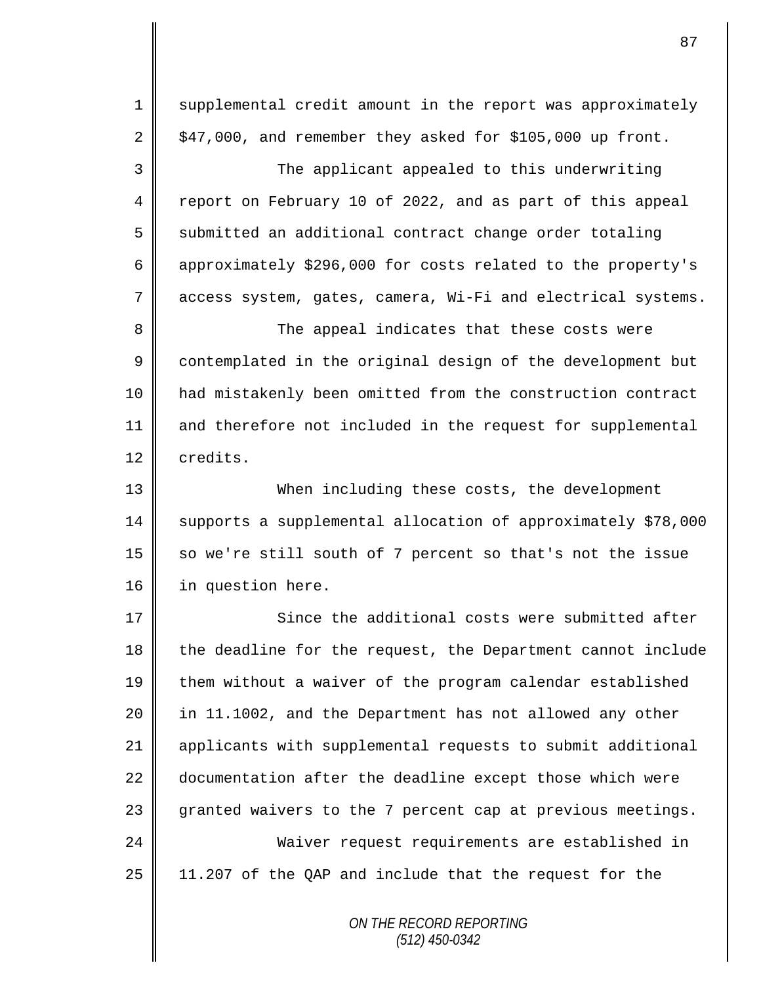1 supplemental credit amount in the report was approximately  $2 \parallel$  \$47,000, and remember they asked for \$105,000 up front. 3 The applicant appealed to this underwriting 4 report on February 10 of 2022, and as part of this appeal 5 submitted an additional contract change order totaling 6 | approximately \$296,000 for costs related to the property's 7 access system, gates, camera, Wi-Fi and electrical systems. 8 The appeal indicates that these costs were 9 contemplated in the original design of the development but 10 had mistakenly been omitted from the construction contract 11 and therefore not included in the request for supplemental 12 credits. 13 When including these costs, the development 14 supports a supplemental allocation of approximately \$78,000 15  $\parallel$  so we're still south of 7 percent so that's not the issue 16 in question here. 17 Since the additional costs were submitted after  $18$  the deadline for the request, the Department cannot include 19 them without a waiver of the program calendar established 20 || in 11.1002, and the Department has not allowed any other 21 applicants with supplemental requests to submit additional 22 documentation after the deadline except those which were 23 granted waivers to the 7 percent cap at previous meetings. 24 Waiver request requirements are established in  $25$  | 11.207 of the QAP and include that the request for the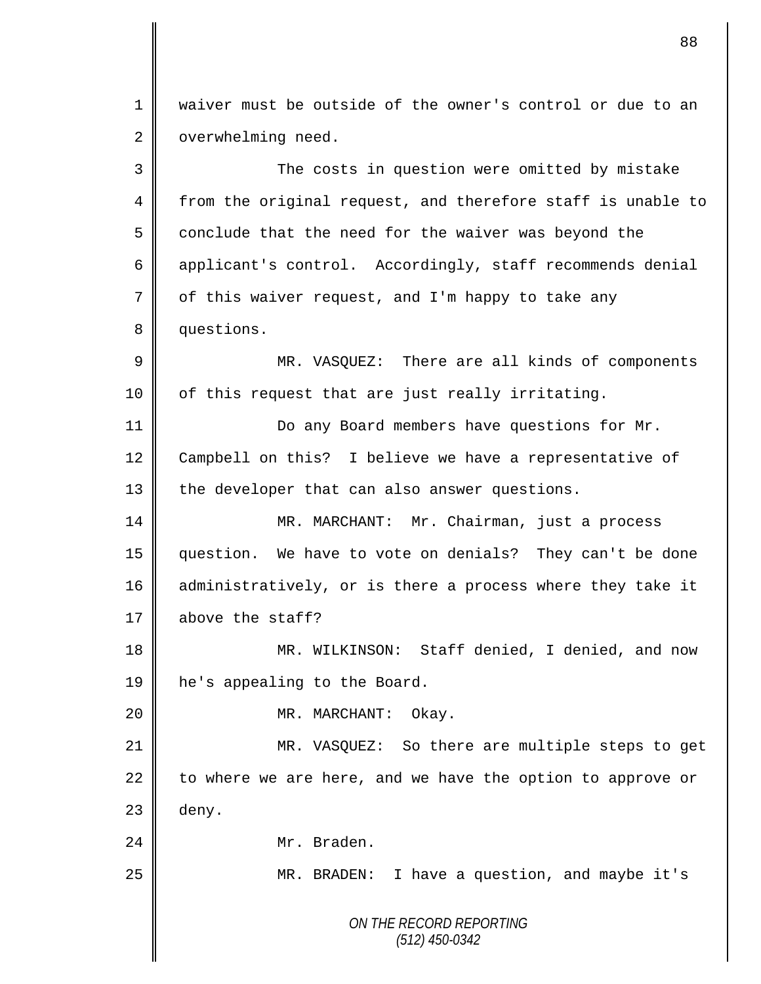1 waiver must be outside of the owner's control or due to an 2 | overwhelming need.

*ON THE RECORD REPORTING (512) 450-0342* 3 The costs in question were omitted by mistake 4 from the original request, and therefore staff is unable to  $5 \parallel$  conclude that the need for the waiver was beyond the 6 applicant's control. Accordingly, staff recommends denial  $7 \parallel$  of this waiver request, and I'm happy to take any 8 questions. 9 || MR. VASQUEZ: There are all kinds of components 10 | of this request that are just really irritating. 11 **Do any Board members have questions for Mr.** 12 Campbell on this? I believe we have a representative of 13 the developer that can also answer questions. 14 | MR. MARCHANT: Mr. Chairman, just a process 15 question. We have to vote on denials? They can't be done 16 administratively, or is there a process where they take it 17 above the staff? 18 || MR. WILKINSON: Staff denied, I denied, and now 19 he's appealing to the Board. 20 || MR. MARCHANT: Okay. 21 MR. VASQUEZ: So there are multiple steps to get 22 to where we are here, and we have the option to approve or  $23$  deny. 24 || Mr. Braden. 25 | MR. BRADEN: I have a question, and maybe it's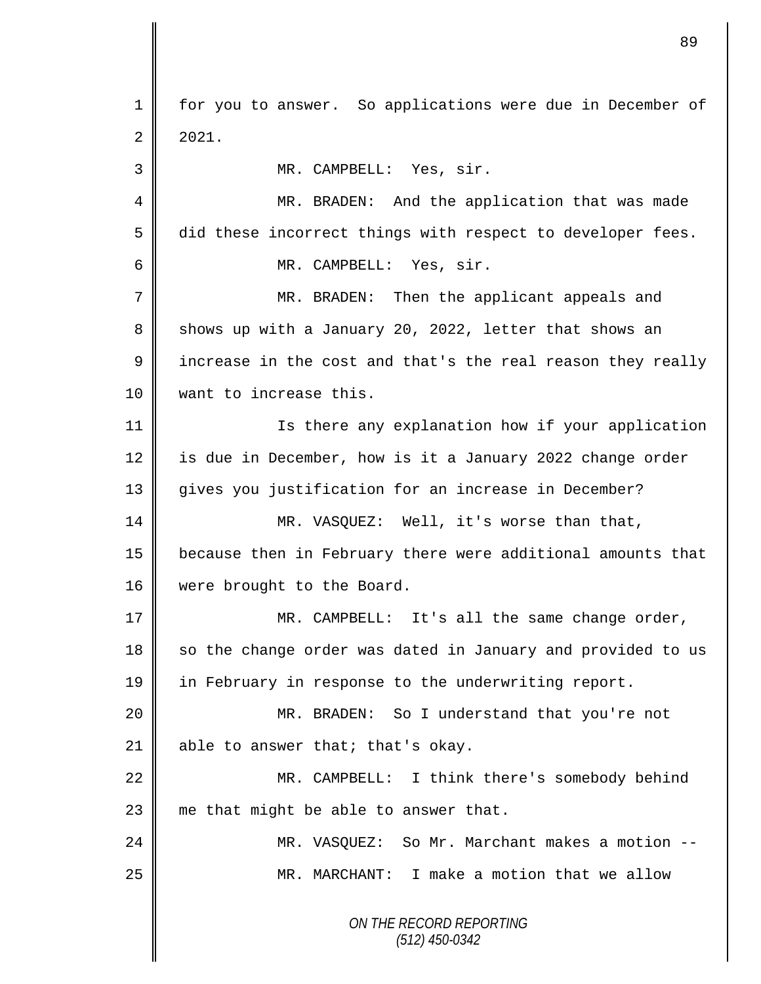*ON THE RECORD REPORTING (512) 450-0342* 1 | for you to answer. So applications were due in December of  $2 \mid 2021.$ 3 || MR. CAMPBELL: Yes, sir. 4 || MR. BRADEN: And the application that was made 5 did these incorrect things with respect to developer fees. 6 MR. CAMPBELL: Yes, sir. 7 || MR. BRADEN: Then the applicant appeals and 8 shows up with a January 20, 2022, letter that shows an  $9 \parallel$  increase in the cost and that's the real reason they really 10 want to increase this. 11 | Is there any explanation how if your application 12 is due in December, how is it a January 2022 change order 13 || gives you justification for an increase in December? 14 MR. VASQUEZ: Well, it's worse than that, 15 because then in February there were additional amounts that 16 | were brought to the Board. 17  $\parallel$  MR. CAMPBELL: It's all the same change order,  $18$  so the change order was dated in January and provided to us 19 in February in response to the underwriting report. 20 MR. BRADEN: So I understand that you're not 21 | able to answer that; that's okay. 22 | MR. CAMPBELL: I think there's somebody behind 23  $\parallel$  me that might be able to answer that. 24 MR. VASQUEZ: So Mr. Marchant makes a motion -- 25 MR. MARCHANT: I make a motion that we allow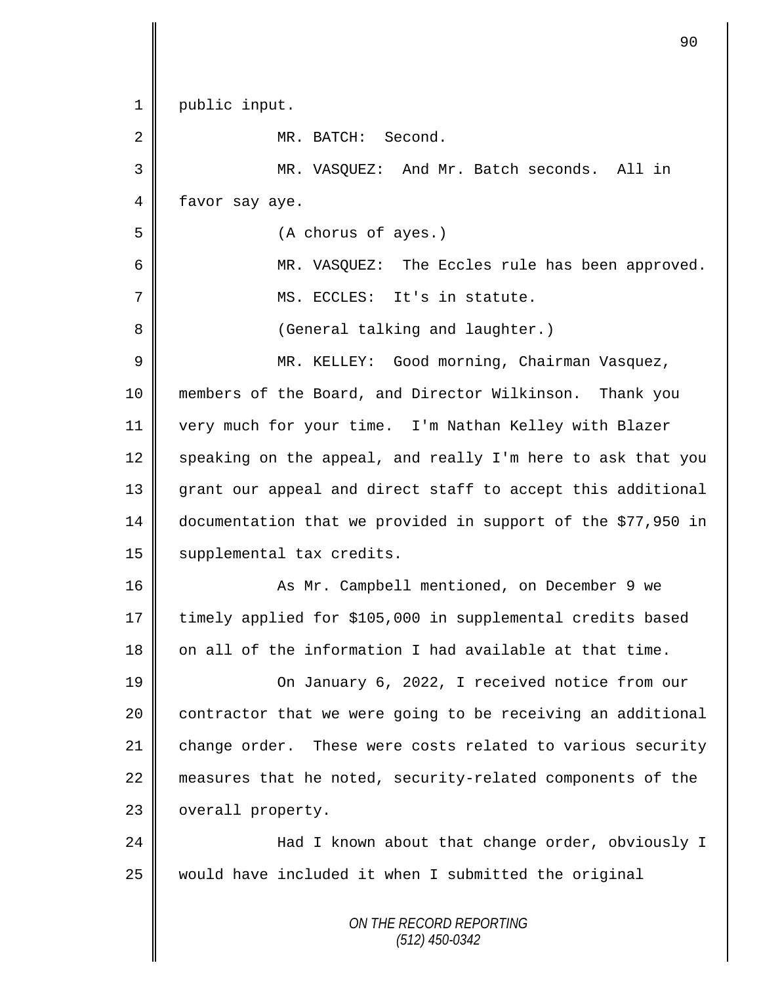*ON THE RECORD REPORTING (512) 450-0342* 1 | public input. 2 MR. BATCH: Second. 3 MR. VASQUEZ: And Mr. Batch seconds. All in 4 favor say aye. 5 (A chorus of ayes.) 6 MR. VASQUEZ: The Eccles rule has been approved. 7 || MS. ECCLES: It's in statute. 8 || (General talking and laughter.) 9 || MR. KELLEY: Good morning, Chairman Vasquez, 10 members of the Board, and Director Wilkinson. Thank you 11 very much for your time. I'm Nathan Kelley with Blazer 12 speaking on the appeal, and really I'm here to ask that you 13 grant our appeal and direct staff to accept this additional 14 documentation that we provided in support of the \$77,950 in 15 | supplemental tax credits. 16 As Mr. Campbell mentioned, on December 9 we 17 timely applied for \$105,000 in supplemental credits based  $18$  on all of the information I had available at that time. 19 **On January 6, 2022, I received notice from our**  $20$  contractor that we were going to be receiving an additional 21 change order. These were costs related to various security 22 measures that he noted, security-related components of the 23 | overall property. 24 || Had I known about that change order, obviously I  $25$  would have included it when I submitted the original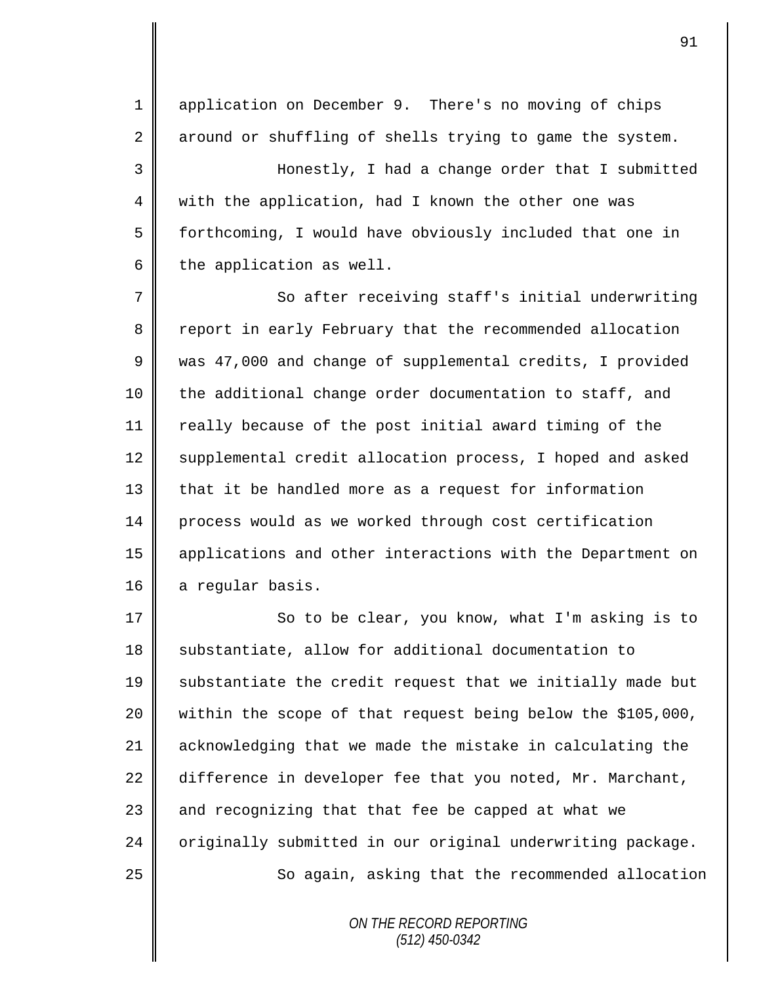1 application on December 9. There's no moving of chips  $2 \parallel$  around or shuffling of shells trying to game the system.

3 Honestly, I had a change order that I submitted 4 || with the application, had I known the other one was 5 forthcoming, I would have obviously included that one in 6 the application as well.

7 So after receiving staff's initial underwriting 8 Teport in early February that the recommended allocation 9 was 47,000 and change of supplemental credits, I provided 10 the additional change order documentation to staff, and 11 | really because of the post initial award timing of the 12 Supplemental credit allocation process, I hoped and asked 13 | that it be handled more as a request for information 14 process would as we worked through cost certification 15 applications and other interactions with the Department on 16 a regular basis.

17 | So to be clear, you know, what I'm asking is to 18 Substantiate, allow for additional documentation to 19 Substantiate the credit request that we initially made but 20 within the scope of that request being below the \$105,000, 21 acknowledging that we made the mistake in calculating the 22 difference in developer fee that you noted, Mr. Marchant, 23  $\parallel$  and recognizing that that fee be capped at what we 24  $\parallel$  originally submitted in our original underwriting package. 25 || So again, asking that the recommended allocation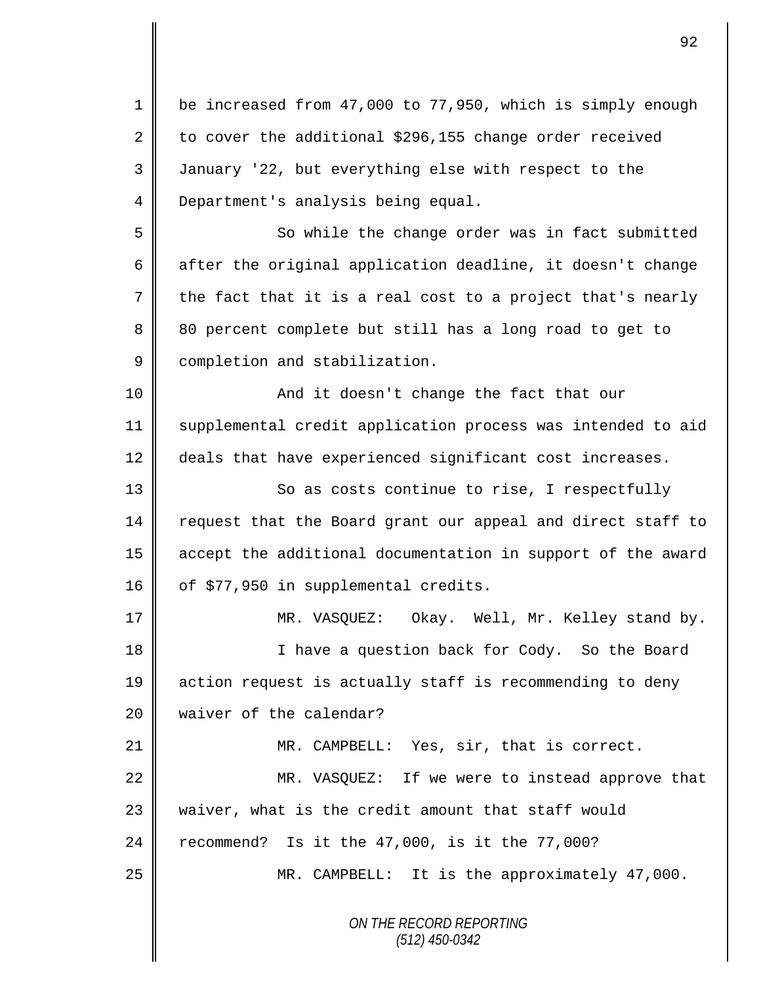*ON THE RECORD REPORTING (512) 450-0342* 1 be increased from 47,000 to 77,950, which is simply enough 2 to cover the additional \$296,155 change order received 3 January '22, but everything else with respect to the 4 **Department's analysis being equal.** 5 || So while the change order was in fact submitted 6  $\parallel$  after the original application deadline, it doesn't change  $7 \parallel$  the fact that it is a real cost to a project that's nearly 8 80 percent complete but still has a long road to get to 9 completion and stabilization. 10 || And it doesn't change the fact that our 11 supplemental credit application process was intended to aid 12 deals that have experienced significant cost increases. 13 || So as costs continue to rise, I respectfully 14 request that the Board grant our appeal and direct staff to 15 accept the additional documentation in support of the award 16 |  $\circ$  of \$77,950 in supplemental credits. 17 MR. VASQUEZ: Okay. Well, Mr. Kelley stand by. 18 || I have a question back for Cody. So the Board 19 action request is actually staff is recommending to deny 20 waiver of the calendar? 21 || MR. CAMPBELL: Yes, sir, that is correct. 22 || MR. VASQUEZ: If we were to instead approve that 23  $\parallel$  waiver, what is the credit amount that staff would 24 recommend? Is it the  $47,000$ , is it the  $77,000$ ? 25 MR. CAMPBELL: It is the approximately 47,000.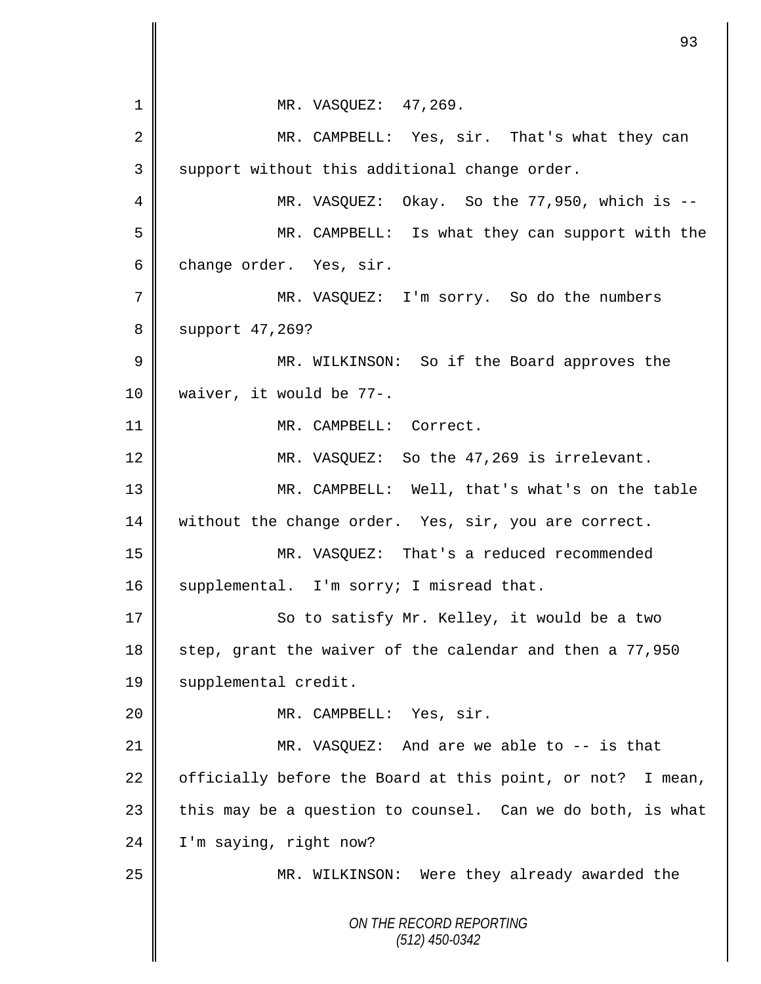*ON THE RECORD REPORTING (512) 450-0342* 1 || MR. VASQUEZ: 47,269. 2 MR. CAMPBELL: Yes, sir. That's what they can 3 | support without this additional change order. 4 || MR. VASQUEZ: Okay. So the 77,950, which is --5 MR. CAMPBELL: Is what they can support with the  $6 \parallel$  change order. Yes, sir. 7 MR. VASQUEZ: I'm sorry. So do the numbers 8 | support 47,269? 9 || MR. WILKINSON: So if the Board approves the 10 waiver, it would be 77-. 11 MR. CAMPBELL: Correct. 12 | MR. VASQUEZ: So the 47,269 is irrelevant. 13 MR. CAMPBELL: Well, that's what's on the table 14 | without the change order. Yes, sir, you are correct. 15 MR. VASQUEZ: That's a reduced recommended 16 | supplemental. I'm sorry; I misread that. 17 || So to satisfy Mr. Kelley, it would be a two 18 step, grant the waiver of the calendar and then a  $77,950$ 19 | supplemental credit. 20 || MR. CAMPBELL: Yes, sir. 21 MR. VASQUEZ: And are we able to -- is that 22  $\parallel$  officially before the Board at this point, or not? I mean, 23  $\parallel$  this may be a question to counsel. Can we do both, is what 24 | I'm saying, right now? 25 MR. WILKINSON: Were they already awarded the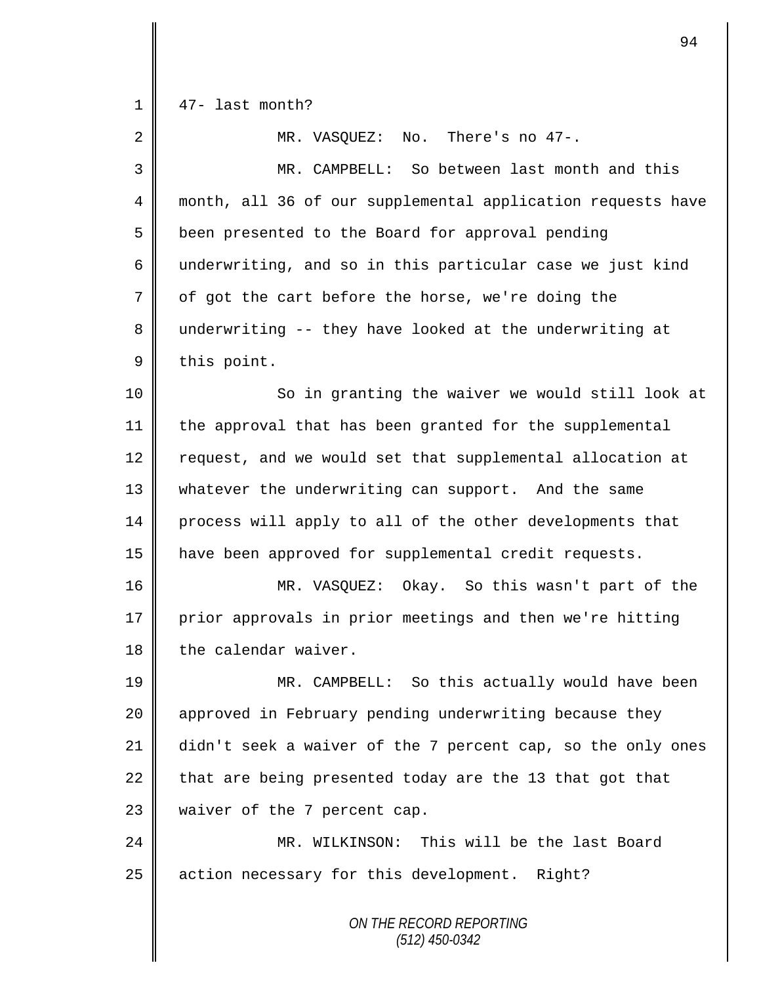| 1  | 47- last month?                                             |
|----|-------------------------------------------------------------|
| 2  | MR. VASQUEZ: No. There's no 47-.                            |
| 3  | MR. CAMPBELL: So between last month and this                |
| 4  | month, all 36 of our supplemental application requests have |
| 5  | been presented to the Board for approval pending            |
| 6  | underwriting, and so in this particular case we just kind   |
| 7  | of got the cart before the horse, we're doing the           |
| 8  | underwriting -- they have looked at the underwriting at     |
| 9  | this point.                                                 |
| 10 | So in granting the waiver we would still look at            |
| 11 | the approval that has been granted for the supplemental     |
| 12 | request, and we would set that supplemental allocation at   |
| 13 | whatever the underwriting can support. And the same         |
| 14 | process will apply to all of the other developments that    |
| 15 | have been approved for supplemental credit requests.        |
| 16 | MR. VASQUEZ: Okay. So this wasn't part of the               |
| 17 | prior approvals in prior meetings and then we're hitting    |
| 18 | the calendar waiver.                                        |
| 19 | MR. CAMPBELL: So this actually would have been              |
| 20 | approved in February pending underwriting because they      |
| 21 | didn't seek a waiver of the 7 percent cap, so the only ones |
| 22 | that are being presented today are the 13 that got that     |
| 23 | waiver of the 7 percent cap.                                |
| 24 | MR. WILKINSON: This will be the last Board                  |
| 25 | action necessary for this development.<br>Right?            |
|    | ON THE RECORD REPORTING<br>(512) 450-0342                   |

 $\mathbf{I}$ 

II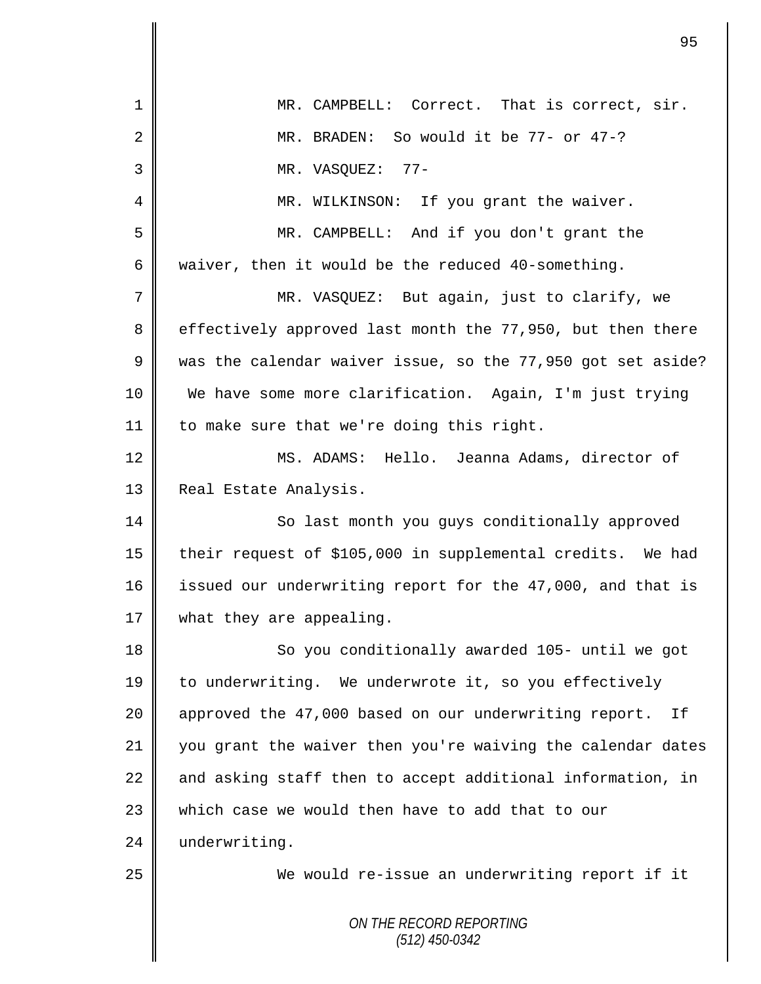|    | 95                                                          |
|----|-------------------------------------------------------------|
| 1  | MR. CAMPBELL: Correct. That is correct, sir.                |
| 2  | MR. BRADEN: So would it be 77- or 47-?                      |
| 3  | $77-$<br>MR. VASQUEZ:                                       |
| 4  | MR. WILKINSON: If you grant the waiver.                     |
| 5  | MR. CAMPBELL: And if you don't grant the                    |
| 6  | waiver, then it would be the reduced 40-something.          |
| 7  | MR. VASQUEZ: But again, just to clarify, we                 |
| 8  | effectively approved last month the 77,950, but then there  |
| 9  | was the calendar waiver issue, so the 77,950 got set aside? |
| 10 | We have some more clarification. Again, I'm just trying     |
| 11 | to make sure that we're doing this right.                   |
| 12 | Hello. Jeanna Adams, director of<br>MS. ADAMS:              |
| 13 | Real Estate Analysis.                                       |
| 14 | So last month you guys conditionally approved               |
| 15 | their request of \$105,000 in supplemental credits. We had  |
| 16 | issued our underwriting report for the 47,000, and that is  |
| 17 | what they are appealing.                                    |
| 18 | So you conditionally awarded 105- until we got              |
| 19 | to underwriting. We underwrote it, so you effectively       |
| 20 | approved the 47,000 based on our underwriting report. If    |
| 21 | you grant the waiver then you're waiving the calendar dates |
| 22 | and asking staff then to accept additional information, in  |
| 23 | which case we would then have to add that to our            |
| 24 | underwriting.                                               |
| 25 | We would re-issue an underwriting report if it              |
|    | ON THE RECORD REPORTING<br>$(512)$ 450-0342                 |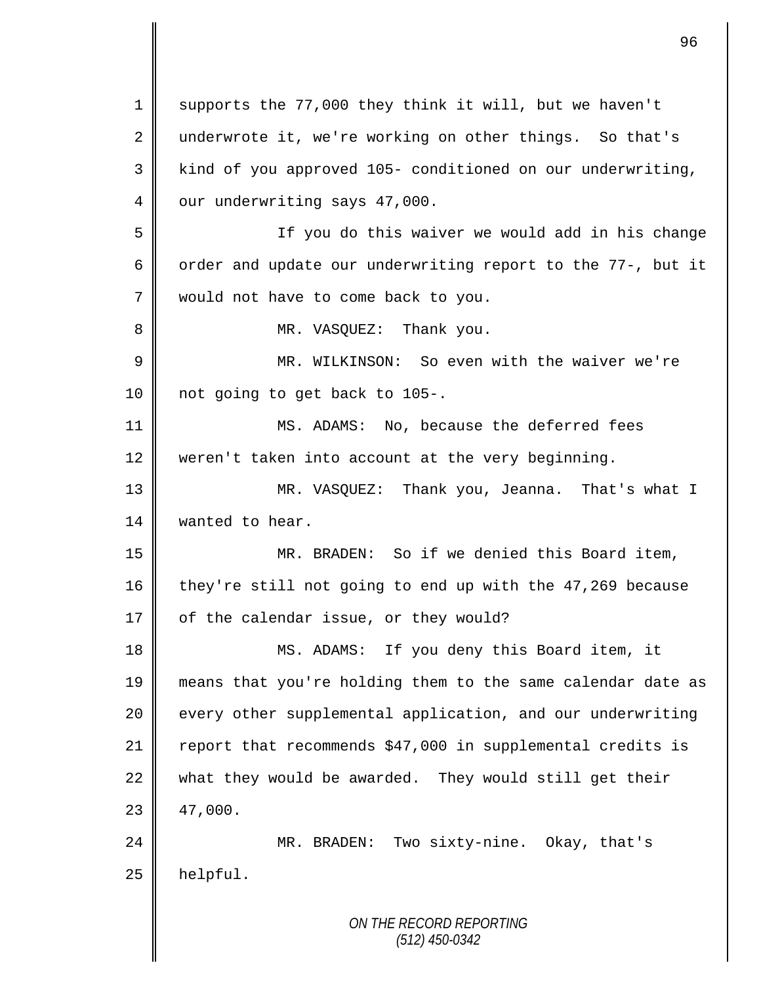*ON THE RECORD REPORTING (512) 450-0342* 1 supports the 77,000 they think it will, but we haven't 2 underwrote it, we're working on other things. So that's 3 || kind of you approved 105- conditioned on our underwriting, 4 our underwriting says 47,000. 5 If you do this waiver we would add in his change 6 | order and update our underwriting report to the 77-, but it 7 | would not have to come back to you. 8 | MR. VASQUEZ: Thank you. 9 MR. WILKINSON: So even with the waiver we're 10 | not going to get back to 105-. 11 MS. ADAMS: No, because the deferred fees 12 weren't taken into account at the very beginning. 13 MR. VASQUEZ: Thank you, Jeanna. That's what I 14 **Wanted** to hear. 15 MR. BRADEN: So if we denied this Board item, 16 they're still not going to end up with the 47,269 because  $17 \parallel$  of the calendar issue, or they would? 18 MS. ADAMS: If you deny this Board item, it 19 means that you're holding them to the same calendar date as 20 every other supplemental application, and our underwriting 21  $\parallel$  report that recommends \$47,000 in supplemental credits is 22 what they would be awarded. They would still get their  $23 \parallel 47,000.$ 24 MR. BRADEN: Two sixty-nine. Okay, that's  $25$  | helpful.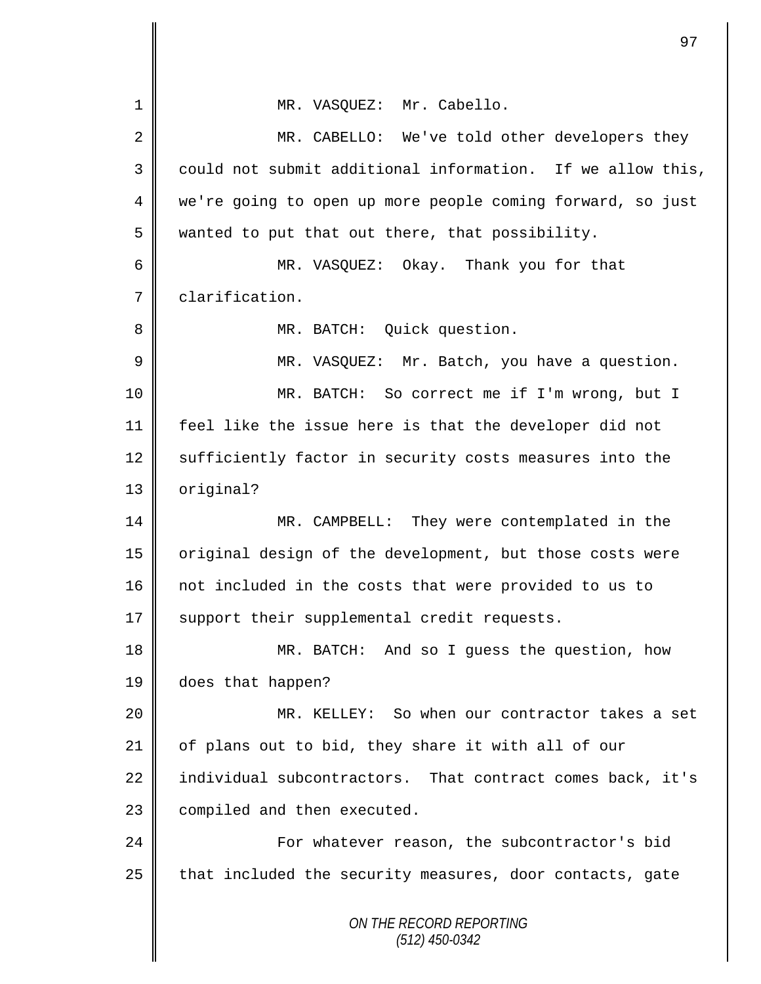*ON THE RECORD REPORTING (512) 450-0342* 1 || MR. VASOUEZ: Mr. Cabello. 2 MR. CABELLO: We've told other developers they  $3 \parallel$  could not submit additional information. If we allow this, 4 || we're going to open up more people coming forward, so just  $5 \parallel$  wanted to put that out there, that possibility. 6 MR. VASQUEZ: Okay. Thank you for that 7 clarification. 8 || MR. BATCH: Quick question. 9 || MR. VASQUEZ: Mr. Batch, you have a question. 10 MR. BATCH: So correct me if I'm wrong, but I 11 feel like the issue here is that the developer did not 12 Sufficiently factor in security costs measures into the 13 | original? 14 MR. CAMPBELL: They were contemplated in the 15 | original design of the development, but those costs were 16 not included in the costs that were provided to us to 17 || support their supplemental credit requests. 18 MR. BATCH: And so I guess the question, how 19 does that happen? 20 MR. KELLEY: So when our contractor takes a set 21  $\parallel$  of plans out to bid, they share it with all of our 22 | individual subcontractors. That contract comes back, it's  $23$  compiled and then executed. 24 **For whatever reason, the subcontractor's bid**  $25$  | that included the security measures, door contacts, gate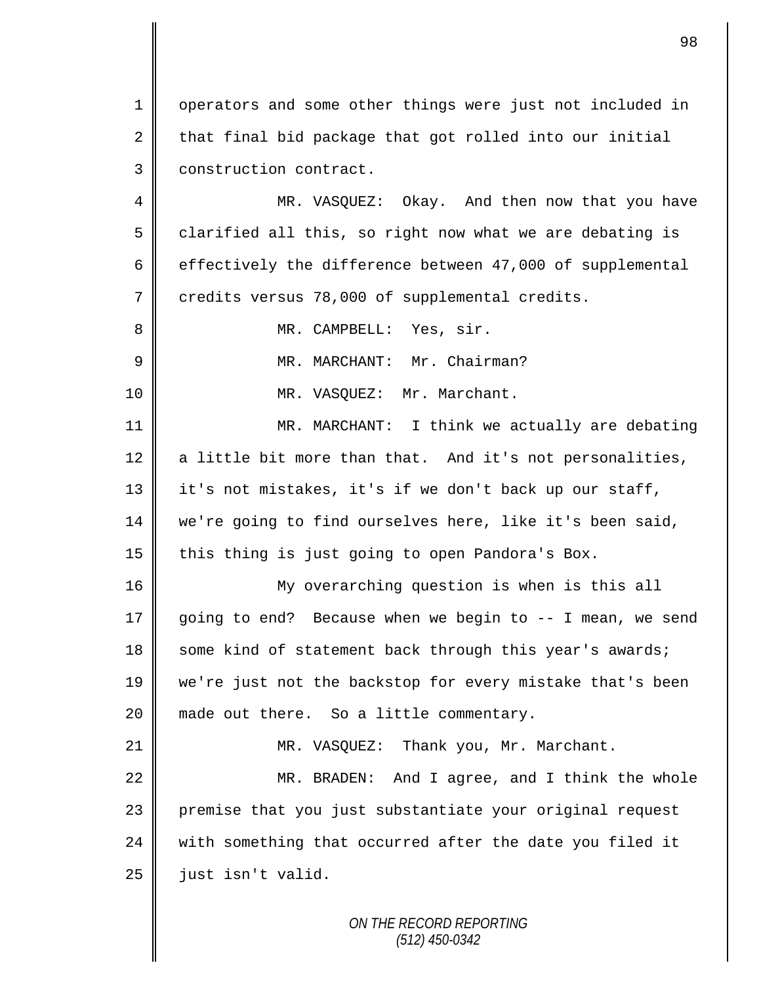1 || operators and some other things were just not included in  $2 \parallel$  that final bid package that got rolled into our initial 3 | construction contract.

4 MR. VASQUEZ: Okay. And then now that you have  $5 \parallel$  clarified all this, so right now what we are debating is 6  $\parallel$  effectively the difference between 47,000 of supplemental 7 credits versus 78,000 of supplemental credits.

8 || MR. CAMPBELL: Yes, sir.

9 | MR. MARCHANT: Mr. Chairman?

10 || MR. VASQUEZ: Mr. Marchant.

11 MR. MARCHANT: I think we actually are debating  $12$  a little bit more than that. And it's not personalities, 13 | it's not mistakes, it's if we don't back up our staff, 14 we're going to find ourselves here, like it's been said, 15 this thing is just going to open Pandora's Box.

16 My overarching question is when is this all 17 going to end? Because when we begin to -- I mean, we send 18 some kind of statement back through this year's awards; 19 we're just not the backstop for every mistake that's been 20 || made out there. So a little commentary.

21 | MR. VASOUEZ: Thank you, Mr. Marchant. 22 MR. BRADEN: And I agree, and I think the whole 23 || premise that you just substantiate your original request 24  $\parallel$  with something that occurred after the date you filed it  $25$  | just isn't valid.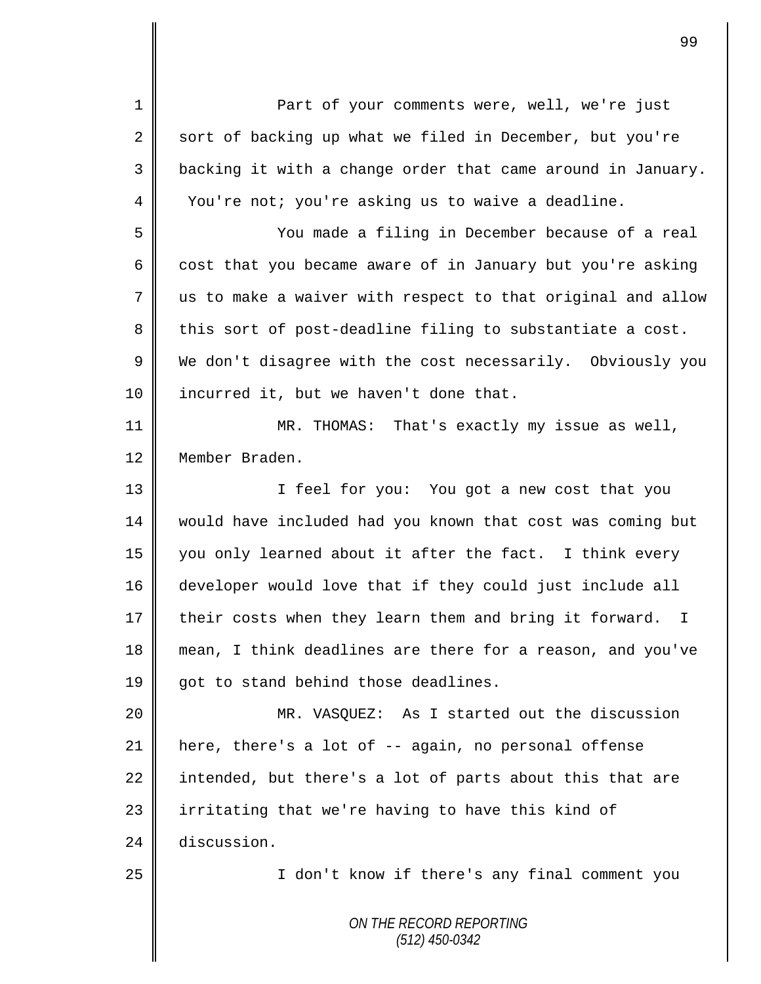*ON THE RECORD REPORTING (512) 450-0342* 1 || Part of your comments were, well, we're just 2 sort of backing up what we filed in December, but you're 3 | backing it with a change order that came around in January. 4 You're not; you're asking us to waive a deadline. 5 You made a filing in December because of a real 6 cost that you became aware of in January but you're asking 7 us to make a waiver with respect to that original and allow  $8 \parallel$  this sort of post-deadline filing to substantiate a cost. 9 We don't disagree with the cost necessarily. Obviously you 10 | incurred it, but we haven't done that. 11 MR. THOMAS: That's exactly my issue as well, 12 Member Braden. 13 || I feel for you: You got a new cost that you 14 would have included had you known that cost was coming but 15 you only learned about it after the fact. I think every 16 developer would love that if they could just include all 17 their costs when they learn them and bring it forward. I 18 mean, I think deadlines are there for a reason, and you've 19  $\parallel$  got to stand behind those deadlines. 20 || MR. VASQUEZ: As I started out the discussion 21 here, there's a lot of -- again, no personal offense 22 intended, but there's a lot of parts about this that are  $23$  | irritating that we're having to have this kind of 24 discussion. 25 I don't know if there's any final comment you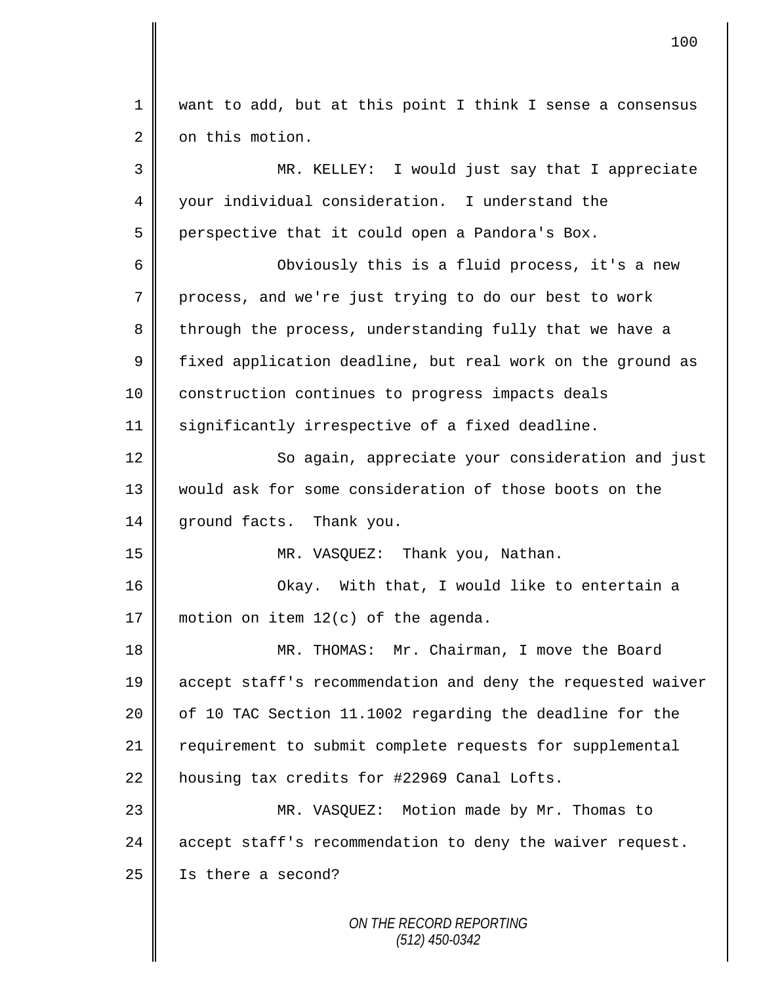*ON THE RECORD REPORTING* 1 want to add, but at this point I think I sense a consensus 2 | on this motion. 3 MR. KELLEY: I would just say that I appreciate 4 your individual consideration. I understand the  $5 \parallel$  perspective that it could open a Pandora's Box. 6 || Obviously this is a fluid process, it's a new 7 process, and we're just trying to do our best to work 8 through the process, understanding fully that we have a  $9 \parallel$  fixed application deadline, but real work on the ground as 10 | construction continues to progress impacts deals 11 significantly irrespective of a fixed deadline. 12 || So again, appreciate your consideration and just 13 would ask for some consideration of those boots on the 14 || ground facts. Thank you. 15 MR. VASQUEZ: Thank you, Nathan. 16 Okay. With that, I would like to entertain a 17 motion on item 12(c) of the agenda. 18 || MR. THOMAS: Mr. Chairman, I move the Board 19 accept staff's recommendation and deny the requested waiver 20  $\parallel$  of 10 TAC Section 11.1002 regarding the deadline for the 21 | requirement to submit complete requests for supplemental 22 | housing tax credits for #22969 Canal Lofts. 23 MR. VASQUEZ: Motion made by Mr. Thomas to 24 accept staff's recommendation to deny the waiver request. 25 | Is there a second?

100

*(512) 450-0342*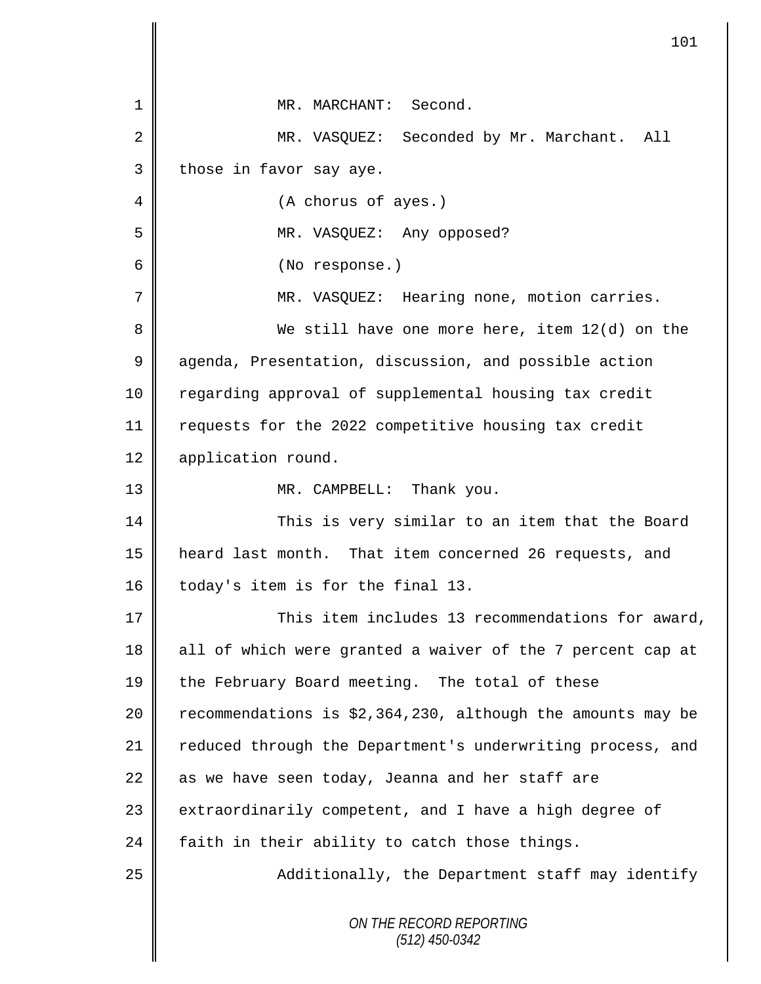|                | 101                                                         |
|----------------|-------------------------------------------------------------|
|                |                                                             |
| 1              | MR. MARCHANT: Second.                                       |
| $\overline{2}$ | MR. VASQUEZ: Seconded by Mr. Marchant. All                  |
| 3              | those in favor say aye.                                     |
| 4              | (A chorus of ayes.)                                         |
| 5              | MR. VASQUEZ: Any opposed?                                   |
| 6              | (No response.)                                              |
| 7              | MR. VASQUEZ: Hearing none, motion carries.                  |
| 8              | We still have one more here, item 12(d) on the              |
| $\mathsf 9$    | agenda, Presentation, discussion, and possible action       |
| $10 \,$        | regarding approval of supplemental housing tax credit       |
| 11             | requests for the 2022 competitive housing tax credit        |
| 12             | application round.                                          |
| 13             | MR. CAMPBELL: Thank you.                                    |
| 14             | This is very similar to an item that the Board              |
| 15             | heard last month. That item concerned 26 requests, and      |
| 16             | today's item is for the final 13.                           |
| 17             | This item includes 13 recommendations for award,            |
| 18             | all of which were granted a waiver of the 7 percent cap at  |
| 19             | the February Board meeting. The total of these              |
| 20             | recommendations is \$2,364,230, although the amounts may be |
| 21             | reduced through the Department's underwriting process, and  |
| 22             | as we have seen today, Jeanna and her staff are             |
| 23             | extraordinarily competent, and I have a high degree of      |
| 24             | faith in their ability to catch those things.               |
| 25             | Additionally, the Department staff may identify             |
|                | ON THE RECORD REPORTING<br>$(512)$ 450-0342                 |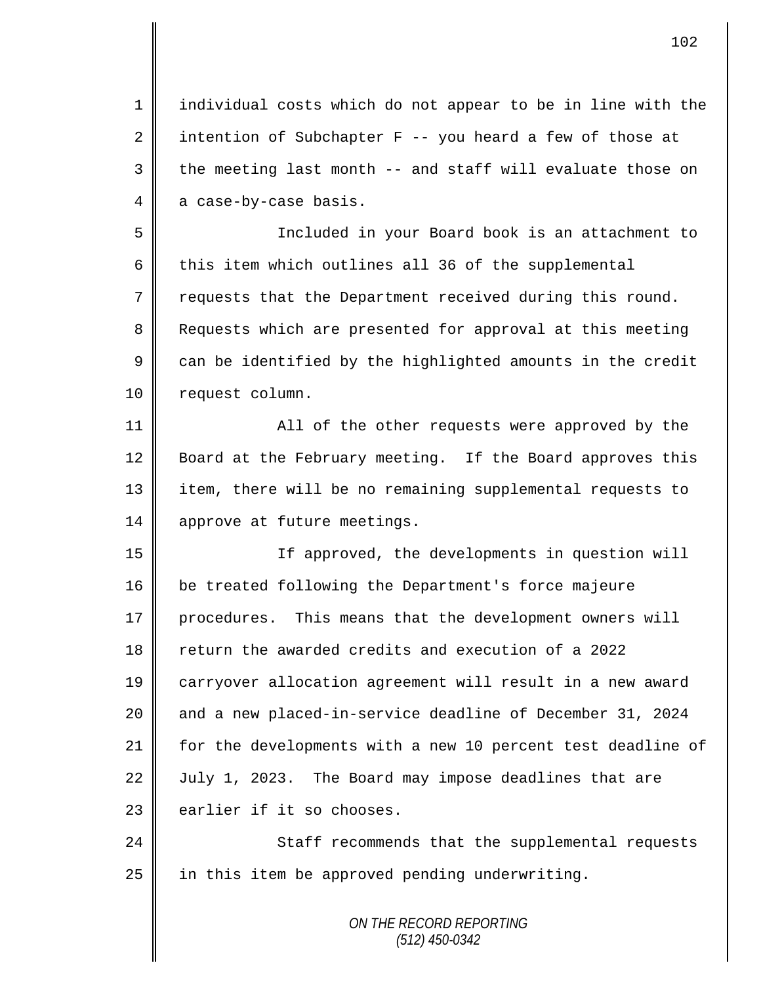1 individual costs which do not appear to be in line with the 2 intention of Subchapter F -- you heard a few of those at  $3 \parallel$  the meeting last month -- and staff will evaluate those on  $4 \parallel$  a case-by-case basis.

5 Included in your Board book is an attachment to 6  $\parallel$  this item which outlines all 36 of the supplemental  $7 \parallel$  requests that the Department received during this round. 8 Requests which are presented for approval at this meeting  $9 \parallel$  can be identified by the highlighted amounts in the credit 10 | request column.

11 All of the other requests were approved by the 12 Board at the February meeting. If the Board approves this 13 || item, there will be no remaining supplemental requests to 14 approve at future meetings.

15 If approved, the developments in question will 16 be treated following the Department's force majeure 17 procedures. This means that the development owners will 18 return the awarded credits and execution of a 2022 19 carryover allocation agreement will result in a new award 20 and a new placed-in-service deadline of December 31, 2024 21 for the developments with a new 10 percent test deadline of 22 July 1, 2023. The Board may impose deadlines that are  $23$   $\parallel$  earlier if it so chooses.

24 Staff recommends that the supplemental requests 25  $\parallel$  in this item be approved pending underwriting.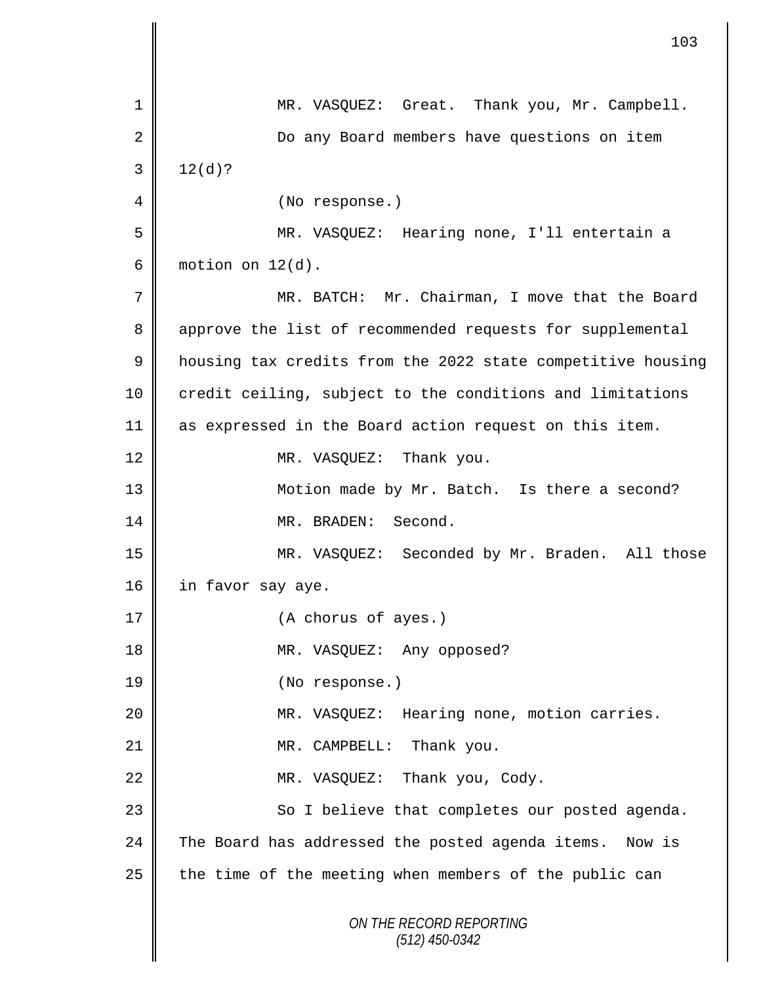|                | 103                                                         |
|----------------|-------------------------------------------------------------|
| $\mathbf 1$    | MR. VASQUEZ: Great. Thank you, Mr. Campbell.                |
|                |                                                             |
| $\overline{2}$ | Do any Board members have questions on item                 |
| 3              | $12(d)$ ?                                                   |
| 4              | (No response.)                                              |
| 5              | MR. VASQUEZ: Hearing none, I'll entertain a                 |
| 6              | motion on $12(d)$ .                                         |
| 7              | MR. BATCH: Mr. Chairman, I move that the Board              |
| 8              | approve the list of recommended requests for supplemental   |
| 9              | housing tax credits from the 2022 state competitive housing |
| $10$           | credit ceiling, subject to the conditions and limitations   |
| 11             | as expressed in the Board action request on this item.      |
| 12             | MR. VASQUEZ: Thank you.                                     |
| 13             | Motion made by Mr. Batch. Is there a second?                |
| 14             | MR. BRADEN: Second.                                         |
| 15             | MR. VASQUEZ: Seconded by Mr. Braden. All those              |
| 16             | in favor say aye.                                           |
| 17             | (A chorus of ayes.)                                         |
| 18             | MR. VASQUEZ: Any opposed?                                   |
| 19             | (No response.)                                              |
| 20             | MR. VASQUEZ: Hearing none, motion carries.                  |
| 21             | MR. CAMPBELL: Thank you.                                    |
| 22             | MR. VASQUEZ: Thank you, Cody.                               |
| 23             | So I believe that completes our posted agenda.              |
| 24             | The Board has addressed the posted agenda items. Now is     |
| 25             | the time of the meeting when members of the public can      |
|                | ON THE RECORD REPORTING<br>$(512)$ 450-0342                 |

 $\mathbb{I}$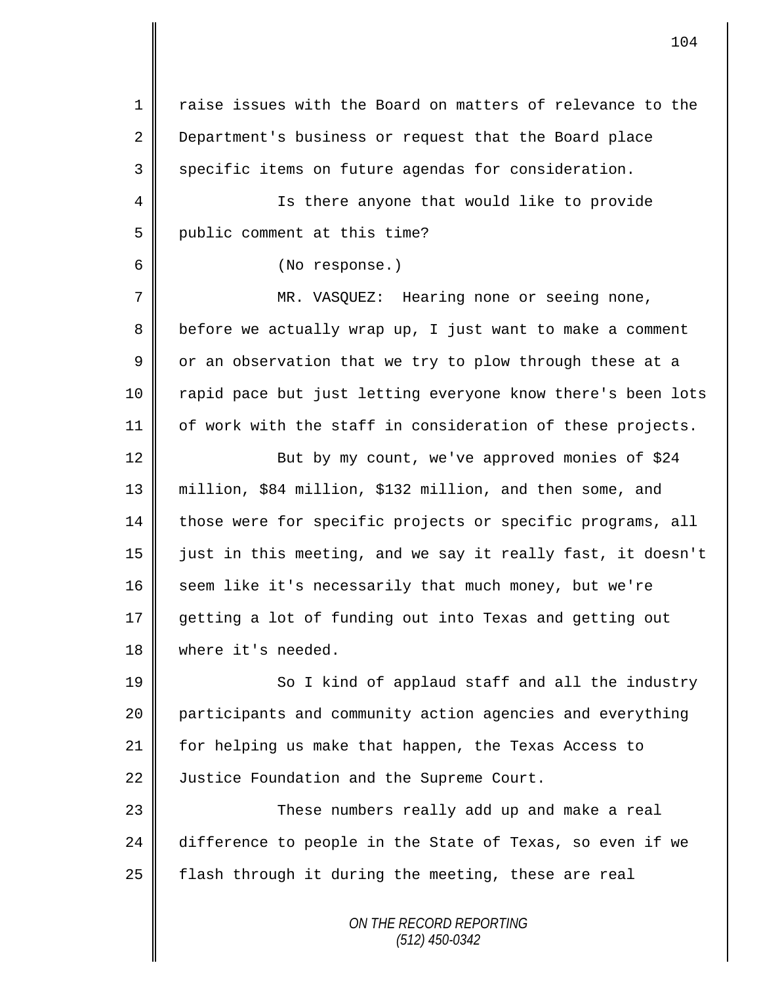*ON THE RECORD REPORTING*  $1 \parallel$  raise issues with the Board on matters of relevance to the 2 Department's business or request that the Board place  $3 \parallel$  specific items on future agendas for consideration. 4 || Is there anyone that would like to provide 5 | public comment at this time? 6 (No response.) 7 MR. VASQUEZ: Hearing none or seeing none, 8 before we actually wrap up, I just want to make a comment  $9 \parallel$  or an observation that we try to plow through these at a 10 || rapid pace but just letting everyone know there's been lots  $11$  | of work with the staff in consideration of these projects. 12 ||<br>But by my count, we've approved monies of \$24 13 million, \$84 million, \$132 million, and then some, and 14 those were for specific projects or specific programs, all 15 just in this meeting, and we say it really fast, it doesn't 16 seem like it's necessarily that much money, but we're 17 getting a lot of funding out into Texas and getting out 18 where it's needed. 19 So I kind of applaud staff and all the industry 20 participants and community action agencies and everything 21 || for helping us make that happen, the Texas Access to 22 Justice Foundation and the Supreme Court. 23 These numbers really add up and make a real 24 difference to people in the State of Texas, so even if we 25 | flash through it during the meeting, these are real

104

*(512) 450-0342*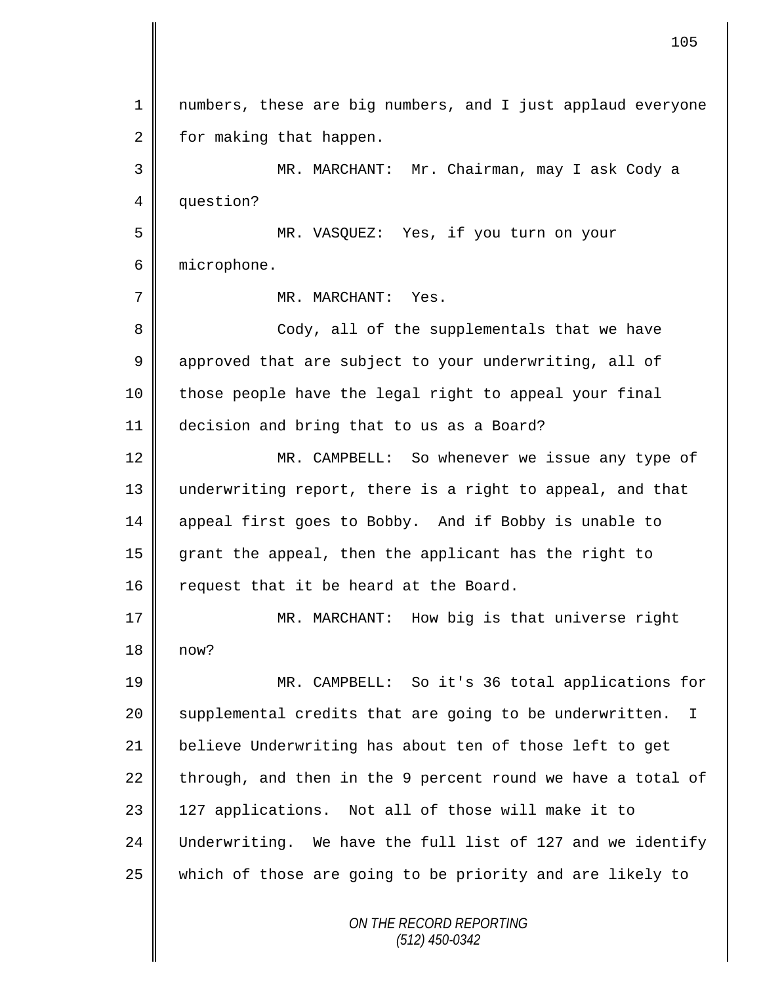*ON THE RECORD REPORTING (512) 450-0342* 1 || numbers, these are big numbers, and I just applaud everyone  $2 \parallel$  for making that happen. 3 MR. MARCHANT: Mr. Chairman, may I ask Cody a 4 question? 5 MR. VASQUEZ: Yes, if you turn on your 6 microphone. 7 || MR. MARCHANT: Yes. 8 || Cody, all of the supplementals that we have 9 approved that are subject to your underwriting, all of 10 | those people have the legal right to appeal your final 11 decision and bring that to us as a Board? 12 MR. CAMPBELL: So whenever we issue any type of 13 underwriting report, there is a right to appeal, and that 14 appeal first goes to Bobby. And if Bobby is unable to 15 grant the appeal, then the applicant has the right to 16 request that it be heard at the Board. 17 **MR. MARCHANT:** How big is that universe right 18 now? 19 MR. CAMPBELL: So it's 36 total applications for 20 | supplemental credits that are going to be underwritten. I 21 believe Underwriting has about ten of those left to get 22 through, and then in the 9 percent round we have a total of 23 || 127 applications. Not all of those will make it to 24 Underwriting. We have the full list of 127 and we identify 25 which of those are going to be priority and are likely to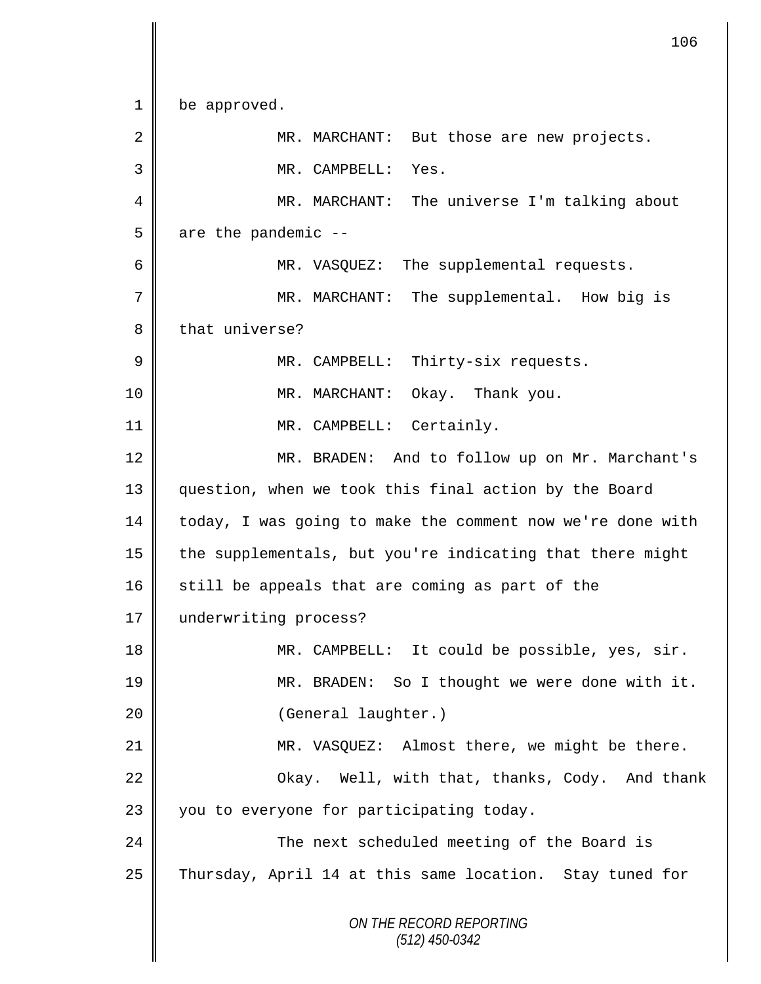*ON THE RECORD REPORTING (512) 450-0342* 1 be approved. 2 MR. MARCHANT: But those are new projects. 3 MR. CAMPBELL: Yes. 4 MR. MARCHANT: The universe I'm talking about  $5 \parallel$  are the pandemic --6 MR. VASQUEZ: The supplemental requests. 7 MR. MARCHANT: The supplemental. How big is 8 that universe? 9 MR. CAMPBELL: Thirty-six requests. 10 || MR. MARCHANT: Okay. Thank you. 11 || MR. CAMPBELL: Certainly. 12 MR. BRADEN: And to follow up on Mr. Marchant's 13 question, when we took this final action by the Board 14 today, I was going to make the comment now we're done with 15 | the supplementals, but you're indicating that there might  $16$  still be appeals that are coming as part of the 17 | underwriting process? 18 | MR. CAMPBELL: It could be possible, yes, sir. 19 MR. BRADEN: So I thought we were done with it. 20 || (General laughter.) 21 MR. VASQUEZ: Almost there, we might be there.  $22$   $\parallel$  Okay. Well, with that, thanks, Cody. And thank  $23$  | you to everyone for participating today. 24 The next scheduled meeting of the Board is 25 Thursday, April 14 at this same location. Stay tuned for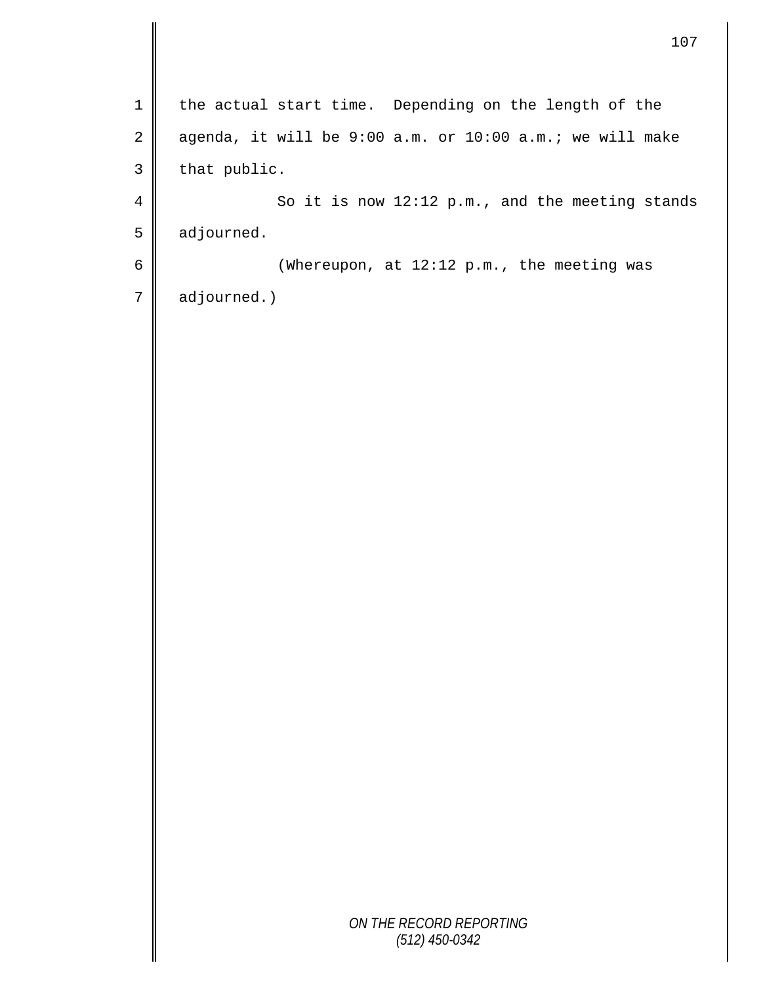*ON THE RECORD REPORTING (512) 450-0342* 1 | the actual start time. Depending on the length of the  $2 \parallel$  agenda, it will be 9:00 a.m. or 10:00 a.m.; we will make  $3$  that public. 4 So it is now 12:12 p.m., and the meeting stands  $5 \parallel$  adjourned. 6  $\parallel$  (Whereupon, at 12:12 p.m., the meeting was  $7 \parallel$  adjourned.)